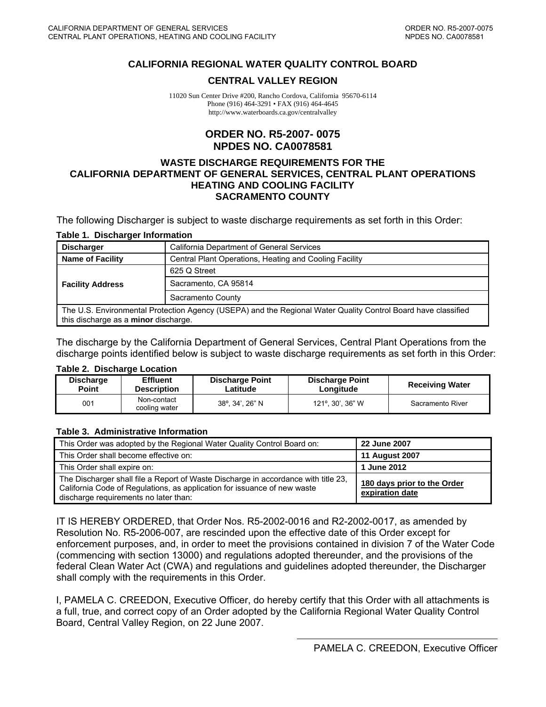#### <span id="page-0-0"></span>**CALIFORNIA REGIONAL WATER QUALITY CONTROL BOARD**

#### **CENTRAL VALLEY REGION**

11020 Sun Center Drive #200, Rancho Cordova, California 95670-6114 Phone (916) 464-3291 • FAX (916) 464-4645 http://www.waterboards.ca.gov/centralvalley

#### **ORDER NO. R5-2007- 0075 NPDES NO. CA0078581**

#### **WASTE DISCHARGE REQUIREMENTS FOR THE CALIFORNIA DEPARTMENT OF GENERAL SERVICES, CENTRAL PLANT OPERATIONS HEATING AND COOLING FACILITY SACRAMENTO COUNTY**

The following Discharger is subject to waste discharge requirements as set forth in this Order:

#### **Table 1. Discharger Information**

| <b>Discharger</b>                                                                                                                                     | California Department of General Services              |  |  |  |  |  |
|-------------------------------------------------------------------------------------------------------------------------------------------------------|--------------------------------------------------------|--|--|--|--|--|
| <b>Name of Facility</b>                                                                                                                               | Central Plant Operations, Heating and Cooling Facility |  |  |  |  |  |
|                                                                                                                                                       | 625 Q Street                                           |  |  |  |  |  |
| <b>Facility Address</b>                                                                                                                               | Sacramento, CA 95814                                   |  |  |  |  |  |
|                                                                                                                                                       | Sacramento County                                      |  |  |  |  |  |
| The U.S. Environmental Protection Agency (USEPA) and the Regional Water Quality Control Board have classified<br>this discharge as a minor discharge. |                                                        |  |  |  |  |  |

The discharge by the California Department of General Services, Central Plant Operations from the discharge points identified below is subject to waste discharge requirements as set forth in this Order:

#### **Table 2. Discharge Location**

| <b>Discharge</b> | <b>Effluent</b>              | <b>Discharge Point</b> | <b>Discharge Point</b> | <b>Receiving Water</b> |
|------------------|------------------------------|------------------------|------------------------|------------------------|
| Point            | <b>Description</b>           | Latitude               | Longitude              |                        |
| 001              | Non-contact<br>cooling water | 38°, 34', 26" N        | 121°, 30', 36" W       | Sacramento River       |

#### **Table 3. Administrative Information**

| This Order was adopted by the Regional Water Quality Control Board on:                                                                                                                                  | 22 June 2007                                   |
|---------------------------------------------------------------------------------------------------------------------------------------------------------------------------------------------------------|------------------------------------------------|
| This Order shall become effective on:                                                                                                                                                                   | <b>11 August 2007</b>                          |
| This Order shall expire on:                                                                                                                                                                             | 1 June 2012                                    |
| The Discharger shall file a Report of Waste Discharge in accordance with title 23,<br>California Code of Regulations, as application for issuance of new waste<br>discharge requirements no later than: | 180 days prior to the Order<br>expiration date |

IT IS HEREBY ORDERED, that Order Nos. R5-2002-0016 and R2-2002-0017, as amended by Resolution No. R5-2006-007, are rescinded upon the effective date of this Order except for enforcement purposes, and, in order to meet the provisions contained in division 7 of the Water Code (commencing with section 13000) and regulations adopted thereunder, and the provisions of the federal Clean Water Act (CWA) and regulations and guidelines adopted thereunder, the Discharger shall comply with the requirements in this Order.

I, PAMELA C. CREEDON, Executive Officer, do hereby certify that this Order with all attachments is a full, true, and correct copy of an Order adopted by the California Regional Water Quality Control Board, Central Valley Region, on 22 June 2007.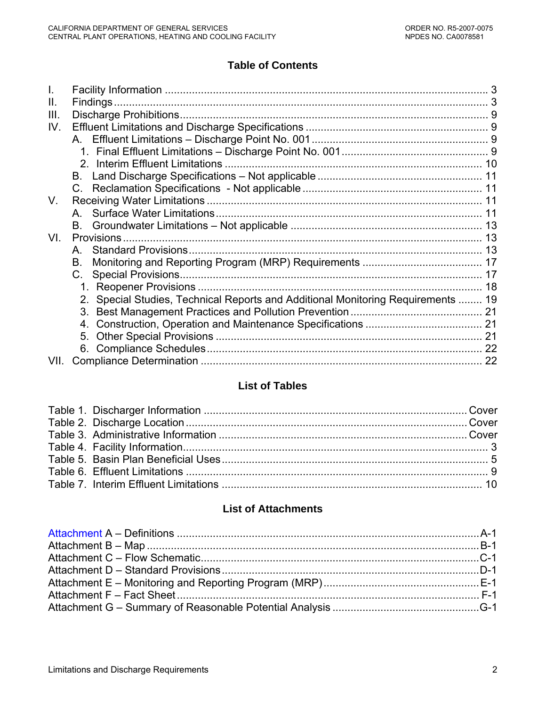# **Table of Contents**

| $\mathbf{II}$ . |                                                                                  |  |
|-----------------|----------------------------------------------------------------------------------|--|
| III.            |                                                                                  |  |
| IV.             |                                                                                  |  |
|                 |                                                                                  |  |
|                 |                                                                                  |  |
|                 |                                                                                  |  |
|                 | B.                                                                               |  |
|                 | $\mathcal{C}$                                                                    |  |
| V.              |                                                                                  |  |
|                 |                                                                                  |  |
|                 | <b>B.</b>                                                                        |  |
| VI.             |                                                                                  |  |
|                 | A                                                                                |  |
|                 | В.                                                                               |  |
|                 | C.                                                                               |  |
|                 |                                                                                  |  |
|                 | 2. Special Studies, Technical Reports and Additional Monitoring Requirements  19 |  |
|                 | 3.                                                                               |  |
|                 | 4.                                                                               |  |
|                 |                                                                                  |  |
|                 |                                                                                  |  |
| VII.            |                                                                                  |  |

# **List of Tables**

# **List of Attachments**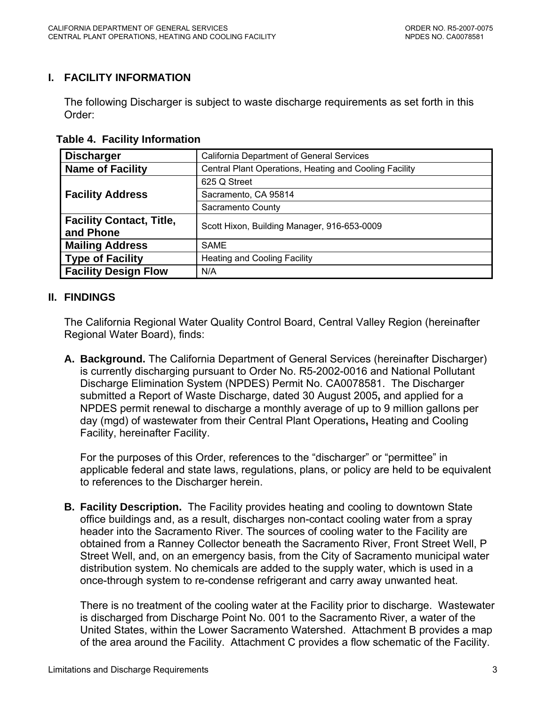### <span id="page-2-0"></span>**I. FACILITY INFORMATION**

The following Discharger is subject to waste discharge requirements as set forth in this Order:

 **Table 4. Facility Information** 

| <b>Discharger</b>               | <b>California Department of General Services</b>       |  |  |  |
|---------------------------------|--------------------------------------------------------|--|--|--|
| <b>Name of Facility</b>         | Central Plant Operations, Heating and Cooling Facility |  |  |  |
|                                 | 625 Q Street                                           |  |  |  |
| <b>Facility Address</b>         | Sacramento, CA 95814                                   |  |  |  |
|                                 | Sacramento County                                      |  |  |  |
| <b>Facility Contact, Title,</b> | Scott Hixon, Building Manager, 916-653-0009            |  |  |  |
| and Phone                       |                                                        |  |  |  |
| <b>Mailing Address</b>          | <b>SAME</b>                                            |  |  |  |
| <b>Type of Facility</b>         | <b>Heating and Cooling Facility</b>                    |  |  |  |
| <b>Facility Design Flow</b>     | N/A                                                    |  |  |  |

### **II. FINDINGS**

The California Regional Water Quality Control Board, Central Valley Region (hereinafter Regional Water Board), finds:

**A. Background.** The California Department of General Services (hereinafter Discharger) is currently discharging pursuant to Order No. R5-2002-0016 and National Pollutant Discharge Elimination System (NPDES) Permit No. CA0078581. The Discharger submitted a Report of Waste Discharge, dated 30 August 2005**,** and applied for a NPDES permit renewal to discharge a monthly average of up to 9 million gallons per day (mgd) of wastewater from their Central Plant Operations**,** Heating and Cooling Facility, hereinafter Facility.

For the purposes of this Order, references to the "discharger" or "permittee" in applicable federal and state laws, regulations, plans, or policy are held to be equivalent to references to the Discharger herein.

**B. Facility Description.** The Facility provides heating and cooling to downtown State office buildings and, as a result, discharges non-contact cooling water from a spray header into the Sacramento River. The sources of cooling water to the Facility are obtained from a Ranney Collector beneath the Sacramento River, Front Street Well, P Street Well, and, on an emergency basis, from the City of Sacramento municipal water distribution system. No chemicals are added to the supply water, which is used in a once-through system to re-condense refrigerant and carry away unwanted heat.

 There is no treatment of the cooling water at the Facility prior to discharge. Wastewater is discharged from Discharge Point No. 001 to the Sacramento River, a water of the United States, within the Lower Sacramento Watershed. Attachment B provides a map of the area around the Facility. Attachment C provides a flow schematic of the Facility.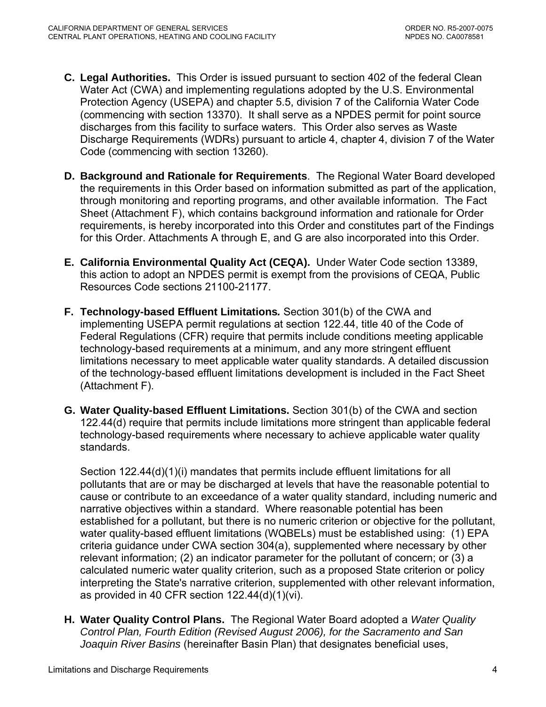- **C. Legal Authorities.** This Order is issued pursuant to section 402 of the federal Clean Water Act (CWA) and implementing regulations adopted by the U.S. Environmental Protection Agency (USEPA) and chapter 5.5, division 7 of the California Water Code (commencing with section 13370). It shall serve as a NPDES permit for point source discharges from this facility to surface waters. This Order also serves as Waste Discharge Requirements (WDRs) pursuant to article 4, chapter 4, division 7 of the Water Code (commencing with section 13260).
- **D. Background and Rationale for Requirements**. The Regional Water Board developed the requirements in this Order based on information submitted as part of the application, through monitoring and reporting programs, and other available information. The Fact Sheet (Attachment F), which contains background information and rationale for Order requirements, is hereby incorporated into this Order and constitutes part of the Findings for this Order. Attachments A through E, and G are also incorporated into this Order.
- **E. California Environmental Quality Act (CEQA).** Under Water Code section 13389, this action to adopt an NPDES permit is exempt from the provisions of CEQA, Public Resources Code sections 21100-21177.
- **F. Technology-based Effluent Limitations***.* Section 301(b) of the CWA and implementing USEPA permit regulations at section 122.44, title 40 of the Code of Federal Regulations (CFR) require that permits include conditions meeting applicable technology-based requirements at a minimum, and any more stringent effluent limitations necessary to meet applicable water quality standards. A detailed discussion of the technology-based effluent limitations development is included in the Fact Sheet (Attachment F).
- **G. Water Quality-based Effluent Limitations.** Section 301(b) of the CWA and section 122.44(d) require that permits include limitations more stringent than applicable federal technology-based requirements where necessary to achieve applicable water quality standards.

Section 122.44(d)(1)(i) mandates that permits include effluent limitations for all pollutants that are or may be discharged at levels that have the reasonable potential to cause or contribute to an exceedance of a water quality standard, including numeric and narrative objectives within a standard. Where reasonable potential has been established for a pollutant, but there is no numeric criterion or objective for the pollutant, water quality-based effluent limitations (WQBELs) must be established using: (1) EPA criteria guidance under CWA section 304(a), supplemented where necessary by other relevant information; (2) an indicator parameter for the pollutant of concern; or (3) a calculated numeric water quality criterion, such as a proposed State criterion or policy interpreting the State's narrative criterion, supplemented with other relevant information, as provided in 40 CFR section 122.44(d)(1)(vi).

**H. Water Quality Control Plans.** The Regional Water Board adopted a *Water Quality Control Plan, Fourth Edition (Revised August 2006), for the Sacramento and San Joaquin River Basins* (hereinafter Basin Plan) that designates beneficial uses,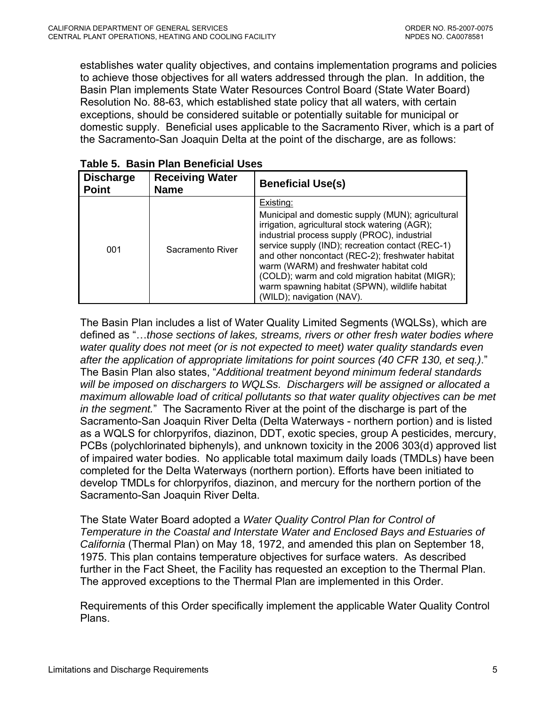<span id="page-4-0"></span>establishes water quality objectives, and contains implementation programs and policies to achieve those objectives for all waters addressed through the plan. In addition, the Basin Plan implements State Water Resources Control Board (State Water Board) Resolution No. 88-63, which established state policy that all waters, with certain exceptions, should be considered suitable or potentially suitable for municipal or domestic supply. Beneficial uses applicable to the Sacramento River, which is a part of the Sacramento-San Joaquin Delta at the point of the discharge, are as follows:

| <b>Discharge</b><br><b>Point</b> | <b>Receiving Water</b><br><b>Name</b> | <b>Beneficial Use(s)</b>                                                                                                                                                                                                                                                                                                                                                                                                                              |
|----------------------------------|---------------------------------------|-------------------------------------------------------------------------------------------------------------------------------------------------------------------------------------------------------------------------------------------------------------------------------------------------------------------------------------------------------------------------------------------------------------------------------------------------------|
| 001                              | Sacramento River                      | Existing:<br>Municipal and domestic supply (MUN); agricultural<br>irrigation, agricultural stock watering (AGR);<br>industrial process supply (PROC), industrial<br>service supply (IND); recreation contact (REC-1)<br>and other noncontact (REC-2); freshwater habitat<br>warm (WARM) and freshwater habitat cold<br>(COLD); warm and cold migration habitat (MIGR);<br>warm spawning habitat (SPWN), wildlife habitat<br>(WILD); navigation (NAV). |

| Table 5. Basin Plan Beneficial Uses |  |  |  |  |
|-------------------------------------|--|--|--|--|
|-------------------------------------|--|--|--|--|

The Basin Plan includes a list of Water Quality Limited Segments (WQLSs), which are defined as "…*those sections of lakes, streams, rivers or other fresh water bodies where water quality does not meet (or is not expected to meet) water quality standards even after the application of appropriate limitations for point sources (40 CFR 130, et seq.)*." The Basin Plan also states, "*Additional treatment beyond minimum federal standards will be imposed on dischargers to WQLSs. Dischargers will be assigned or allocated a maximum allowable load of critical pollutants so that water quality objectives can be met in the segment.*" The Sacramento River at the point of the discharge is part of the Sacramento-San Joaquin River Delta (Delta Waterways - northern portion) and is listed as a WQLS for chlorpyrifos, diazinon, DDT, exotic species, group A pesticides, mercury, PCBs (polychlorinated biphenyls), and unknown toxicity in the 2006 303(d) approved list of impaired water bodies. No applicable total maximum daily loads (TMDLs) have been completed for the Delta Waterways (northern portion). Efforts have been initiated to develop TMDLs for chlorpyrifos, diazinon, and mercury for the northern portion of the Sacramento-San Joaquin River Delta.

The State Water Board adopted a *Water Quality Control Plan for Control of Temperature in the Coastal and Interstate Water and Enclosed Bays and Estuaries of California* (Thermal Plan) on May 18, 1972, and amended this plan on September 18, 1975. This plan contains temperature objectives for surface waters. As described further in the Fact Sheet, the Facility has requested an exception to the Thermal Plan. The approved exceptions to the Thermal Plan are implemented in this Order.

Requirements of this Order specifically implement the applicable Water Quality Control Plans.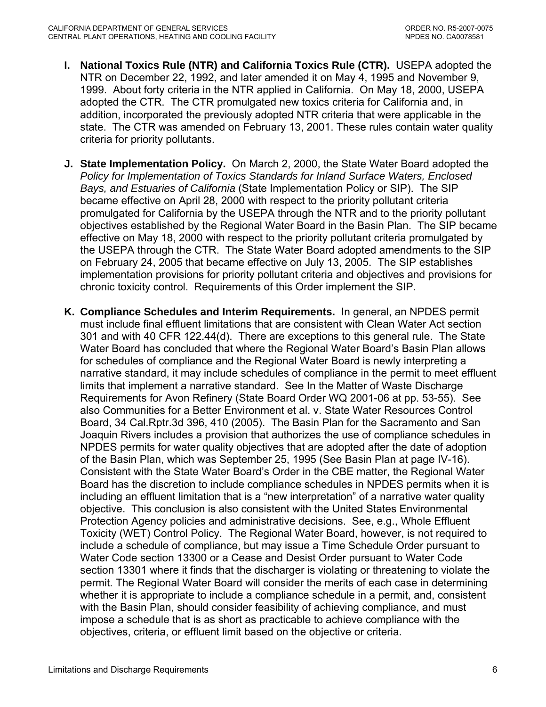- **I. National Toxics Rule (NTR) and California Toxics Rule (CTR).** USEPA adopted the NTR on December 22, 1992, and later amended it on May 4, 1995 and November 9, 1999. About forty criteria in the NTR applied in California. On May 18, 2000, USEPA adopted the CTR. The CTR promulgated new toxics criteria for California and, in addition, incorporated the previously adopted NTR criteria that were applicable in the state. The CTR was amended on February 13, 2001. These rules contain water quality criteria for priority pollutants.
- **J. State Implementation Policy.** On March 2, 2000, the State Water Board adopted the *Policy for Implementation of Toxics Standards for Inland Surface Waters, Enclosed Bays, and Estuaries of California* (State Implementation Policy or SIP). The SIP became effective on April 28, 2000 with respect to the priority pollutant criteria promulgated for California by the USEPA through the NTR and to the priority pollutant objectives established by the Regional Water Board in the Basin Plan. The SIP became effective on May 18, 2000 with respect to the priority pollutant criteria promulgated by the USEPA through the CTR. The State Water Board adopted amendments to the SIP on February 24, 2005 that became effective on July 13, 2005. The SIP establishes implementation provisions for priority pollutant criteria and objectives and provisions for chronic toxicity control. Requirements of this Order implement the SIP.
- **K. Compliance Schedules and Interim Requirements.** In general, an NPDES permit must include final effluent limitations that are consistent with Clean Water Act section 301 and with 40 CFR 122.44(d). There are exceptions to this general rule. The State Water Board has concluded that where the Regional Water Board's Basin Plan allows for schedules of compliance and the Regional Water Board is newly interpreting a narrative standard, it may include schedules of compliance in the permit to meet effluent limits that implement a narrative standard. See In the Matter of Waste Discharge Requirements for Avon Refinery (State Board Order WQ 2001-06 at pp. 53-55). See also Communities for a Better Environment et al. v. State Water Resources Control Board, 34 Cal.Rptr.3d 396, 410 (2005). The Basin Plan for the Sacramento and San Joaquin Rivers includes a provision that authorizes the use of compliance schedules in NPDES permits for water quality objectives that are adopted after the date of adoption of the Basin Plan, which was September 25, 1995 (See Basin Plan at page IV-16). Consistent with the State Water Board's Order in the CBE matter, the Regional Water Board has the discretion to include compliance schedules in NPDES permits when it is including an effluent limitation that is a "new interpretation" of a narrative water quality objective. This conclusion is also consistent with the United States Environmental Protection Agency policies and administrative decisions. See, e.g., Whole Effluent Toxicity (WET) Control Policy. The Regional Water Board, however, is not required to include a schedule of compliance, but may issue a Time Schedule Order pursuant to Water Code section 13300 or a Cease and Desist Order pursuant to Water Code section 13301 where it finds that the discharger is violating or threatening to violate the permit. The Regional Water Board will consider the merits of each case in determining whether it is appropriate to include a compliance schedule in a permit, and, consistent with the Basin Plan, should consider feasibility of achieving compliance, and must impose a schedule that is as short as practicable to achieve compliance with the objectives, criteria, or effluent limit based on the objective or criteria.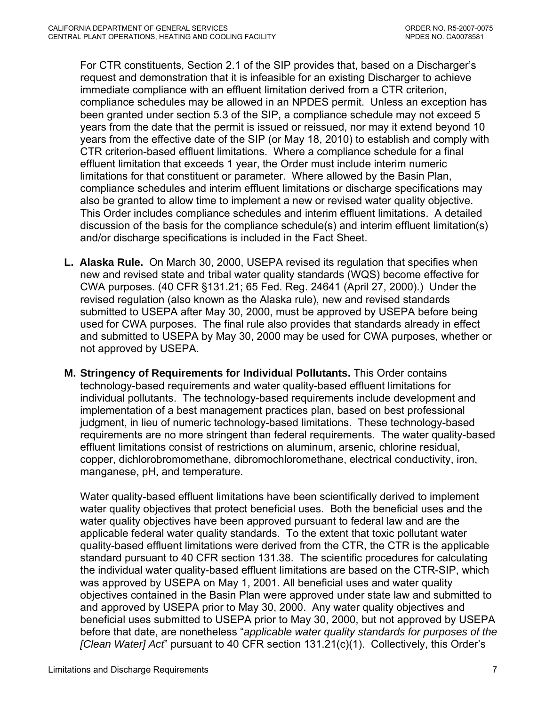For CTR constituents, Section 2.1 of the SIP provides that, based on a Discharger's request and demonstration that it is infeasible for an existing Discharger to achieve immediate compliance with an effluent limitation derived from a CTR criterion, compliance schedules may be allowed in an NPDES permit. Unless an exception has been granted under section 5.3 of the SIP, a compliance schedule may not exceed 5 years from the date that the permit is issued or reissued, nor may it extend beyond 10 years from the effective date of the SIP (or May 18, 2010) to establish and comply with CTR criterion-based effluent limitations. Where a compliance schedule for a final effluent limitation that exceeds 1 year, the Order must include interim numeric limitations for that constituent or parameter. Where allowed by the Basin Plan, compliance schedules and interim effluent limitations or discharge specifications may also be granted to allow time to implement a new or revised water quality objective. This Order includes compliance schedules and interim effluent limitations. A detailed discussion of the basis for the compliance schedule(s) and interim effluent limitation(s) and/or discharge specifications is included in the Fact Sheet.

- **L. Alaska Rule.** On March 30, 2000, USEPA revised its regulation that specifies when new and revised state and tribal water quality standards (WQS) become effective for CWA purposes. (40 CFR §131.21; 65 Fed. Reg. 24641 (April 27, 2000).) Under the revised regulation (also known as the Alaska rule), new and revised standards submitted to USEPA after May 30, 2000, must be approved by USEPA before being used for CWA purposes. The final rule also provides that standards already in effect and submitted to USEPA by May 30, 2000 may be used for CWA purposes, whether or not approved by USEPA.
- **M. Stringency of Requirements for Individual Pollutants.** This Order contains technology-based requirements and water quality-based effluent limitations for individual pollutants. The technology-based requirements include development and implementation of a best management practices plan, based on best professional judgment, in lieu of numeric technology-based limitations. These technology-based requirements are no more stringent than federal requirements. The water quality-based effluent limitations consist of restrictions on aluminum, arsenic, chlorine residual, copper, dichlorobromomethane, dibromochloromethane, electrical conductivity, iron, manganese, pH, and temperature.

Water quality-based effluent limitations have been scientifically derived to implement water quality objectives that protect beneficial uses. Both the beneficial uses and the water quality objectives have been approved pursuant to federal law and are the applicable federal water quality standards. To the extent that toxic pollutant water quality-based effluent limitations were derived from the CTR, the CTR is the applicable standard pursuant to 40 CFR section 131.38. The scientific procedures for calculating the individual water quality-based effluent limitations are based on the CTR-SIP, which was approved by USEPA on May 1, 2001. All beneficial uses and water quality objectives contained in the Basin Plan were approved under state law and submitted to and approved by USEPA prior to May 30, 2000. Any water quality objectives and beneficial uses submitted to USEPA prior to May 30, 2000, but not approved by USEPA before that date, are nonetheless "*applicable water quality standards for purposes of the [Clean Water] Act*" pursuant to 40 CFR section 131.21(c)(1). Collectively, this Order's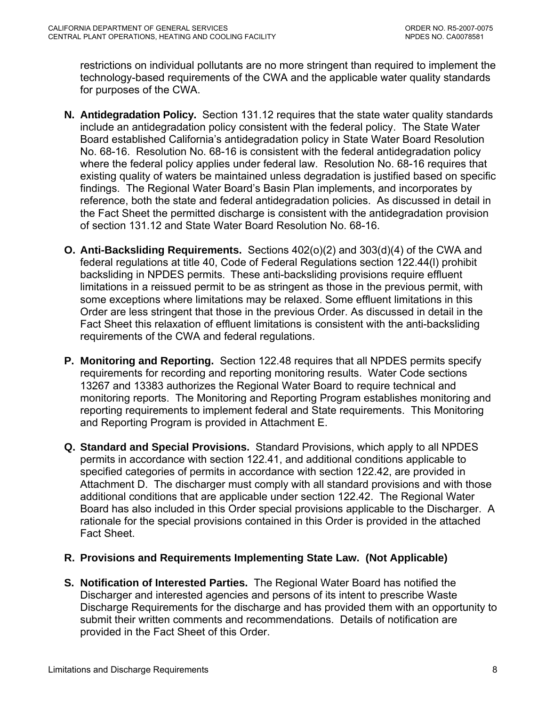restrictions on individual pollutants are no more stringent than required to implement the technology-based requirements of the CWA and the applicable water quality standards for purposes of the CWA.

- **N. Antidegradation Policy.** Section 131.12 requires that the state water quality standards include an antidegradation policy consistent with the federal policy. The State Water Board established California's antidegradation policy in State Water Board Resolution No. 68-16. Resolution No. 68-16 is consistent with the federal antidegradation policy where the federal policy applies under federal law. Resolution No. 68-16 requires that existing quality of waters be maintained unless degradation is justified based on specific findings. The Regional Water Board's Basin Plan implements, and incorporates by reference, both the state and federal antidegradation policies. As discussed in detail in the Fact Sheet the permitted discharge is consistent with the antidegradation provision of section 131.12 and State Water Board Resolution No. 68-16.
- **O. Anti-Backsliding Requirements.** Sections 402(o)(2) and 303(d)(4) of the CWA and federal regulations at title 40, Code of Federal Regulations section 122.44(l) prohibit backsliding in NPDES permits. These anti-backsliding provisions require effluent limitations in a reissued permit to be as stringent as those in the previous permit, with some exceptions where limitations may be relaxed. Some effluent limitations in this Order are less stringent that those in the previous Order. As discussed in detail in the Fact Sheet this relaxation of effluent limitations is consistent with the anti-backsliding requirements of the CWA and federal regulations.
- **P. Monitoring and Reporting.** Section 122.48 requires that all NPDES permits specify requirements for recording and reporting monitoring results. Water Code sections 13267 and 13383 authorizes the Regional Water Board to require technical and monitoring reports. The Monitoring and Reporting Program establishes monitoring and reporting requirements to implement federal and State requirements. This Monitoring and Reporting Program is provided in Attachment E.
- **Q. Standard and Special Provisions.** Standard Provisions, which apply to all NPDES permits in accordance with section 122.41, and additional conditions applicable to specified categories of permits in accordance with section 122.42, are provided in Attachment D. The discharger must comply with all standard provisions and with those additional conditions that are applicable under section 122.42. The Regional Water Board has also included in this Order special provisions applicable to the Discharger. A rationale for the special provisions contained in this Order is provided in the attached Fact Sheet.

## **R. Provisions and Requirements Implementing State Law. (Not Applicable)**

**S. Notification of Interested Parties.** The Regional Water Board has notified the Discharger and interested agencies and persons of its intent to prescribe Waste Discharge Requirements for the discharge and has provided them with an opportunity to submit their written comments and recommendations. Details of notification are provided in the Fact Sheet of this Order.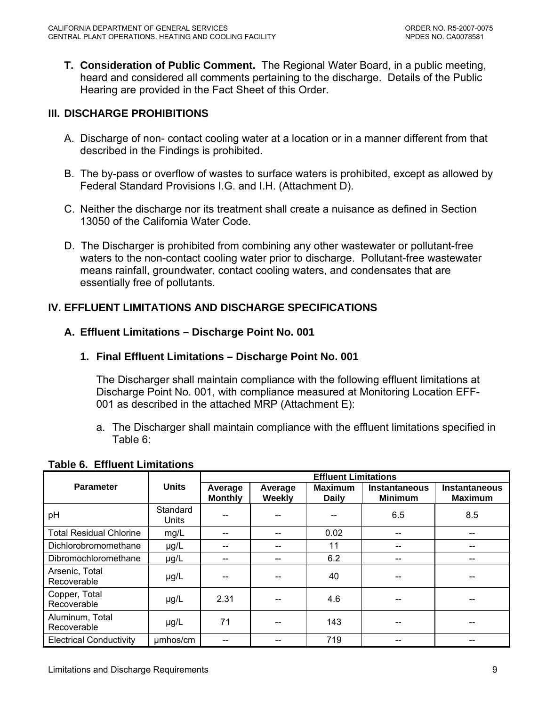<span id="page-8-0"></span>**T. Consideration of Public Comment.** The Regional Water Board, in a public meeting, heard and considered all comments pertaining to the discharge. Details of the Public Hearing are provided in the Fact Sheet of this Order.

## **III. DISCHARGE PROHIBITIONS**

- A. Discharge of non- contact cooling water at a location or in a manner different from that described in the Findings is prohibited.
- B. The by-pass or overflow of wastes to surface waters is prohibited, except as allowed by Federal Standard Provisions [I.G.](#page-29-0) and [I.H.](#page-30-0) (Attachment D).
- C. Neither the discharge nor its treatment shall create a nuisance as defined in Section 13050 of the California Water Code.
- D. The Discharger is prohibited from combining any other wastewater or pollutant-free waters to the non-contact cooling water prior to discharge. Pollutant-free wastewater means rainfall, groundwater, contact cooling waters, and condensates that are essentially free of pollutants.

# **IV. EFFLUENT LIMITATIONS AND DISCHARGE SPECIFICATIONS**

### **A. Effluent Limitations – Discharge Point No. 001**

### **1. Final Effluent Limitations – Discharge Point No. 001**

The Discharger shall maintain compliance with the following effluent limitations at Discharge Point No. 001, with compliance measured at Monitoring Location EFF-001 as described in the attached MRP (Attachment E):

a. The Discharger shall maintain compliance with the effluent limitations specified in Table 6:

|                                |                   | <b>Effluent Limitations</b> |                   |                                |                                        |                                        |  |
|--------------------------------|-------------------|-----------------------------|-------------------|--------------------------------|----------------------------------------|----------------------------------------|--|
| <b>Parameter</b>               | <b>Units</b>      | Average<br><b>Monthly</b>   | Average<br>Weekly | <b>Maximum</b><br><b>Daily</b> | <b>Instantaneous</b><br><b>Minimum</b> | <b>Instantaneous</b><br><b>Maximum</b> |  |
| pH                             | Standard<br>Units |                             |                   |                                | 6.5                                    | 8.5                                    |  |
| <b>Total Residual Chlorine</b> | mg/L              | --                          |                   | 0.02                           |                                        | $- -$                                  |  |
| Dichlorobromomethane           | $\mu$ g/L         |                             |                   | 11                             |                                        | --                                     |  |
| Dibromochloromethane           | $\mu$ g/L         | --                          |                   | 6.2                            |                                        | --                                     |  |
| Arsenic, Total<br>Recoverable  | $\mu$ g/L         |                             |                   | 40                             |                                        |                                        |  |
| Copper, Total<br>Recoverable   | $\mu$ g/L         | 2.31                        |                   | 4.6                            |                                        |                                        |  |
| Aluminum, Total<br>Recoverable | $\mu$ g/L         | 71                          |                   | 143                            |                                        |                                        |  |
| <b>Electrical Conductivity</b> | umhos/cm          |                             |                   | 719                            |                                        |                                        |  |

# **Table 6. Effluent Limitations**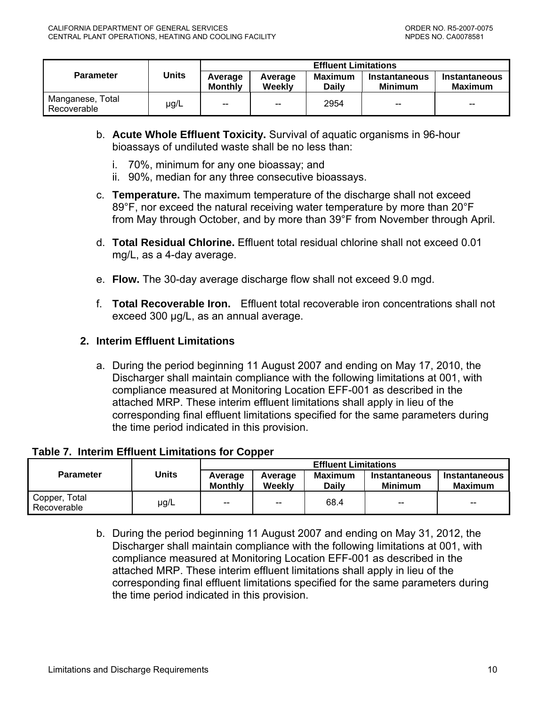<span id="page-9-0"></span>

| <b>Parameter</b>                | <b>Units</b> | <b>Effluent Limitations</b> |                          |                                |                                 |                          |
|---------------------------------|--------------|-----------------------------|--------------------------|--------------------------------|---------------------------------|--------------------------|
|                                 |              | Average<br><b>Monthly</b>   | Average<br>Weekly        | <b>Maximum</b><br><b>Daily</b> | Instantaneous<br><b>Minimum</b> | Instantaneous<br>Maximum |
| Manganese, Total<br>Recoverable | $\mu$ g/L    | --                          | $\overline{\phantom{a}}$ | 2954                           | $\overline{\phantom{m}}$        | $- -$                    |

- b. **Acute Whole Effluent Toxicity.** Survival of aquatic organisms in 96-hour bioassays of undiluted waste shall be no less than:
	- i. 70%, minimum for any one bioassay; and
	- ii. 90%, median for any three consecutive bioassays.
- c. **Temperature.** The maximum temperature of the discharge shall not exceed 89°F, nor exceed the natural receiving water temperature by more than 20°F from May through October, and by more than 39°F from November through April.
- d. **Total Residual Chlorine.** Effluent total residual chlorine shall not exceed 0.01 mg/L, as a 4-day average.
- e. **Flow.** The 30-day average discharge flow shall not exceed 9.0 mgd.
- f. **Total Recoverable Iron.** Effluent total recoverable iron concentrations shall not exceed 300 μg/L, as an annual average.

### **2. Interim Effluent Limitations**

a. During the period beginning 11 August 2007 and ending on May 17, 2010, the Discharger shall maintain compliance with the following limitations at 001, with compliance measured at Monitoring Location EFF-001 as described in the attached MRP. These interim effluent limitations shall apply in lieu of the corresponding final effluent limitations specified for the same parameters during the time period indicated in this provision.

#### **Table 7. Interim Effluent Limitations for Copper**

|                              |           |                           |                   | <b>Effluent Limitations</b>    |                                 |                          |
|------------------------------|-----------|---------------------------|-------------------|--------------------------------|---------------------------------|--------------------------|
| <b>Parameter</b>             | Units     | Average<br><b>Monthly</b> | Average<br>Weekly | <b>Maximum</b><br><b>Daily</b> | Instantaneous<br><b>Minimum</b> | Instantaneous<br>Maximum |
| Copper, Total<br>Recoverable | $\mu$ g/L | $\overline{\phantom{a}}$  | $-\!$             | 68.4                           | $-\!$                           | $- -$                    |

b. During the period beginning 11 August 2007 and ending on May 31, 2012, the Discharger shall maintain compliance with the following limitations at 001, with compliance measured at Monitoring Location EFF-001 as described in the attached MRP. These interim effluent limitations shall apply in lieu of the corresponding final effluent limitations specified for the same parameters during the time period indicated in this provision.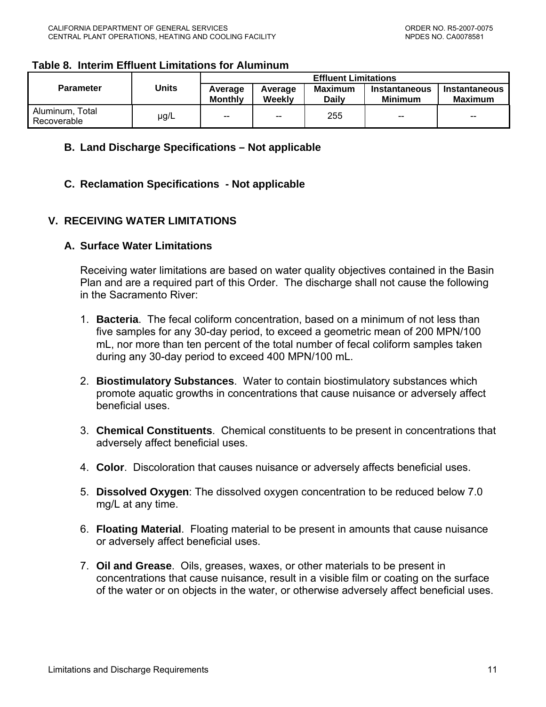### <span id="page-10-0"></span>**Table 8. Interim Effluent Limitations for Aluminum**

| <b>Parameter</b>               | Units     | <b>Effluent Limitations</b> |                   |                         |                          |                          |
|--------------------------------|-----------|-----------------------------|-------------------|-------------------------|--------------------------|--------------------------|
|                                |           | Average<br><b>Monthly</b>   | Average<br>Weekly | Maximum<br><b>Daily</b> | Instantaneous<br>Minimum | Instantaneous<br>Maximum |
| Aluminum, Total<br>Recoverable | $\mu$ g/L | $-$                         | $-$               | 255                     | $\overline{\phantom{a}}$ | $- -$                    |

### **B. Land Discharge Specifications – Not applicable**

### **C. Reclamation Specifications - Not applicable**

## **V. RECEIVING WATER LIMITATIONS**

### **A. Surface Water Limitations**

Receiving water limitations are based on water quality objectives contained in the Basin Plan and are a required part of this Order. The discharge shall not cause the following in the Sacramento River:

- 1. **Bacteria**. The fecal coliform concentration, based on a minimum of not less than five samples for any 30-day period, to exceed a geometric mean of 200 MPN/100 mL, nor more than ten percent of the total number of fecal coliform samples taken during any 30-day period to exceed 400 MPN/100 mL.
- 2. **Biostimulatory Substances**. Water to contain biostimulatory substances which promote aquatic growths in concentrations that cause nuisance or adversely affect beneficial uses.
- 3. **Chemical Constituents**. Chemical constituents to be present in concentrations that adversely affect beneficial uses.
- 4. **Color**. Discoloration that causes nuisance or adversely affects beneficial uses.
- 5. **Dissolved Oxygen**: The dissolved oxygen concentration to be reduced below 7.0 mg/L at any time.
- 6. **Floating Material**. Floating material to be present in amounts that cause nuisance or adversely affect beneficial uses.
- 7. **Oil and Grease**. Oils, greases, waxes, or other materials to be present in concentrations that cause nuisance, result in a visible film or coating on the surface of the water or on objects in the water, or otherwise adversely affect beneficial uses.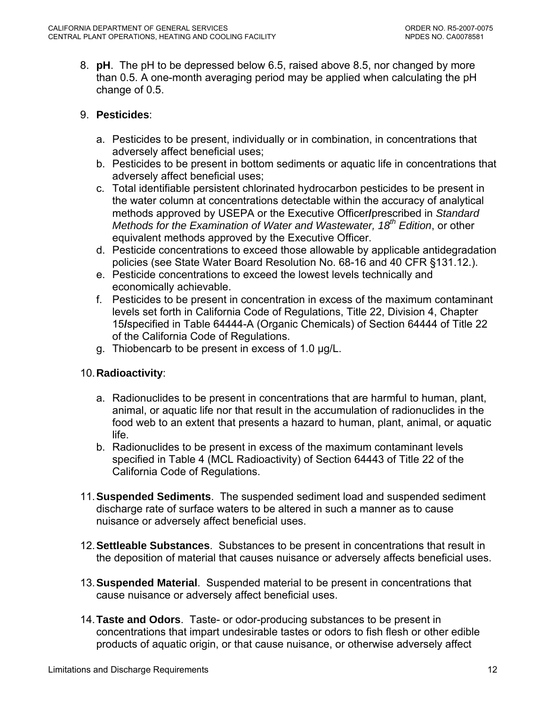8. **pH**. The pH to be depressed below 6.5, raised above 8.5, nor changed by more than 0.5. A one-month averaging period may be applied when calculating the pH change of 0.5.

## 9. **Pesticides**:

- a. Pesticides to be present, individually or in combination, in concentrations that adversely affect beneficial uses;
- b. Pesticides to be present in bottom sediments or aquatic life in concentrations that adversely affect beneficial uses;
- c. Total identifiable persistent chlorinated hydrocarbon pesticides to be present in the water column at concentrations detectable within the accuracy of analytical methods approved by USEPA or the Executive Officer**/**prescribed in *Standard Methods for the Examination of Water and Wastewater, 18<sup>th</sup> Edition, or other* equivalent methods approved by the Executive Officer.
- d. Pesticide concentrations to exceed those allowable by applicable antidegradation policies (see State Water Board Resolution No. 68-16 and 40 CFR §131.12.).
- e. Pesticide concentrations to exceed the lowest levels technically and economically achievable.
- f. Pesticides to be present in concentration in excess of the maximum contaminant levels set forth in California Code of Regulations, Title 22, Division 4, Chapter 15**/**specified in Table 64444-A (Organic Chemicals) of Section 64444 of Title 22 of the California Code of Regulations.
- g. Thiobencarb to be present in excess of 1.0 µg/L.

## 10. **Radioactivity**:

- a. Radionuclides to be present in concentrations that are harmful to human, plant, animal, or aquatic life nor that result in the accumulation of radionuclides in the food web to an extent that presents a hazard to human, plant, animal, or aquatic life.
- b. Radionuclides to be present in excess of the maximum contaminant levels specified in Table 4 (MCL Radioactivity) of Section 64443 of Title 22 of the California Code of Regulations.
- 11.**Suspended Sediments**. The suspended sediment load and suspended sediment discharge rate of surface waters to be altered in such a manner as to cause nuisance or adversely affect beneficial uses.
- 12. **Settleable Substances**. Substances to be present in concentrations that result in the deposition of material that causes nuisance or adversely affects beneficial uses.
- 13.**Suspended Material**. Suspended material to be present in concentrations that cause nuisance or adversely affect beneficial uses.
- 14. **Taste and Odors**. Taste- or odor-producing substances to be present in concentrations that impart undesirable tastes or odors to fish flesh or other edible products of aquatic origin, or that cause nuisance, or otherwise adversely affect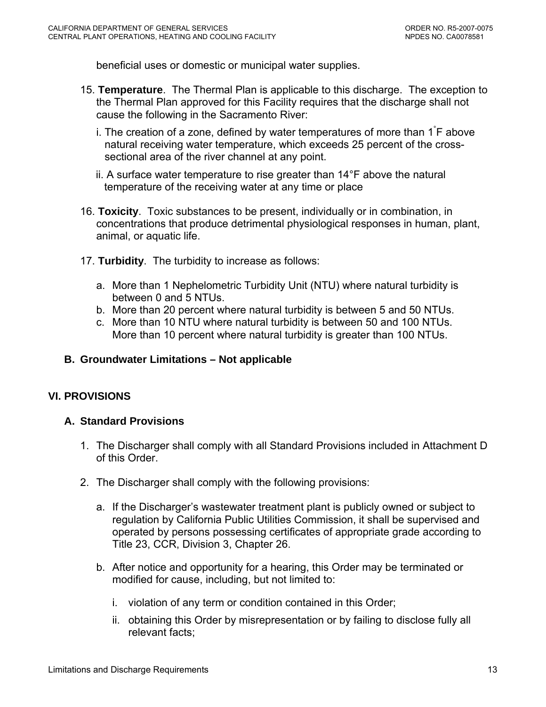<span id="page-12-0"></span>beneficial uses or domestic or municipal water supplies.

- 15. **Temperature**. The Thermal Plan is applicable to this discharge. The exception to the Thermal Plan approved for this Facility requires that the discharge shall not cause the following in the Sacramento River:
	- i. The creation of a zone, defined by water temperatures of more than  $1\degree$ F above natural receiving water temperature, which exceeds 25 percent of the crosssectional area of the river channel at any point.
	- ii. A surface water temperature to rise greater than 14°F above the natural temperature of the receiving water at any time or place
- 16. **Toxicity**. Toxic substances to be present, individually or in combination, in concentrations that produce detrimental physiological responses in human, plant, animal, or aquatic life.
- 17. **Turbidity**. The turbidity to increase as follows:
	- a. More than 1 Nephelometric Turbidity Unit (NTU) where natural turbidity is between 0 and 5 NTUs.
	- b. More than 20 percent where natural turbidity is between 5 and 50 NTUs.
	- c. More than 10 NTU where natural turbidity is between 50 and 100 NTUs. More than 10 percent where natural turbidity is greater than 100 NTUs.

### **B. Groundwater Limitations – Not applicable**

## **VI. PROVISIONS**

### **A. Standard Provisions**

- 1. The Discharger shall comply with all Standard Provisions included in Attachment D of this Order.
- 2. The Discharger shall comply with the following provisions:
	- a. If the Discharger's wastewater treatment plant is publicly owned or subject to regulation by California Public Utilities Commission, it shall be supervised and operated by persons possessing certificates of appropriate grade according to Title 23, CCR, Division 3, Chapter 26.
	- b. After notice and opportunity for a hearing, this Order may be terminated or modified for cause, including, but not limited to:
		- i. violation of any term or condition contained in this Order;
		- ii. obtaining this Order by misrepresentation or by failing to disclose fully all relevant facts;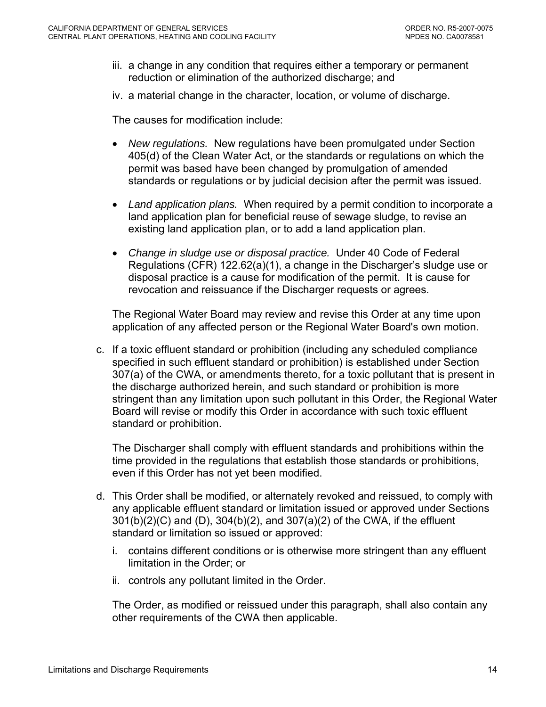- iii. a change in any condition that requires either a temporary or permanent reduction or elimination of the authorized discharge; and
- iv. a material change in the character, location, or volume of discharge.

The causes for modification include:

- *New regulations.* New regulations have been promulgated under Section 405(d) of the Clean Water Act, or the standards or regulations on which the permit was based have been changed by promulgation of amended standards or regulations or by judicial decision after the permit was issued.
- *Land application plans.* When required by a permit condition to incorporate a land application plan for beneficial reuse of sewage sludge, to revise an existing land application plan, or to add a land application plan.
- *Change in sludge use or disposal practice.* Under 40 Code of Federal Regulations (CFR) 122.62(a)(1), a change in the Discharger's sludge use or disposal practice is a cause for modification of the permit. It is cause for revocation and reissuance if the Discharger requests or agrees.

The Regional Water Board may review and revise this Order at any time upon application of any affected person or the Regional Water Board's own motion.

c. If a toxic effluent standard or prohibition (including any scheduled compliance specified in such effluent standard or prohibition) is established under Section 307(a) of the CWA, or amendments thereto, for a toxic pollutant that is present in the discharge authorized herein, and such standard or prohibition is more stringent than any limitation upon such pollutant in this Order, the Regional Water Board will revise or modify this Order in accordance with such toxic effluent standard or prohibition.

The Discharger shall comply with effluent standards and prohibitions within the time provided in the regulations that establish those standards or prohibitions, even if this Order has not yet been modified.

- d. This Order shall be modified, or alternately revoked and reissued, to comply with any applicable effluent standard or limitation issued or approved under Sections 301(b)(2)(C) and (D), 304(b)(2), and 307(a)(2) of the CWA, if the effluent standard or limitation so issued or approved:
	- i. contains different conditions or is otherwise more stringent than any effluent limitation in the Order; or
	- ii. controls any pollutant limited in the Order.

The Order, as modified or reissued under this paragraph, shall also contain any other requirements of the CWA then applicable.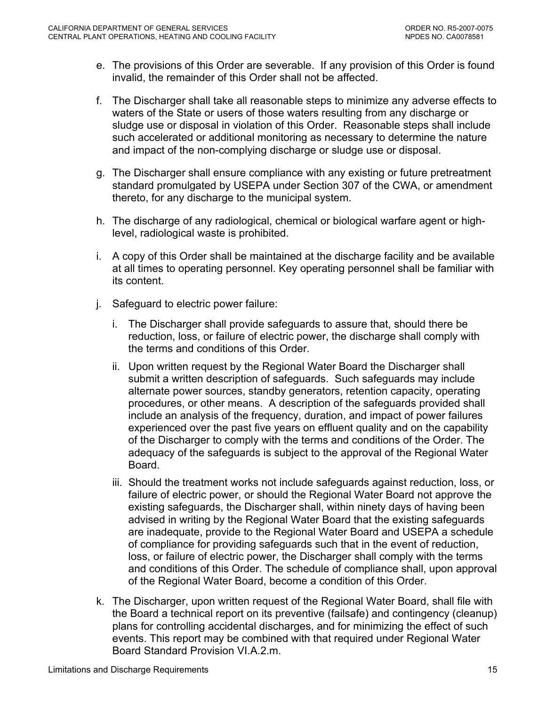- e. The provisions of this Order are severable. If any provision of this Order is found invalid, the remainder of this Order shall not be affected.
- f. The Discharger shall take all reasonable steps to minimize any adverse effects to waters of the State or users of those waters resulting from any discharge or sludge use or disposal in violation of this Order. Reasonable steps shall include such accelerated or additional monitoring as necessary to determine the nature and impact of the non-complying discharge or sludge use or disposal.
- g. The Discharger shall ensure compliance with any existing or future pretreatment standard promulgated by USEPA under Section 307 of the CWA, or amendment thereto, for any discharge to the municipal system.
- h. The discharge of any radiological, chemical or biological warfare agent or highlevel, radiological waste is prohibited.
- i. A copy of this Order shall be maintained at the discharge facility and be available at all times to operating personnel. Key operating personnel shall be familiar with its content.
- j. Safeguard to electric power failure:
	- i. The Discharger shall provide safeguards to assure that, should there be reduction, loss, or failure of electric power, the discharge shall comply with the terms and conditions of this Order.
	- ii. Upon written request by the Regional Water Board the Discharger shall submit a written description of safeguards. Such safeguards may include alternate power sources, standby generators, retention capacity, operating procedures, or other means. A description of the safeguards provided shall include an analysis of the frequency, duration, and impact of power failures experienced over the past five years on effluent quality and on the capability of the Discharger to comply with the terms and conditions of the Order. The adequacy of the safeguards is subject to the approval of the Regional Water Board.
	- iii. Should the treatment works not include safeguards against reduction, loss, or failure of electric power, or should the Regional Water Board not approve the existing safeguards, the Discharger shall, within ninety days of having been advised in writing by the Regional Water Board that the existing safeguards are inadequate, provide to the Regional Water Board and USEPA a schedule of compliance for providing safeguards such that in the event of reduction, loss, or failure of electric power, the Discharger shall comply with the terms and conditions of this Order. The schedule of compliance shall, upon approval of the Regional Water Board, become a condition of this Order.
- k. The Discharger, upon written request of the Regional Water Board, shall file with the Board a technical report on its preventive (failsafe) and contingency (cleanup) plans for controlling accidental discharges, and for minimizing the effect of such events. This report may be combined with that required under Regional Water Board Standard Provision VI.A.2.m.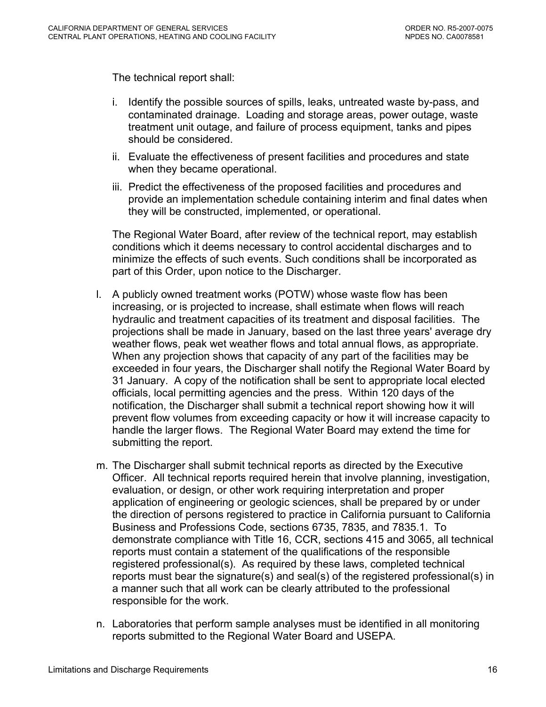The technical report shall:

- i. Identify the possible sources of spills, leaks, untreated waste by-pass, and contaminated drainage. Loading and storage areas, power outage, waste treatment unit outage, and failure of process equipment, tanks and pipes should be considered.
- ii. Evaluate the effectiveness of present facilities and procedures and state when they became operational.
- iii. Predict the effectiveness of the proposed facilities and procedures and provide an implementation schedule containing interim and final dates when they will be constructed, implemented, or operational.

The Regional Water Board, after review of the technical report, may establish conditions which it deems necessary to control accidental discharges and to minimize the effects of such events. Such conditions shall be incorporated as part of this Order, upon notice to the Discharger.

- l. A publicly owned treatment works (POTW) whose waste flow has been increasing, or is projected to increase, shall estimate when flows will reach hydraulic and treatment capacities of its treatment and disposal facilities. The projections shall be made in January, based on the last three years' average dry weather flows, peak wet weather flows and total annual flows, as appropriate. When any projection shows that capacity of any part of the facilities may be exceeded in four years, the Discharger shall notify the Regional Water Board by 31 January. A copy of the notification shall be sent to appropriate local elected officials, local permitting agencies and the press. Within 120 days of the notification, the Discharger shall submit a technical report showing how it will prevent flow volumes from exceeding capacity or how it will increase capacity to handle the larger flows. The Regional Water Board may extend the time for submitting the report.
- m. The Discharger shall submit technical reports as directed by the Executive Officer. All technical reports required herein that involve planning, investigation, evaluation, or design, or other work requiring interpretation and proper application of engineering or geologic sciences, shall be prepared by or under the direction of persons registered to practice in California pursuant to California Business and Professions Code, sections 6735, 7835, and 7835.1. To demonstrate compliance with Title 16, CCR, sections 415 and 3065, all technical reports must contain a statement of the qualifications of the responsible registered professional(s). As required by these laws, completed technical reports must bear the signature(s) and seal(s) of the registered professional(s) in a manner such that all work can be clearly attributed to the professional responsible for the work.
- n. Laboratories that perform sample analyses must be identified in all monitoring reports submitted to the Regional Water Board and USEPA.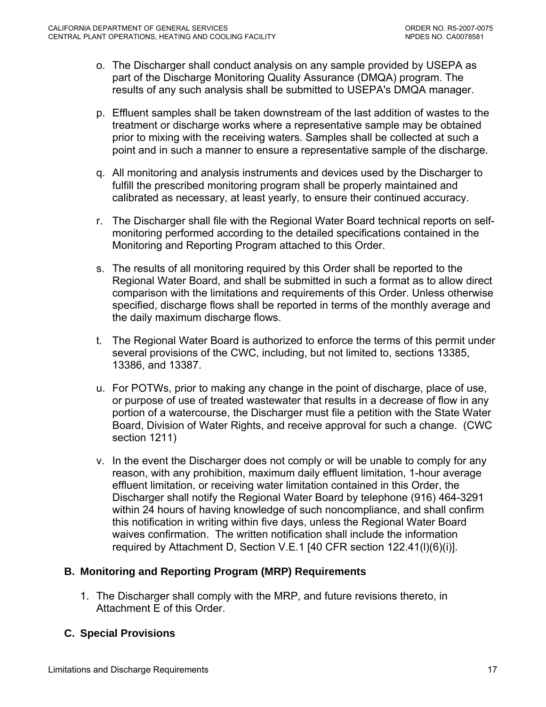- <span id="page-16-0"></span>o. The Discharger shall conduct analysis on any sample provided by USEPA as part of the Discharge Monitoring Quality Assurance (DMQA) program. The results of any such analysis shall be submitted to USEPA's DMQA manager.
- p. Effluent samples shall be taken downstream of the last addition of wastes to the treatment or discharge works where a representative sample may be obtained prior to mixing with the receiving waters. Samples shall be collected at such a point and in such a manner to ensure a representative sample of the discharge.
- q. All monitoring and analysis instruments and devices used by the Discharger to fulfill the prescribed monitoring program shall be properly maintained and calibrated as necessary, at least yearly, to ensure their continued accuracy.
- r. The Discharger shall file with the Regional Water Board technical reports on selfmonitoring performed according to the detailed specifications contained in the Monitoring and Reporting Program attached to this Order.
- s. The results of all monitoring required by this Order shall be reported to the Regional Water Board, and shall be submitted in such a format as to allow direct comparison with the limitations and requirements of this Order. Unless otherwise specified, discharge flows shall be reported in terms of the monthly average and the daily maximum discharge flows.
- t. The Regional Water Board is authorized to enforce the terms of this permit under several provisions of the CWC, including, but not limited to, sections 13385, 13386, and 13387.
- u. For POTWs, prior to making any change in the point of discharge, place of use, or purpose of use of treated wastewater that results in a decrease of flow in any portion of a watercourse, the Discharger must file a petition with the State Water Board, Division of Water Rights, and receive approval for such a change. (CWC section 1211)
- v. In the event the Discharger does not comply or will be unable to comply for any reason, with any prohibition, maximum daily effluent limitation, 1-hour average effluent limitation, or receiving water limitation contained in this Order, the Discharger shall notify the Regional Water Board by telephone (916) 464-3291 within 24 hours of having knowledge of such noncompliance, and shall confirm this notification in writing within five days, unless the Regional Water Board waives confirmation. The written notification shall include the information required by [Attachment D, Section V.E.1](#page-0-0) [40 CFR section 122.41(l)(6)(i)].

## **B. Monitoring and Reporting Program (MRP) Requirements**

1. The Discharger shall comply with the MRP, and future revisions thereto, in Attachment E of this Order.

# **C. Special Provisions**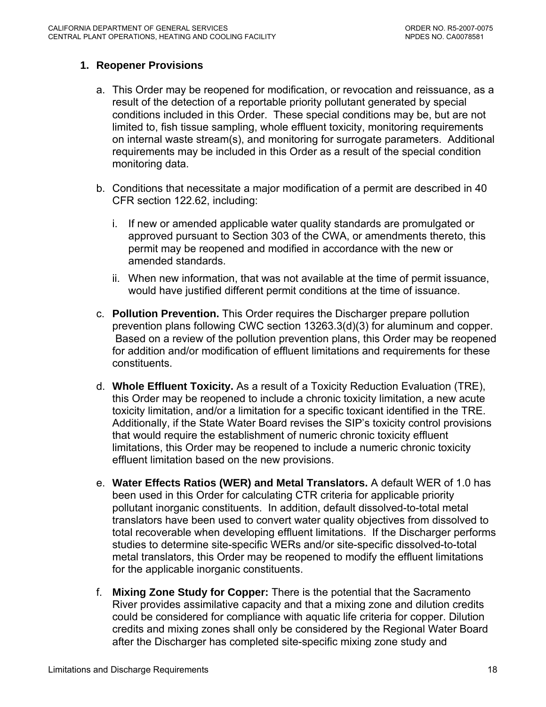### <span id="page-17-0"></span>**1. Reopener Provisions**

- a. This Order may be reopened for modification, or revocation and reissuance, as a result of the detection of a reportable priority pollutant generated by special conditions included in this Order. These special conditions may be, but are not limited to, fish tissue sampling, whole effluent toxicity, monitoring requirements on internal waste stream(s), and monitoring for surrogate parameters. Additional requirements may be included in this Order as a result of the special condition monitoring data.
- b. Conditions that necessitate a major modification of a permit are described in 40 CFR section 122.62, including:
	- i. If new or amended applicable water quality standards are promulgated or approved pursuant to Section 303 of the CWA, or amendments thereto, this permit may be reopened and modified in accordance with the new or amended standards.
	- ii. When new information, that was not available at the time of permit issuance, would have justified different permit conditions at the time of issuance.
- c. **Pollution Prevention.** This Order requires the Discharger prepare pollution prevention plans following CWC section 13263.3(d)(3) for aluminum and copper. Based on a review of the pollution prevention plans, this Order may be reopened for addition and/or modification of effluent limitations and requirements for these constituents.
- d. **Whole Effluent Toxicity.** As a result of a Toxicity Reduction Evaluation (TRE), this Order may be reopened to include a chronic toxicity limitation, a new acute toxicity limitation, and/or a limitation for a specific toxicant identified in the TRE. Additionally, if the State Water Board revises the SIP's toxicity control provisions that would require the establishment of numeric chronic toxicity effluent limitations, this Order may be reopened to include a numeric chronic toxicity effluent limitation based on the new provisions.
- e. **Water Effects Ratios (WER) and Metal Translators.** A default WER of 1.0 has been used in this Order for calculating CTR criteria for applicable priority pollutant inorganic constituents.In addition, default dissolved-to-total metal translators have been used to convert water quality objectives from dissolved to total recoverable when developing effluent limitations. If the Discharger performs studies to determine site-specific WERs and/or site-specific dissolved-to-total metal translators, this Order may be reopened to modify the effluent limitations for the applicable inorganic constituents.
- f. **Mixing Zone Study for Copper:** There is the potential that the Sacramento River provides assimilative capacity and that a mixing zone and dilution credits could be considered for compliance with aquatic life criteria for copper. Dilution credits and mixing zones shall only be considered by the Regional Water Board after the Discharger has completed site-specific mixing zone study and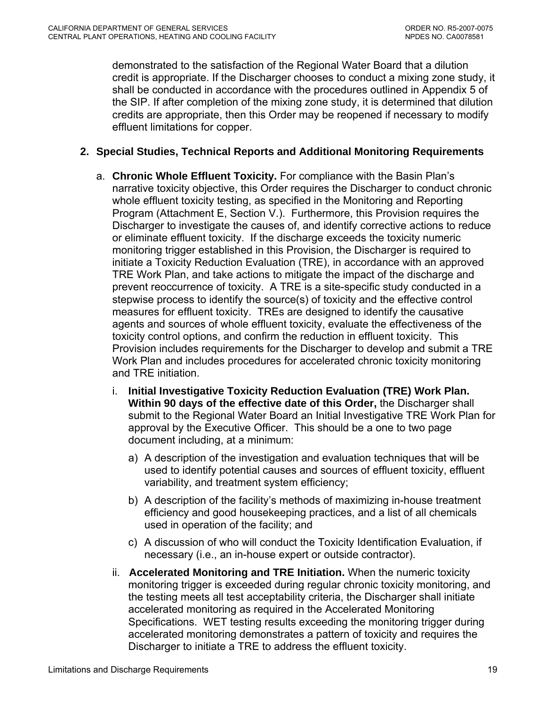<span id="page-18-0"></span>demonstrated to the satisfaction of the Regional Water Board that a dilution credit is appropriate. If the Discharger chooses to conduct a mixing zone study, it shall be conducted in accordance with the procedures outlined in Appendix 5 of the SIP. If after completion of the mixing zone study, it is determined that dilution credits are appropriate, then this Order may be reopened if necessary to modify effluent limitations for copper.

### **2. Special Studies, Technical Reports and Additional Monitoring Requirements**

- a. **Chronic Whole Effluent Toxicity.** For compliance with the Basin Plan's narrative toxicity objective, this Order requires the Discharger to conduct chronic whole effluent toxicity testing, as specified in the Monitoring and Reporting Program (Attachment E, Section V.). Furthermore, this Provision requires the Discharger to investigate the causes of, and identify corrective actions to reduce or eliminate effluent toxicity. If the discharge exceeds the toxicity numeric monitoring trigger established in this Provision, the Discharger is required to initiate a Toxicity Reduction Evaluation (TRE), in accordance with an approved TRE Work Plan, and take actions to mitigate the impact of the discharge and prevent reoccurrence of toxicity. A TRE is a site-specific study conducted in a stepwise process to identify the source(s) of toxicity and the effective control measures for effluent toxicity. TREs are designed to identify the causative agents and sources of whole effluent toxicity, evaluate the effectiveness of the toxicity control options, and confirm the reduction in effluent toxicity. This Provision includes requirements for the Discharger to develop and submit a TRE Work Plan and includes procedures for accelerated chronic toxicity monitoring and TRE initiation.
	- i. **Initial Investigative Toxicity Reduction Evaluation (TRE) Work Plan. Within 90 days of the effective date of this Order,** the Discharger shall submit to the Regional Water Board an Initial Investigative TRE Work Plan for approval by the Executive Officer. This should be a one to two page document including, at a minimum:
		- a) A description of the investigation and evaluation techniques that will be used to identify potential causes and sources of effluent toxicity, effluent variability, and treatment system efficiency;
		- b) A description of the facility's methods of maximizing in-house treatment efficiency and good housekeeping practices, and a list of all chemicals used in operation of the facility; and
		- c) A discussion of who will conduct the Toxicity Identification Evaluation, if necessary (i.e., an in-house expert or outside contractor).
	- ii. **Accelerated Monitoring and TRE Initiation.** When the numeric toxicity monitoring trigger is exceeded during regular chronic toxicity monitoring, and the testing meets all test acceptability criteria, the Discharger shall initiate accelerated monitoring as required in the Accelerated Monitoring Specifications. WET testing results exceeding the monitoring trigger during accelerated monitoring demonstrates a pattern of toxicity and requires the Discharger to initiate a TRE to address the effluent toxicity.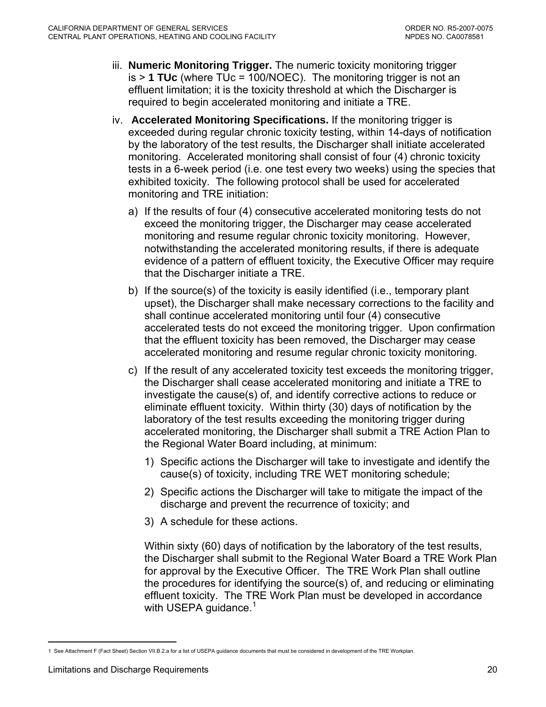- <span id="page-19-0"></span>iii. **Numeric Monitoring Trigger.** The numeric toxicity monitoring trigger is > **1 TUc** (where TUc = 100/NOEC). The monitoring trigger is not an effluent limitation; it is the toxicity threshold at which the Discharger is required to begin accelerated monitoring and initiate a TRE.
- iv. **Accelerated Monitoring Specifications.** If the monitoring trigger is exceeded during regular chronic toxicity testing, within 14-days of notification by the laboratory of the test results, the Discharger shall initiate accelerated monitoring. Accelerated monitoring shall consist of four (4) chronic toxicity tests in a 6-week period (i.e. one test every two weeks) using the species that exhibited toxicity. The following protocol shall be used for accelerated monitoring and TRE initiation:
	- a) If the results of four (4) consecutive accelerated monitoring tests do not exceed the monitoring trigger, the Discharger may cease accelerated monitoring and resume regular chronic toxicity monitoring. However, notwithstanding the accelerated monitoring results, if there is adequate evidence of a pattern of effluent toxicity, the Executive Officer may require that the Discharger initiate a TRE.
	- b) If the source(s) of the toxicity is easily identified (i.e., temporary plant upset), the Discharger shall make necessary corrections to the facility and shall continue accelerated monitoring until four (4) consecutive accelerated tests do not exceed the monitoring trigger. Upon confirmation that the effluent toxicity has been removed, the Discharger may cease accelerated monitoring and resume regular chronic toxicity monitoring.
	- c) If the result of any accelerated toxicity test exceeds the monitoring trigger, the Discharger shall cease accelerated monitoring and initiate a TRE to investigate the cause(s) of, and identify corrective actions to reduce or eliminate effluent toxicity. Within thirty (30) days of notification by the laboratory of the test results exceeding the monitoring trigger during accelerated monitoring, the Discharger shall submit a TRE Action Plan to the Regional Water Board including, at minimum:
		- 1) Specific actions the Discharger will take to investigate and identify the cause(s) of toxicity, including TRE WET monitoring schedule;
		- 2) Specific actions the Discharger will take to mitigate the impact of the discharge and prevent the recurrence of toxicity; and
		- 3) A schedule for these actions.

Within sixty (60) days of notification by the laboratory of the test results, the Discharger shall submit to the Regional Water Board a TRE Work Plan for approval by the Executive Officer. The TRE Work Plan shall outline the procedures for identifying the source(s) of, and reducing or eliminating effluent toxicity. The TRE Work Plan must be developed in accordance with USEPA guidance.<sup>[1](#page-19-0)</sup>

 $\overline{a}$ 1 See Attachment F (Fact Sheet) Section VII.B.2.a for a list of USEPA guidance documents that must be considered in development of the TRE Workplan.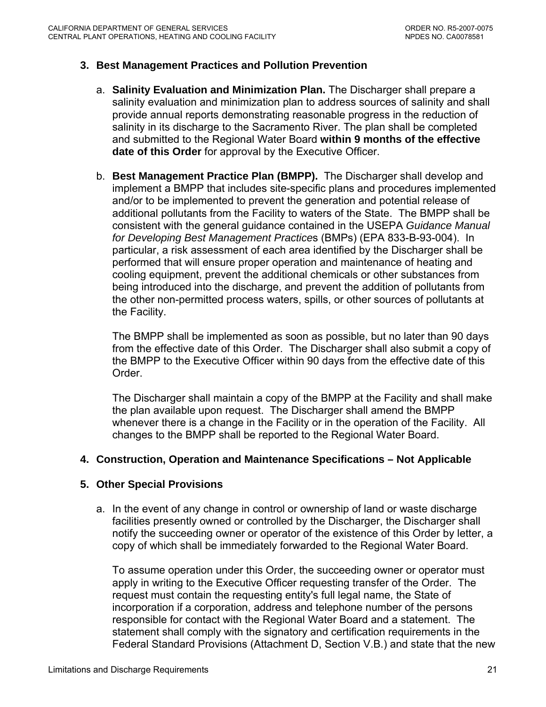### <span id="page-20-0"></span>**3. Best Management Practices and Pollution Prevention**

- a. **Salinity Evaluation and Minimization Plan.** The Discharger shall prepare a salinity evaluation and minimization plan to address sources of salinity and shall provide annual reports demonstrating reasonable progress in the reduction of salinity in its discharge to the Sacramento River. The plan shall be completed and submitted to the Regional Water Board **within 9 months of the effective date of this Order** for approval by the Executive Officer.
- b. **Best Management Practice Plan (BMPP).** The Discharger shall develop and implement a BMPP that includes site-specific plans and procedures implemented and/or to be implemented to prevent the generation and potential release of additional pollutants from the Facility to waters of the State. The BMPP shall be consistent with the general guidance contained in the USEPA *Guidance Manual for Developing Best Management Practice*s (BMPs) (EPA 833-B-93-004). In particular, a risk assessment of each area identified by the Discharger shall be performed that will ensure proper operation and maintenance of heating and cooling equipment, prevent the additional chemicals or other substances from being introduced into the discharge, and prevent the addition of pollutants from the other non-permitted process waters, spills, or other sources of pollutants at the Facility.

The BMPP shall be implemented as soon as possible, but no later than 90 days from the effective date of this Order. The Discharger shall also submit a copy of the BMPP to the Executive Officer within 90 days from the effective date of this Order.

The Discharger shall maintain a copy of the BMPP at the Facility and shall make the plan available upon request. The Discharger shall amend the BMPP whenever there is a change in the Facility or in the operation of the Facility. All changes to the BMPP shall be reported to the Regional Water Board.

### **4. Construction, Operation and Maintenance Specifications – Not Applicable**

### **5. Other Special Provisions**

a. In the event of any change in control or ownership of land or waste discharge facilities presently owned or controlled by the Discharger, the Discharger shall notify the succeeding owner or operator of the existence of this Order by letter, a copy of which shall be immediately forwarded to the Regional Water Board.

To assume operation under this Order, the succeeding owner or operator must apply in writing to the Executive Officer requesting transfer of the Order. The request must contain the requesting entity's full legal name, the State of incorporation if a corporation, address and telephone number of the persons responsible for contact with the Regional Water Board and a statement. The statement shall comply with the signatory and certification requirements in the Federal Standard Provisions (Attachment D, Section V.B.) and state that the new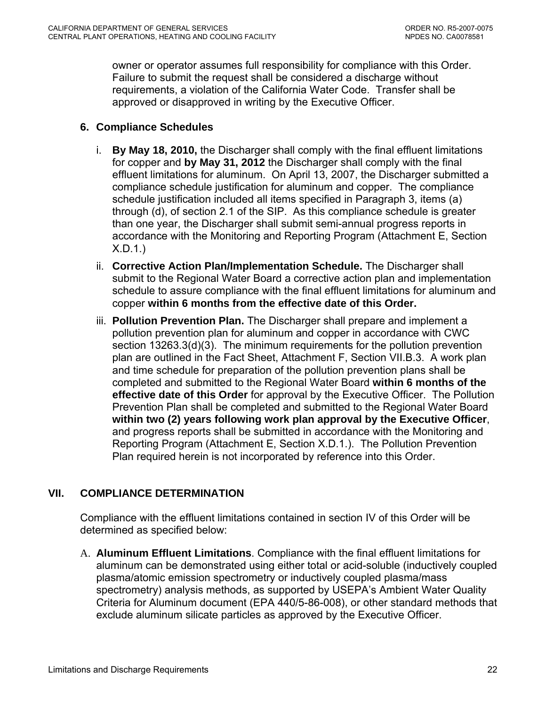<span id="page-21-0"></span>owner or operator assumes full responsibility for compliance with this Order. Failure to submit the request shall be considered a discharge without requirements, a violation of the California Water Code. Transfer shall be approved or disapproved in writing by the Executive Officer.

### **6. Compliance Schedules**

- i. **By May 18, 2010,** the Discharger shall comply with the final effluent limitations for copper and **by May 31, 2012** the Discharger shall comply with the final effluent limitations for aluminum. On April 13, 2007, the Discharger submitted a compliance schedule justification for aluminum and copper. The compliance schedule justification included all items specified in Paragraph 3, items (a) through (d), of section 2.1 of the SIP. As this compliance schedule is greater than one year, the Discharger shall submit semi-annual progress reports in accordance with the Monitoring and Reporting Program ([Attachment E, Section](#page-49-0)  [X.D.1.](#page-49-0))
- ii. **Corrective Action Plan/Implementation Schedule.** The Discharger shall submit to the Regional Water Board a corrective action plan and implementation schedule to assure compliance with the final effluent limitations for aluminum and copper **within 6 months from the effective date of this Order.**
- iii. **Pollu**t**ion Prevention Plan.** The Discharger shall prepare and implement a pollution prevention plan for aluminum and copper in accordance with CWC section 13263.3(d)(3). The minimum requirements for the pollution prevention plan are outlined in the Fact Sheet, Attachment F, Section VII.B.3. A work plan and time schedule for preparation of the pollution prevention plans shall be completed and submitted to the Regional Water Board **within 6 months of the effective date of this Order** for approval by the Executive Officer. The Pollution Prevention Plan shall be completed and submitted to the Regional Water Board **within two (2) years following work plan approval by the Executive Officer**, and progress reports shall be submitted in accordance with the Monitoring and Reporting Program ([Attachment E, Section X.D.1.](#page-49-0)). The Pollution Prevention Plan required herein is not incorporated by reference into this Order.

## **VII. COMPLIANCE DETERMINATION**

Compliance with the effluent limitations contained in section IV of this Order will be determined as specified below:

A. **Aluminum Effluent Limitations**. Compliance with the final effluent limitations for aluminum can be demonstrated using either total or acid-soluble (inductively coupled plasma/atomic emission spectrometry or inductively coupled plasma/mass spectrometry) analysis methods, as supported by USEPA's Ambient Water Quality Criteria for Aluminum document (EPA 440/5-86-008), or other standard methods that exclude aluminum silicate particles as approved by the Executive Officer.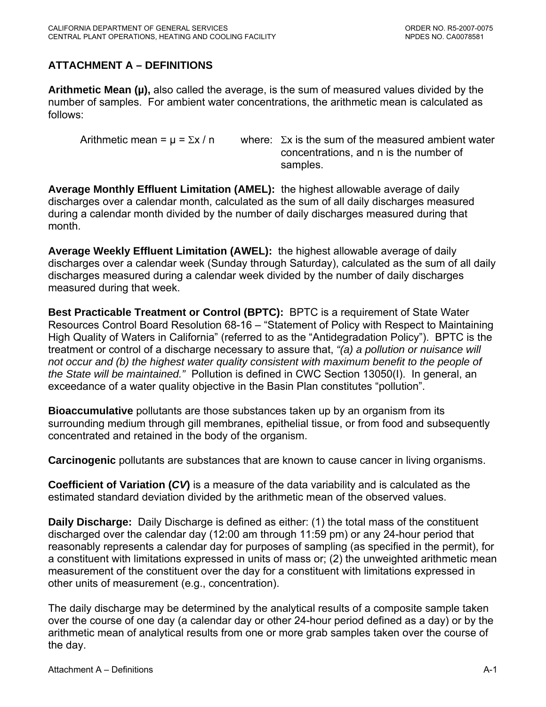# <span id="page-22-0"></span>**ATTACHMENT A – DEFINITIONS**

**Arithmetic Mean (µ),** also called the average, is the sum of measured values divided by the number of samples. For ambient water concentrations, the arithmetic mean is calculated as follows:

Arithmetic mean =  $\mu$  =  $\Sigma x / n$  where:  $\Sigma x$  is the sum of the measured ambient water concentrations, and n is the number of samples.

**Average Monthly Effluent Limitation (AMEL):** the highest allowable average of daily discharges over a calendar month, calculated as the sum of all daily discharges measured during a calendar month divided by the number of daily discharges measured during that month.

**Average Weekly Effluent Limitation (AWEL):** the highest allowable average of daily discharges over a calendar week (Sunday through Saturday), calculated as the sum of all daily discharges measured during a calendar week divided by the number of daily discharges measured during that week.

**Best Practicable Treatment or Control (BPTC):** BPTC is a requirement of State Water Resources Control Board Resolution 68-16 – "Statement of Policy with Respect to Maintaining High Quality of Waters in California" (referred to as the "Antidegradation Policy"). BPTC is the treatment or control of a discharge necessary to assure that, *"(a) a pollution or nuisance will not occur and (b) the highest water quality consistent with maximum benefit to the people of the State will be maintained."* Pollution is defined in CWC Section 13050(I). In general, an exceedance of a water quality objective in the Basin Plan constitutes "pollution".

**Bioaccumulative** pollutants are those substances taken up by an organism from its surrounding medium through gill membranes, epithelial tissue, or from food and subsequently concentrated and retained in the body of the organism.

**Carcinogenic** pollutants are substances that are known to cause cancer in living organisms.

**Coefficient of Variation (***CV***)** is a measure of the data variability and is calculated as the estimated standard deviation divided by the arithmetic mean of the observed values.

**Daily Discharge:** Daily Discharge is defined as either: (1) the total mass of the constituent discharged over the calendar day (12:00 am through 11:59 pm) or any 24-hour period that reasonably represents a calendar day for purposes of sampling (as specified in the permit), for a constituent with limitations expressed in units of mass or; (2) the unweighted arithmetic mean measurement of the constituent over the day for a constituent with limitations expressed in other units of measurement (e.g., concentration).

The daily discharge may be determined by the analytical results of a composite sample taken over the course of one day (a calendar day or other 24-hour period defined as a day) or by the arithmetic mean of analytical results from one or more grab samples taken over the course of the day.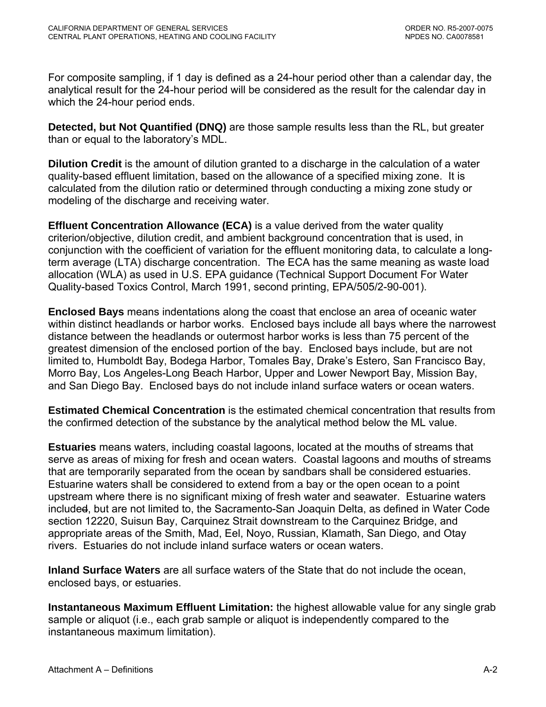For composite sampling, if 1 day is defined as a 24-hour period other than a calendar day, the analytical result for the 24-hour period will be considered as the result for the calendar day in which the 24-hour period ends.

**Detected, but Not Quantified (DNQ)** are those sample results less than the RL, but greater than or equal to the laboratory's MDL.

**Dilution Credit** is the amount of dilution granted to a discharge in the calculation of a water quality-based effluent limitation, based on the allowance of a specified mixing zone. It is calculated from the dilution ratio or determined through conducting a mixing zone study or modeling of the discharge and receiving water.

**Effluent Concentration Allowance (ECA)** is a value derived from the water quality criterion/objective, dilution credit, and ambient background concentration that is used, in conjunction with the coefficient of variation for the effluent monitoring data, to calculate a longterm average (LTA) discharge concentration. The ECA has the same meaning as waste load allocation (WLA) as used in U.S. EPA guidance (Technical Support Document For Water Quality-based Toxics Control, March 1991, second printing, EPA/505/2-90-001).

**Enclosed Bays** means indentations along the coast that enclose an area of oceanic water within distinct headlands or harbor works. Enclosed bays include all bays where the narrowest distance between the headlands or outermost harbor works is less than 75 percent of the greatest dimension of the enclosed portion of the bay. Enclosed bays include, but are not limited to, Humboldt Bay, Bodega Harbor, Tomales Bay, Drake's Estero, San Francisco Bay, Morro Bay, Los Angeles-Long Beach Harbor, Upper and Lower Newport Bay, Mission Bay, and San Diego Bay. Enclosed bays do not include inland surface waters or ocean waters.

**Estimated Chemical Concentration** is the estimated chemical concentration that results from the confirmed detection of the substance by the analytical method below the ML value.

**Estuaries** means waters, including coastal lagoons, located at the mouths of streams that serve as areas of mixing for fresh and ocean waters. Coastal lagoons and mouths of streams that are temporarily separated from the ocean by sandbars shall be considered estuaries. Estuarine waters shall be considered to extend from a bay or the open ocean to a point upstream where there is no significant mixing of fresh water and seawater. Estuarine waters included, but are not limited to, the Sacramento-San Joaquin Delta, as defined in Water Code section 12220, Suisun Bay, Carquinez Strait downstream to the Carquinez Bridge, and appropriate areas of the Smith, Mad, Eel, Noyo, Russian, Klamath, San Diego, and Otay rivers. Estuaries do not include inland surface waters or ocean waters.

**Inland Surface Waters** are all surface waters of the State that do not include the ocean, enclosed bays, or estuaries.

**Instantaneous Maximum Effluent Limitation:** the highest allowable value for any single grab sample or aliquot (i.e., each grab sample or aliquot is independently compared to the instantaneous maximum limitation).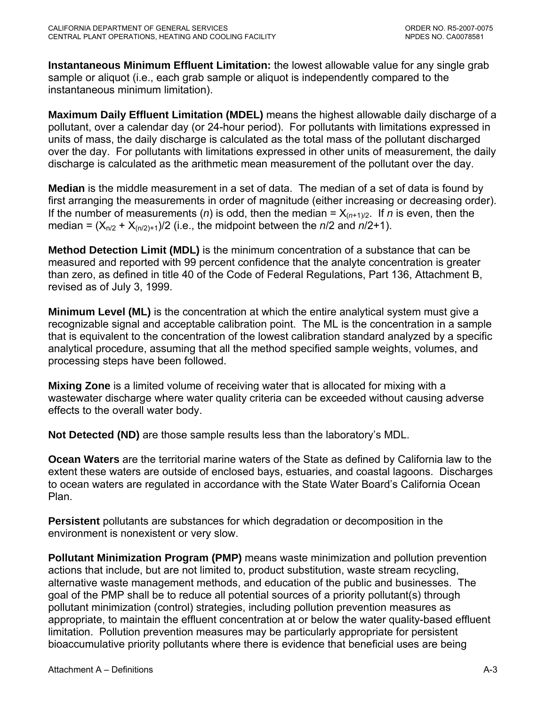**Instantaneous Minimum Effluent Limitation:** the lowest allowable value for any single grab sample or aliquot (i.e., each grab sample or aliquot is independently compared to the instantaneous minimum limitation).

**Maximum Daily Effluent Limitation (MDEL)** means the highest allowable daily discharge of a pollutant, over a calendar day (or 24-hour period). For pollutants with limitations expressed in units of mass, the daily discharge is calculated as the total mass of the pollutant discharged over the day. For pollutants with limitations expressed in other units of measurement, the daily discharge is calculated as the arithmetic mean measurement of the pollutant over the day.

**Median** is the middle measurement in a set of data. The median of a set of data is found by first arranging the measurements in order of magnitude (either increasing or decreasing order). If the number of measurements (*n*) is odd, then the median =  $X_{(n+1)/2}$ . If *n* is even, then the median =  $(X_{n/2} + X_{(n/2)+1})/2$  (i.e., the midpoint between the  $n/2$  and  $n/2+1$ ).

**Method Detection Limit (MDL)** is the minimum concentration of a substance that can be measured and reported with 99 percent confidence that the analyte concentration is greater than zero, as defined in title 40 of the Code of Federal Regulations, Part 136, Attachment B, revised as of July 3, 1999.

**Minimum Level (ML)** is the concentration at which the entire analytical system must give a recognizable signal and acceptable calibration point. The ML is the concentration in a sample that is equivalent to the concentration of the lowest calibration standard analyzed by a specific analytical procedure, assuming that all the method specified sample weights, volumes, and processing steps have been followed.

**Mixing Zone** is a limited volume of receiving water that is allocated for mixing with a wastewater discharge where water quality criteria can be exceeded without causing adverse effects to the overall water body.

**Not Detected (ND)** are those sample results less than the laboratory's MDL.

**Ocean Waters** are the territorial marine waters of the State as defined by California law to the extent these waters are outside of enclosed bays, estuaries, and coastal lagoons. Discharges to ocean waters are regulated in accordance with the State Water Board's California Ocean Plan.

**Persistent** pollutants are substances for which degradation or decomposition in the environment is nonexistent or very slow.

**Pollutant Minimization Program (PMP)** means waste minimization and pollution prevention actions that include, but are not limited to, product substitution, waste stream recycling, alternative waste management methods, and education of the public and businesses. The goal of the PMP shall be to reduce all potential sources of a priority pollutant(s) through pollutant minimization (control) strategies, including pollution prevention measures as appropriate, to maintain the effluent concentration at or below the water quality-based effluent limitation. Pollution prevention measures may be particularly appropriate for persistent bioaccumulative priority pollutants where there is evidence that beneficial uses are being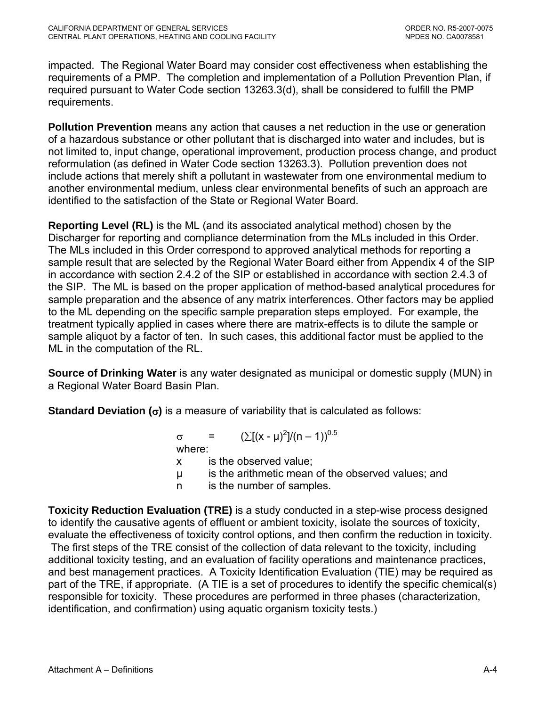impacted. The Regional Water Board may consider cost effectiveness when establishing the requirements of a PMP. The completion and implementation of a Pollution Prevention Plan, if required pursuant to Water Code section 13263.3(d), shall be considered to fulfill the PMP requirements.

**Pollution Prevention** means any action that causes a net reduction in the use or generation of a hazardous substance or other pollutant that is discharged into water and includes, but is not limited to, input change, operational improvement, production process change, and product reformulation (as defined in Water Code section 13263.3). Pollution prevention does not include actions that merely shift a pollutant in wastewater from one environmental medium to another environmental medium, unless clear environmental benefits of such an approach are identified to the satisfaction of the State or Regional Water Board.

**Reporting Level (RL)** is the ML (and its associated analytical method) chosen by the Discharger for reporting and compliance determination from the MLs included in this Order. The MLs included in this Order correspond to approved analytical methods for reporting a sample result that are selected by the Regional Water Board either from Appendix 4 of the SIP in accordance with section 2.4.2 of the SIP or established in accordance with section 2.4.3 of the SIP. The ML is based on the proper application of method-based analytical procedures for sample preparation and the absence of any matrix interferences. Other factors may be applied to the ML depending on the specific sample preparation steps employed. For example, the treatment typically applied in cases where there are matrix-effects is to dilute the sample or sample aliquot by a factor of ten. In such cases, this additional factor must be applied to the ML in the computation of the RL.

**Source of Drinking Water** is any water designated as municipal or domestic supply (MUN) in a Regional Water Board Basin Plan.

**Standard Deviation (**σ**)** is a measure of variability that is calculated as follows:

 $\sigma = (\sum [(x - μ)^2]/(n - 1))^{0.5}$ where:

- x is the observed value;
- µ is the arithmetic mean of the observed values; and
- n is the number of samples.

**Toxicity Reduction Evaluation (TRE)** is a study conducted in a step-wise process designed to identify the causative agents of effluent or ambient toxicity, isolate the sources of toxicity, evaluate the effectiveness of toxicity control options, and then confirm the reduction in toxicity. The first steps of the TRE consist of the collection of data relevant to the toxicity, including additional toxicity testing, and an evaluation of facility operations and maintenance practices, and best management practices. A Toxicity Identification Evaluation (TIE) may be required as part of the TRE, if appropriate. (A TIE is a set of procedures to identify the specific chemical(s) responsible for toxicity. These procedures are performed in three phases (characterization, identification, and confirmation) using aquatic organism toxicity tests.)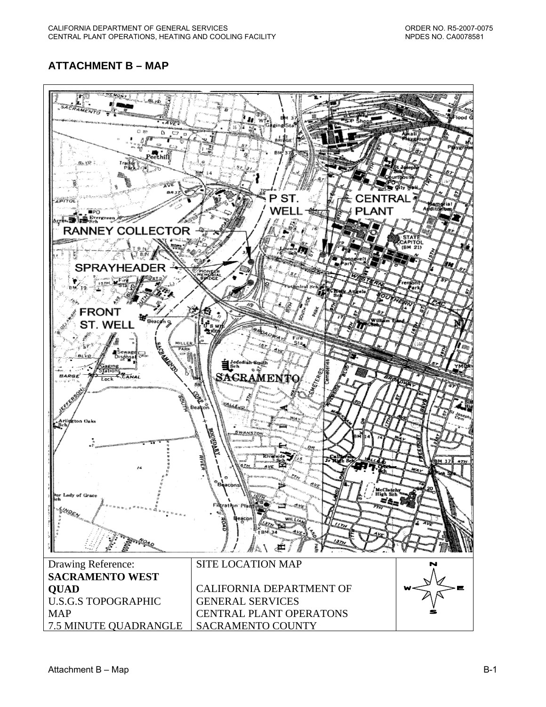# <span id="page-26-0"></span>**ATTACHMENT B – MAP**

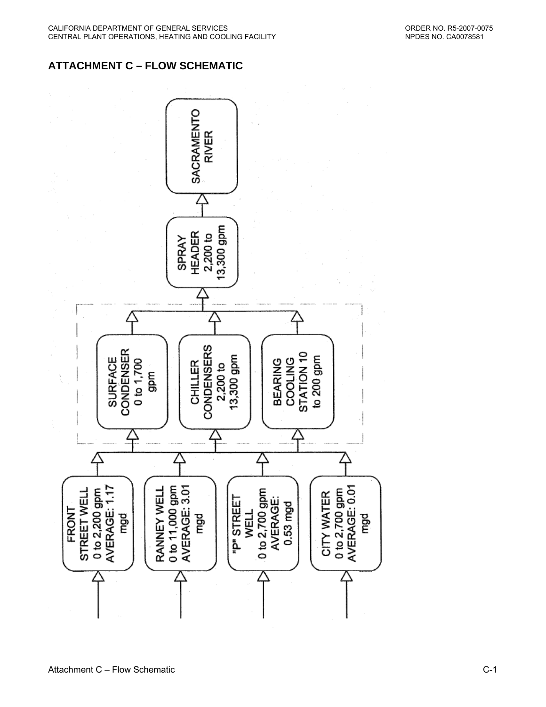# **ATTACHMENT C – FLOW SCHEMATIC**

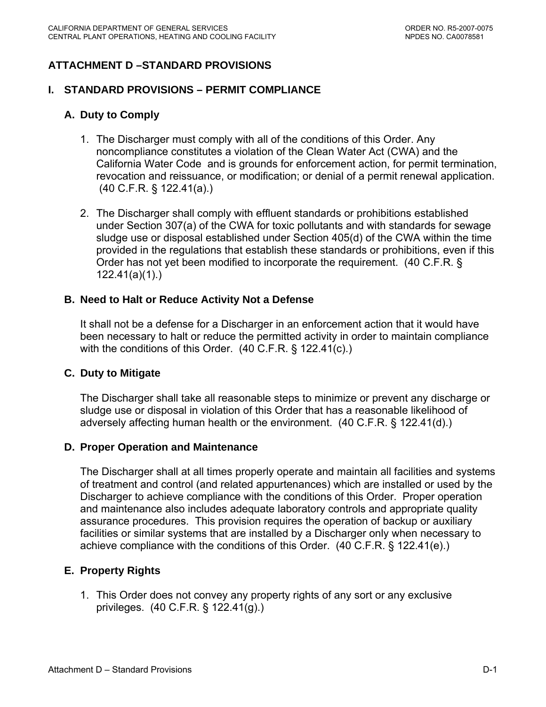# <span id="page-28-0"></span>**ATTACHMENT D –STANDARD PROVISIONS**

#### **I. STANDARD PROVISIONS – PERMIT COMPLIANCE**

### **A. Duty to Comply**

- 1. The Discharger must comply with all of the conditions of this Order. Any noncompliance constitutes a violation of the Clean Water Act (CWA) and the California Water Code and is grounds for enforcement action, for permit termination, revocation and reissuance, or modification; or denial of a permit renewal application. (40 C.F.R. § 122.41(a).)
- 2. The Discharger shall comply with effluent standards or prohibitions established under Section 307(a) of the CWA for toxic pollutants and with standards for sewage sludge use or disposal established under Section 405(d) of the CWA within the time provided in the regulations that establish these standards or prohibitions, even if this Order has not yet been modified to incorporate the requirement. (40 C.F.R. § 122.41(a)(1).)

#### **B. Need to Halt or Reduce Activity Not a Defense**

It shall not be a defense for a Discharger in an enforcement action that it would have been necessary to halt or reduce the permitted activity in order to maintain compliance with the conditions of this Order. (40 C.F.R. § 122.41(c).)

#### **C. Duty to Mitigate**

The Discharger shall take all reasonable steps to minimize or prevent any discharge or sludge use or disposal in violation of this Order that has a reasonable likelihood of adversely affecting human health or the environment. (40 C.F.R. § 122.41(d).)

#### **D. Proper Operation and Maintenance**

The Discharger shall at all times properly operate and maintain all facilities and systems of treatment and control (and related appurtenances) which are installed or used by the Discharger to achieve compliance with the conditions of this Order. Proper operation and maintenance also includes adequate laboratory controls and appropriate quality assurance procedures. This provision requires the operation of backup or auxiliary facilities or similar systems that are installed by a Discharger only when necessary to achieve compliance with the conditions of this Order. (40 C.F.R. § 122.41(e).)

### **E. Property Rights**

1. This Order does not convey any property rights of any sort or any exclusive privileges. (40 C.F.R. § 122.41(g).)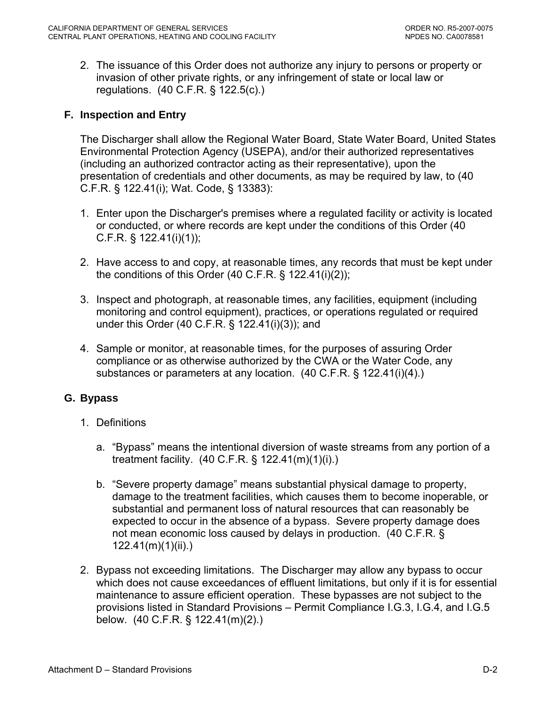<span id="page-29-0"></span>2. The issuance of this Order does not authorize any injury to persons or property or invasion of other private rights, or any infringement of state or local law or regulations. (40 C.F.R. § 122.5(c).)

### **F. Inspection and Entry**

The Discharger shall allow the Regional Water Board, State Water Board, United States Environmental Protection Agency (USEPA), and/or their authorized representatives (including an authorized contractor acting as their representative), upon the presentation of credentials and other documents, as may be required by law, to (40 C.F.R. § 122.41(i); Wat. Code, § 13383):

- 1. Enter upon the Discharger's premises where a regulated facility or activity is located or conducted, or where records are kept under the conditions of this Order (40 C.F.R. § 122.41(i)(1));
- 2. Have access to and copy, at reasonable times, any records that must be kept under the conditions of this Order (40 C.F.R. § 122.41(i)(2));
- 3. Inspect and photograph, at reasonable times, any facilities, equipment (including monitoring and control equipment), practices, or operations regulated or required under this Order (40 C.F.R. § 122.41(i)(3)); and
- 4. Sample or monitor, at reasonable times, for the purposes of assuring Order compliance or as otherwise authorized by the CWA or the Water Code, any substances or parameters at any location. (40 C.F.R. § 122.41(i)(4).)

### **G. Bypass**

- 1. Definitions
	- a. "Bypass" means the intentional diversion of waste streams from any portion of a treatment facility. (40 C.F.R. § 122.41(m)(1)(i).)
	- b. "Severe property damage" means substantial physical damage to property, damage to the treatment facilities, which causes them to become inoperable, or substantial and permanent loss of natural resources that can reasonably be expected to occur in the absence of a bypass. Severe property damage does not mean economic loss caused by delays in production. (40 C.F.R. § 122.41(m)(1)(ii).)
- 2. Bypass not exceeding limitations. The Discharger may allow any bypass to occur which does not cause exceedances of effluent limitations, but only if it is for essential maintenance to assure efficient operation. These bypasses are not subject to the provisions listed in Standard Provisions – Permit Compliance I.G.3, I.G.4, and I.G.5 below. (40 C.F.R. § 122.41(m)(2).)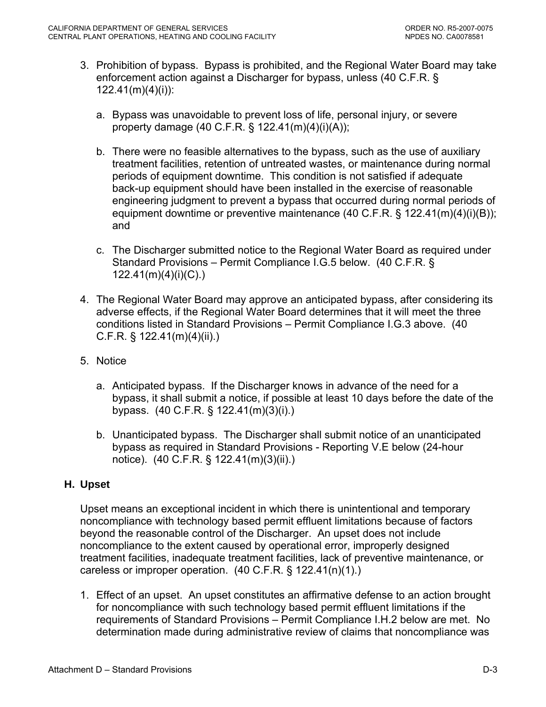- <span id="page-30-0"></span>3. Prohibition of bypass. Bypass is prohibited, and the Regional Water Board may take enforcement action against a Discharger for bypass, unless (40 C.F.R. § 122.41(m)(4)(i)):
	- a. Bypass was unavoidable to prevent loss of life, personal injury, or severe property damage (40 C.F.R. § 122.41(m)(4)(i)(A));
	- b. There were no feasible alternatives to the bypass, such as the use of auxiliary treatment facilities, retention of untreated wastes, or maintenance during normal periods of equipment downtime. This condition is not satisfied if adequate back-up equipment should have been installed in the exercise of reasonable engineering judgment to prevent a bypass that occurred during normal periods of equipment downtime or preventive maintenance (40 C.F.R. § 122.41(m)(4)(i)(B)); and
	- c. The Discharger submitted notice to the Regional Water Board as required under Standard Provisions – Permit Compliance I.G.5 below. (40 C.F.R. § 122.41(m)(4)(i)(C).)
- 4. The Regional Water Board may approve an anticipated bypass, after considering its adverse effects, if the Regional Water Board determines that it will meet the three conditions listed in Standard Provisions – Permit Compliance I.G.3 above. (40 C.F.R. § 122.41(m)(4)(ii).)
- 5. Notice
	- a. Anticipated bypass. If the Discharger knows in advance of the need for a bypass, it shall submit a notice, if possible at least 10 days before the date of the bypass. (40 C.F.R. § 122.41(m)(3)(i).)
	- b. Unanticipated bypass. The Discharger shall submit notice of an unanticipated bypass as required in Standard Provisions - Reporting V.E below (24-hour notice). (40 C.F.R. § 122.41(m)(3)(ii).)

## **H. Upset**

Upset means an exceptional incident in which there is unintentional and temporary noncompliance with technology based permit effluent limitations because of factors beyond the reasonable control of the Discharger. An upset does not include noncompliance to the extent caused by operational error, improperly designed treatment facilities, inadequate treatment facilities, lack of preventive maintenance, or careless or improper operation. (40 C.F.R. § 122.41(n)(1).)

1. Effect of an upset. An upset constitutes an affirmative defense to an action brought for noncompliance with such technology based permit effluent limitations if the requirements of Standard Provisions – Permit Compliance I.H.2 below are met. No determination made during administrative review of claims that noncompliance was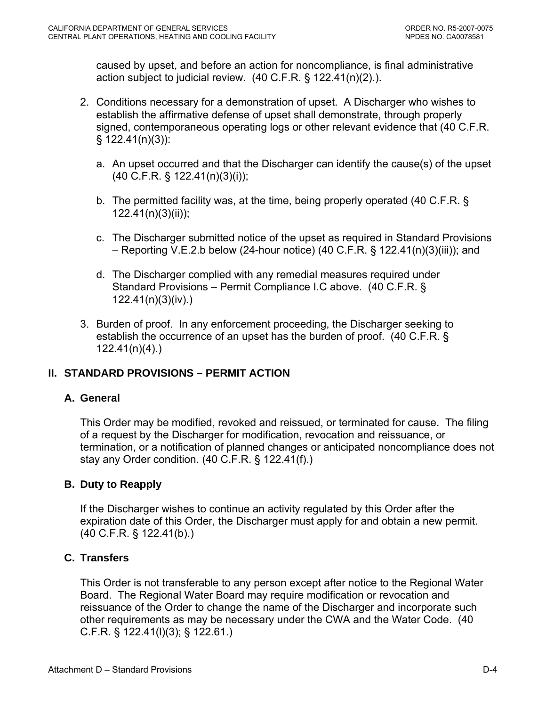caused by upset, and before an action for noncompliance, is final administrative action subject to judicial review. (40 C.F.R. § 122.41(n)(2).).

- 2. Conditions necessary for a demonstration of upset. A Discharger who wishes to establish the affirmative defense of upset shall demonstrate, through properly signed, contemporaneous operating logs or other relevant evidence that (40 C.F.R.  $§ 122.41(n)(3)$ :
	- a. An upset occurred and that the Discharger can identify the cause(s) of the upset (40 C.F.R. § 122.41(n)(3)(i));
	- b. The permitted facility was, at the time, being properly operated (40 C.F.R. § 122.41(n)(3)(ii));
	- c. The Discharger submitted notice of the upset as required in Standard Provisions – Reporting V.E.2.b below (24-hour notice) (40 C.F.R. § 122.41(n)(3)(iii)); and
	- d. The Discharger complied with any remedial measures required under Standard Provisions – Permit Compliance I.C above. (40 C.F.R. § 122.41(n)(3)(iv).)
- 3. Burden of proof. In any enforcement proceeding, the Discharger seeking to establish the occurrence of an upset has the burden of proof. (40 C.F.R. § 122.41(n)(4).)

## **II. STANDARD PROVISIONS – PERMIT ACTION**

## **A. General**

This Order may be modified, revoked and reissued, or terminated for cause. The filing of a request by the Discharger for modification, revocation and reissuance, or termination, or a notification of planned changes or anticipated noncompliance does not stay any Order condition. (40 C.F.R. § 122.41(f).)

## **B. Duty to Reapply**

If the Discharger wishes to continue an activity regulated by this Order after the expiration date of this Order, the Discharger must apply for and obtain a new permit. (40 C.F.R. § 122.41(b).)

## **C. Transfers**

This Order is not transferable to any person except after notice to the Regional Water Board. The Regional Water Board may require modification or revocation and reissuance of the Order to change the name of the Discharger and incorporate such other requirements as may be necessary under the CWA and the Water Code. (40 C.F.R. § 122.41(l)(3); § 122.61.)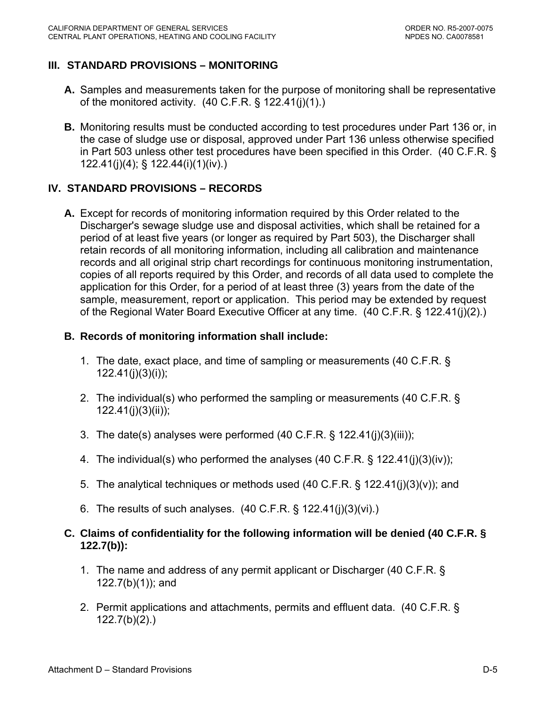## **III. STANDARD PROVISIONS – MONITORING**

- **A.** Samples and measurements taken for the purpose of monitoring shall be representative of the monitored activity.  $(40 \text{ C.F.R.} \S 122.41(j)(1))$
- **B.** Monitoring results must be conducted according to test procedures under Part 136 or, in the case of sludge use or disposal, approved under Part 136 unless otherwise specified in Part 503 unless other test procedures have been specified in this Order. (40 C.F.R. § 122.41(j)(4); § 122.44(i)(1)(iv).)

## **IV. STANDARD PROVISIONS – RECORDS**

**A.** Except for records of monitoring information required by this Order related to the Discharger's sewage sludge use and disposal activities, which shall be retained for a period of at least five years (or longer as required by Part 503), the Discharger shall retain records of all monitoring information, including all calibration and maintenance records and all original strip chart recordings for continuous monitoring instrumentation, copies of all reports required by this Order, and records of all data used to complete the application for this Order, for a period of at least three (3) years from the date of the sample, measurement, report or application. This period may be extended by request of the Regional Water Board Executive Officer at any time. (40 C.F.R. § 122.41(j)(2).)

### **B. Records of monitoring information shall include:**

- 1. The date, exact place, and time of sampling or measurements (40 C.F.R. § 122.41(j)(3)(i));
- 2. The individual(s) who performed the sampling or measurements (40 C.F.R. § 122.41(j)(3)(ii));
- 3. The date(s) analyses were performed (40 C.F.R. § 122.41(j)(3)(iii));
- 4. The individual(s) who performed the analyses (40 C.F.R. § 122.41(j)(3)(iv));
- 5. The analytical techniques or methods used (40 C.F.R. § 122.41(j)(3)(v)); and
- 6. The results of such analyses. (40 C.F.R. § 122.41(j)(3)(vi).)
- **C. Claims of confidentiality for the following information will be denied (40 C.F.R. § 122.7(b)):** 
	- 1. The name and address of any permit applicant or Discharger (40 C.F.R. § 122.7(b)(1)); and
	- 2. Permit applications and attachments, permits and effluent data. (40 C.F.R. § 122.7(b)(2).)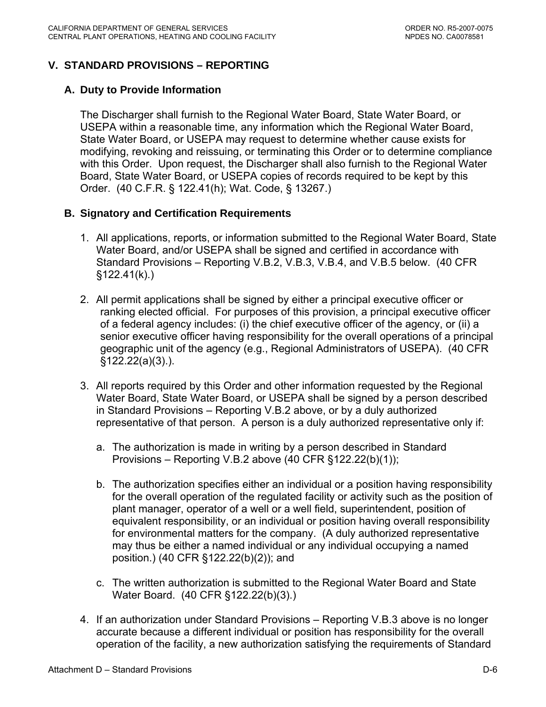## **V. STANDARD PROVISIONS – REPORTING**

### **A. Duty to Provide Information**

The Discharger shall furnish to the Regional Water Board, State Water Board, or USEPA within a reasonable time, any information which the Regional Water Board, State Water Board, or USEPA may request to determine whether cause exists for modifying, revoking and reissuing, or terminating this Order or to determine compliance with this Order. Upon request, the Discharger shall also furnish to the Regional Water Board, State Water Board, or USEPA copies of records required to be kept by this Order. (40 C.F.R. § 122.41(h); Wat. Code, § 13267.)

### **B. Signatory and Certification Requirements**

- 1. All applications, reports, or information submitted to the Regional Water Board, State Water Board, and/or USEPA shall be signed and certified in accordance with Standard Provisions – Reporting V.B.2, V.B.3, V.B.4, and V.B.5 below. (40 CFR §122.41(k).)
- 2. All permit applications shall be signed by either a principal executive officer or ranking elected official. For purposes of this provision, a principal executive officer of a federal agency includes: (i) the chief executive officer of the agency, or (ii) a senior executive officer having responsibility for the overall operations of a principal geographic unit of the agency (e.g., Regional Administrators of USEPA). (40 CFR §122.22(a)(3).).
- 3. All reports required by this Order and other information requested by the Regional Water Board, State Water Board, or USEPA shall be signed by a person described in Standard Provisions – Reporting V.B.2 above, or by a duly authorized representative of that person. A person is a duly authorized representative only if:
	- a. The authorization is made in writing by a person described in Standard Provisions – Reporting V.B.2 above (40 CFR §122.22(b)(1));
	- b. The authorization specifies either an individual or a position having responsibility for the overall operation of the regulated facility or activity such as the position of plant manager, operator of a well or a well field, superintendent, position of equivalent responsibility, or an individual or position having overall responsibility for environmental matters for the company. (A duly authorized representative may thus be either a named individual or any individual occupying a named position.) (40 CFR §122.22(b)(2)); and
	- c. The written authorization is submitted to the Regional Water Board and State Water Board. (40 CFR §122.22(b)(3).)
- 4. If an authorization under Standard Provisions Reporting V.B.3 above is no longer accurate because a different individual or position has responsibility for the overall operation of the facility, a new authorization satisfying the requirements of Standard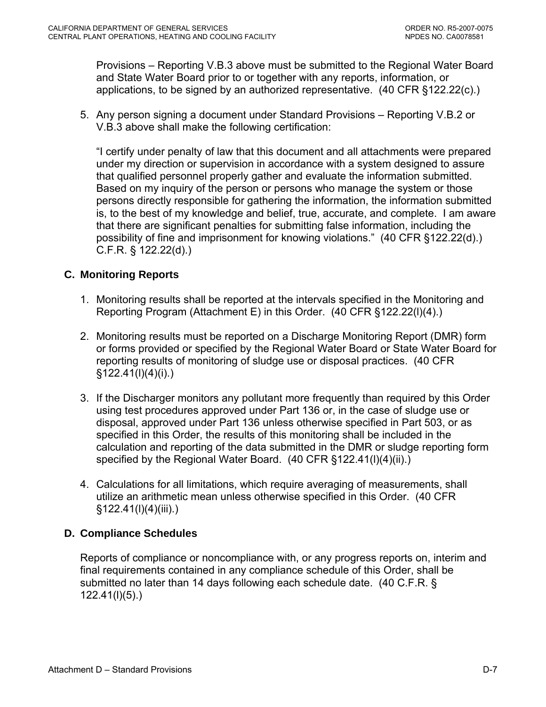Provisions – Reporting V.B.3 above must be submitted to the Regional Water Board and State Water Board prior to or together with any reports, information, or applications, to be signed by an authorized representative. (40 CFR §122.22(c).)

5. Any person signing a document under Standard Provisions – Reporting V.B.2 or V.B.3 above shall make the following certification:

"I certify under penalty of law that this document and all attachments were prepared under my direction or supervision in accordance with a system designed to assure that qualified personnel properly gather and evaluate the information submitted. Based on my inquiry of the person or persons who manage the system or those persons directly responsible for gathering the information, the information submitted is, to the best of my knowledge and belief, true, accurate, and complete. I am aware that there are significant penalties for submitting false information, including the possibility of fine and imprisonment for knowing violations." (40 CFR §122.22(d).) C.F.R. § 122.22(d).)

## **C. Monitoring Reports**

- 1. Monitoring results shall be reported at the intervals specified in the Monitoring and Reporting Program (Attachment E) in this Order. (40 CFR §122.22(l)(4).)
- 2. Monitoring results must be reported on a Discharge Monitoring Report (DMR) form or forms provided or specified by the Regional Water Board or State Water Board for reporting results of monitoring of sludge use or disposal practices. (40 CFR  $§122.41(I)(4)(i).)$
- 3. If the Discharger monitors any pollutant more frequently than required by this Order using test procedures approved under Part 136 or, in the case of sludge use or disposal, approved under Part 136 unless otherwise specified in Part 503, or as specified in this Order, the results of this monitoring shall be included in the calculation and reporting of the data submitted in the DMR or sludge reporting form specified by the Regional Water Board. (40 CFR §122.41(I)(4)(ii).)
- 4. Calculations for all limitations, which require averaging of measurements, shall utilize an arithmetic mean unless otherwise specified in this Order. (40 CFR §122.41(l)(4)(iii).)

### **D. Compliance Schedules**

Reports of compliance or noncompliance with, or any progress reports on, interim and final requirements contained in any compliance schedule of this Order, shall be submitted no later than 14 days following each schedule date. (40 C.F.R. § 122.41(l)(5).)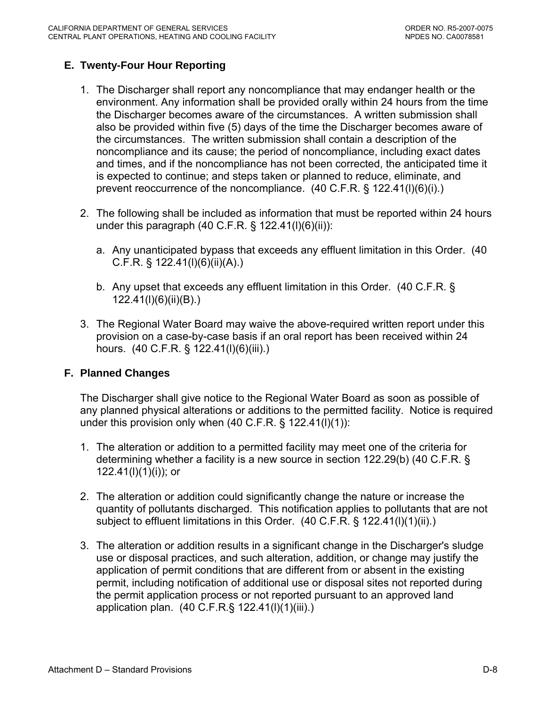## **E. Twenty-Four Hour Reporting**

- 1. The Discharger shall report any noncompliance that may endanger health or the environment. Any information shall be provided orally within 24 hours from the time the Discharger becomes aware of the circumstances. A written submission shall also be provided within five (5) days of the time the Discharger becomes aware of the circumstances. The written submission shall contain a description of the noncompliance and its cause; the period of noncompliance, including exact dates and times, and if the noncompliance has not been corrected, the anticipated time it is expected to continue; and steps taken or planned to reduce, eliminate, and prevent reoccurrence of the noncompliance. (40 C.F.R. § 122.41(l)(6)(i).)
- 2. The following shall be included as information that must be reported within 24 hours under this paragraph (40 C.F.R. § 122.41(l)(6)(ii)):
	- a. Any unanticipated bypass that exceeds any effluent limitation in this Order. (40 C.F.R. § 122.41(l)(6)(ii)(A).)
	- b. Any upset that exceeds any effluent limitation in this Order. (40 C.F.R. § 122.41(l)(6)(ii)(B).)
- 3. The Regional Water Board may waive the above-required written report under this provision on a case-by-case basis if an oral report has been received within 24 hours. (40 C.F.R. § 122.41(l)(6)(iii).)

### **F. Planned Changes**

The Discharger shall give notice to the Regional Water Board as soon as possible of any planned physical alterations or additions to the permitted facility. Notice is required under this provision only when (40 C.F.R. § 122.41(l)(1)):

- 1. The alteration or addition to a permitted facility may meet one of the criteria for determining whether a facility is a new source in section 122.29(b) (40 C.F.R. § 122.41(l)(1)(i)); or
- 2. The alteration or addition could significantly change the nature or increase the quantity of pollutants discharged. This notification applies to pollutants that are not subject to effluent limitations in this Order. (40 C.F.R. § 122.41(l)(1)(ii).)
- 3. The alteration or addition results in a significant change in the Discharger's sludge use or disposal practices, and such alteration, addition, or change may justify the application of permit conditions that are different from or absent in the existing permit, including notification of additional use or disposal sites not reported during the permit application process or not reported pursuant to an approved land application plan. (40 C.F.R.§ 122.41(l)(1)(iii).)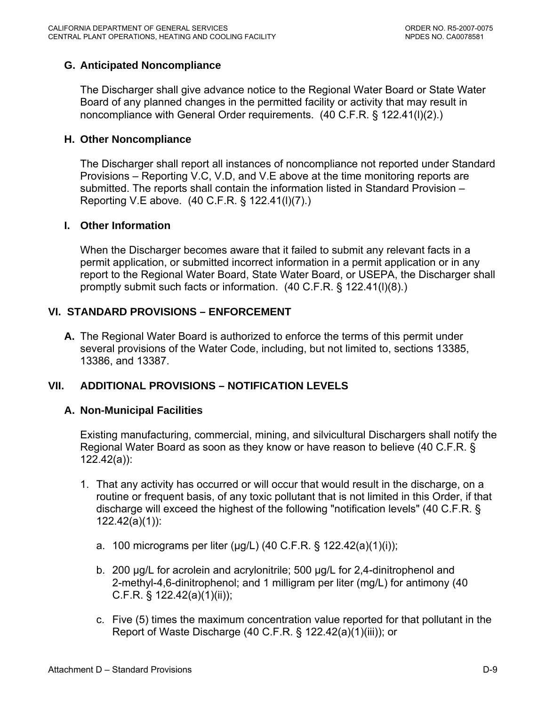## **G. Anticipated Noncompliance**

The Discharger shall give advance notice to the Regional Water Board or State Water Board of any planned changes in the permitted facility or activity that may result in noncompliance with General Order requirements. (40 C.F.R. § 122.41(l)(2).)

#### **H. Other Noncompliance**

The Discharger shall report all instances of noncompliance not reported under Standard Provisions – Reporting V.C, V.D, and V.E above at the time monitoring reports are submitted. The reports shall contain the information listed in Standard Provision – Reporting V.E above. (40 C.F.R. § 122.41(l)(7).)

#### **I. Other Information**

When the Discharger becomes aware that it failed to submit any relevant facts in a permit application, or submitted incorrect information in a permit application or in any report to the Regional Water Board, State Water Board, or USEPA, the Discharger shall promptly submit such facts or information. (40 C.F.R. § 122.41(l)(8).)

### **VI. STANDARD PROVISIONS – ENFORCEMENT**

**A.** The Regional Water Board is authorized to enforce the terms of this permit under several provisions of the Water Code, including, but not limited to, sections 13385, 13386, and 13387.

### **VII. ADDITIONAL PROVISIONS – NOTIFICATION LEVELS**

### **A. Non-Municipal Facilities**

Existing manufacturing, commercial, mining, and silvicultural Dischargers shall notify the Regional Water Board as soon as they know or have reason to believe (40 C.F.R. § 122.42(a)):

- 1. That any activity has occurred or will occur that would result in the discharge, on a routine or frequent basis, of any toxic pollutant that is not limited in this Order, if that discharge will exceed the highest of the following "notification levels" (40 C.F.R. § 122.42(a)(1)):
	- a. 100 micrograms per liter (μg/L) (40 C.F.R. § 122.42(a)(1)(i));
	- b. 200 μg/L for acrolein and acrylonitrile; 500 μg/L for 2,4-dinitrophenol and 2-methyl-4,6-dinitrophenol; and 1 milligram per liter (mg/L) for antimony (40 C.F.R. § 122.42(a)(1)(ii));
	- c. Five (5) times the maximum concentration value reported for that pollutant in the Report of Waste Discharge (40 C.F.R. § 122.42(a)(1)(iii)); or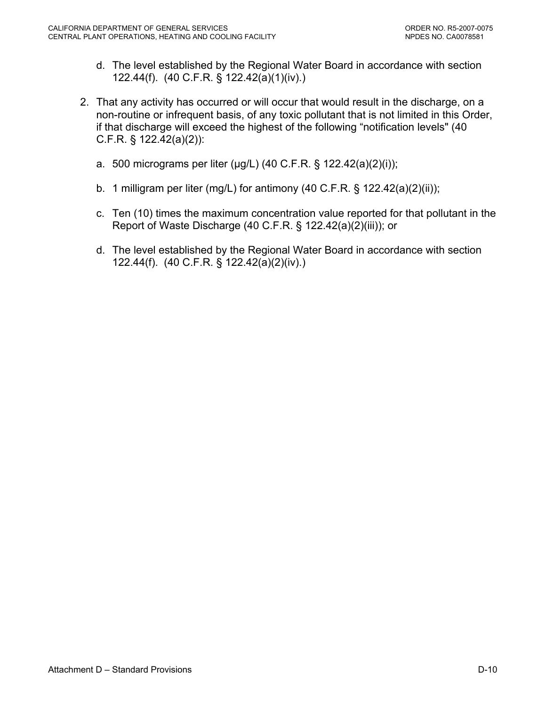- d. The level established by the Regional Water Board in accordance with section 122.44(f). (40 C.F.R. § 122.42(a)(1)(iv).)
- 2. That any activity has occurred or will occur that would result in the discharge, on a non-routine or infrequent basis, of any toxic pollutant that is not limited in this Order, if that discharge will exceed the highest of the following "notification levels" (40 C.F.R. § 122.42(a)(2)):
	- a. 500 micrograms per liter (μg/L) (40 C.F.R. § 122.42(a)(2)(i));
	- b. 1 milligram per liter (mg/L) for antimony (40 C.F.R.  $\S$  122.42(a)(2)(ii));
	- c. Ten (10) times the maximum concentration value reported for that pollutant in the Report of Waste Discharge (40 C.F.R. § 122.42(a)(2)(iii)); or
	- d. The level established by the Regional Water Board in accordance with section 122.44(f). (40 C.F.R. § 122.42(a)(2)(iv).)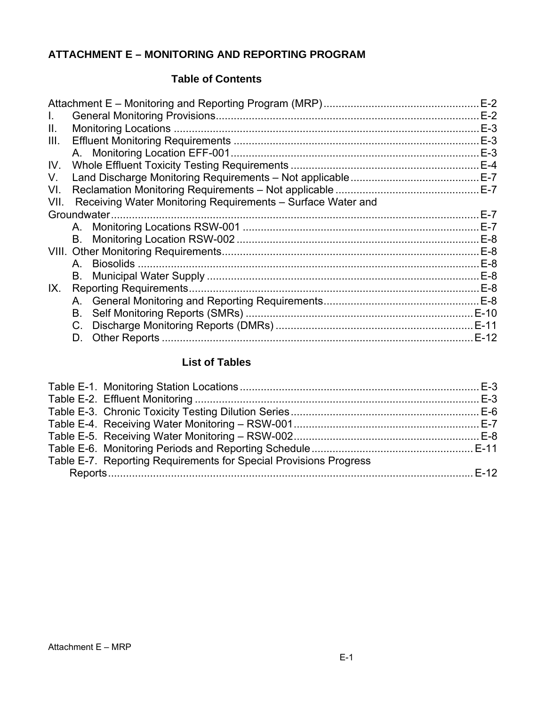# **ATTACHMENT E – MONITORING AND REPORTING PROGRAM**

### **Table of Contents**

|      |                                                             | $E-2$  |
|------|-------------------------------------------------------------|--------|
| L.   |                                                             | $E-2$  |
| Ш.   |                                                             |        |
| III. |                                                             | $E-3$  |
|      |                                                             | $E-3$  |
| IV.  |                                                             | $E-4$  |
| V.   |                                                             |        |
| VI.  |                                                             | $E-7$  |
| VII. | Receiving Water Monitoring Requirements - Surface Water and |        |
|      | Groundwater.                                                | $E-7$  |
|      |                                                             | $E-7$  |
|      |                                                             | $E-8$  |
|      |                                                             | $E-8$  |
|      |                                                             | $E-8$  |
|      |                                                             |        |
| IX.  |                                                             |        |
|      |                                                             |        |
|      | В.                                                          |        |
|      |                                                             | $E-11$ |
|      | D.                                                          | $E-12$ |
|      |                                                             |        |

# **List of Tables**

| Table E-7. Reporting Requirements for Special Provisions Progress |  |
|-------------------------------------------------------------------|--|
|                                                                   |  |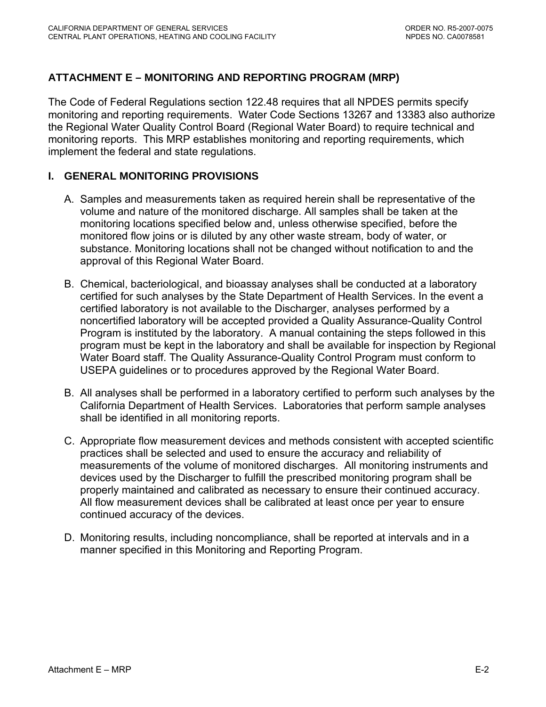# <span id="page-39-0"></span>**ATTACHMENT E – MONITORING AND REPORTING PROGRAM (MRP)**

The Code of Federal Regulations section 122.48 requires that all NPDES permits specify monitoring and reporting requirements. Water Code Sections 13267 and 13383 also authorize the Regional Water Quality Control Board (Regional Water Board) to require technical and monitoring reports. This MRP establishes monitoring and reporting requirements, which implement the federal and state regulations.

### **I. GENERAL MONITORING PROVISIONS**

- A. Samples and measurements taken as required herein shall be representative of the volume and nature of the monitored discharge. All samples shall be taken at the monitoring locations specified below and, unless otherwise specified, before the monitored flow joins or is diluted by any other waste stream, body of water, or substance. Monitoring locations shall not be changed without notification to and the approval of this Regional Water Board.
- B. Chemical, bacteriological, and bioassay analyses shall be conducted at a laboratory certified for such analyses by the State Department of Health Services. In the event a certified laboratory is not available to the Discharger, analyses performed by a noncertified laboratory will be accepted provided a Quality Assurance-Quality Control Program is instituted by the laboratory. A manual containing the steps followed in this program must be kept in the laboratory and shall be available for inspection by Regional Water Board staff. The Quality Assurance-Quality Control Program must conform to USEPA guidelines or to procedures approved by the Regional Water Board.
- B. All analyses shall be performed in a laboratory certified to perform such analyses by the California Department of Health Services. Laboratories that perform sample analyses shall be identified in all monitoring reports.
- C. Appropriate flow measurement devices and methods consistent with accepted scientific practices shall be selected and used to ensure the accuracy and reliability of measurements of the volume of monitored discharges. All monitoring instruments and devices used by the Discharger to fulfill the prescribed monitoring program shall be properly maintained and calibrated as necessary to ensure their continued accuracy. All flow measurement devices shall be calibrated at least once per year to ensure continued accuracy of the devices.
- D. Monitoring results, including noncompliance, shall be reported at intervals and in a manner specified in this Monitoring and Reporting Program.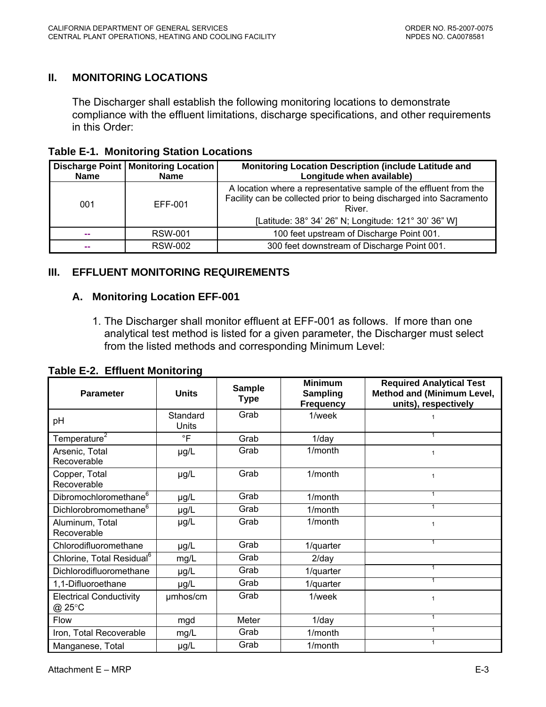# <span id="page-40-0"></span>**II. MONITORING LOCATIONS**

The Discharger shall establish the following monitoring locations to demonstrate compliance with the effluent limitations, discharge specifications, and other requirements in this Order:

**Table E-1. Monitoring Station Locations** 

| <b>Name</b>                    | <b>Discharge Point   Monitoring Location</b><br><b>Name</b> | Monitoring Location Description (include Latitude and<br>Longitude when available)                                                                                                                         |
|--------------------------------|-------------------------------------------------------------|------------------------------------------------------------------------------------------------------------------------------------------------------------------------------------------------------------|
| 001                            | EFF-001                                                     | A location where a representative sample of the effluent from the<br>Facility can be collected prior to being discharged into Sacramento<br>River.<br>[Latitude: 38° 34' 26" N; Longitude: 121° 30' 36" W] |
| <b>RSW-001</b><br><b>COLOR</b> |                                                             | 100 feet upstream of Discharge Point 001.                                                                                                                                                                  |
| <b>COLOR</b>                   | <b>RSW-002</b>                                              | 300 feet downstream of Discharge Point 001.                                                                                                                                                                |

# **III. EFFLUENT MONITORING REQUIREMENTS**

### **A. Monitoring Location EFF-001**

1. The Discharger shall monitor effluent at EFF-001 as follows. If more than one analytical test method is listed for a given parameter, the Discharger must select from the listed methods and corresponding Minimum Level:

| <b>Parameter</b>                         | <b>Units</b>      | <b>Sample</b><br><b>Type</b> | <b>Minimum</b><br>Sampling<br><b>Frequency</b> | <b>Required Analytical Test</b><br><b>Method and (Minimum Level,</b><br>units), respectively |
|------------------------------------------|-------------------|------------------------------|------------------------------------------------|----------------------------------------------------------------------------------------------|
| рH                                       | Standard<br>Units | Grab                         | 1/week                                         |                                                                                              |
| Temperature <sup>2</sup>                 | $\circ$ F         | Grab                         | $1$ /day                                       |                                                                                              |
| Arsenic, Total<br>Recoverable            | $\mu$ g/L         | Grab                         | 1/month                                        | $\mathbf{1}$                                                                                 |
| Copper, Total<br>Recoverable             | $\mu$ g/L         | Grab                         | $1/m$ onth                                     | $\mathbf{1}$                                                                                 |
| Dibromochloromethane <sup>6</sup>        | $\mu$ g/L         | Grab                         | $1/m$ onth                                     | 1                                                                                            |
| Dichlorobromomethane <sup>6</sup>        | $\mu$ g/L         | Grab                         | 1/month                                        | 1                                                                                            |
| Aluminum, Total<br>Recoverable           | µg/L              | Grab                         | 1/month                                        | $\mathbf{1}$                                                                                 |
| Chlorodifluoromethane                    | µg/L              | Grab                         | 1/quarter                                      |                                                                                              |
| Chlorine, Total Residual <sup>6</sup>    | mg/L              | Grab                         | $2$ /day                                       |                                                                                              |
| Dichlorodifluoromethane                  | $\mu$ g/L         | Grab                         | 1/quarter                                      | $\mathbf{1}$                                                                                 |
| 1,1-Difluoroethane                       | $\mu$ g/L         | Grab                         | 1/quarter                                      | 1                                                                                            |
| <b>Electrical Conductivity</b><br>@ 25°C | umhos/cm          | Grab                         | 1/week                                         | 1                                                                                            |
| <b>Flow</b>                              | mgd               | Meter                        | $1$ /day                                       | 1                                                                                            |
| Iron, Total Recoverable                  | mg/L              | Grab                         | 1/month                                        | 1                                                                                            |
| Manganese, Total                         | µg/L              | Grab                         | 1/month                                        | 1                                                                                            |

**Table E-2. Effluent Monitoring**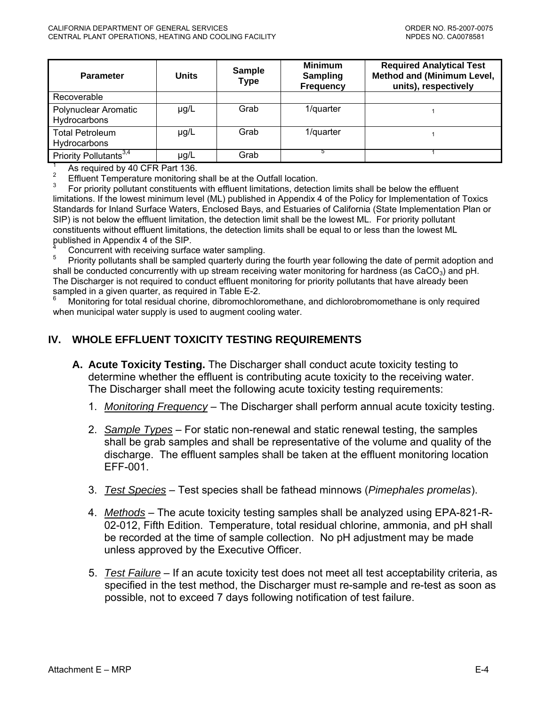<span id="page-41-0"></span>

| <b>Parameter</b>                       | <b>Units</b> | <b>Sample</b><br><b>Type</b> | <b>Minimum</b><br><b>Sampling</b><br><b>Frequency</b> | <b>Required Analytical Test</b><br><b>Method and (Minimum Level,</b><br>units), respectively |
|----------------------------------------|--------------|------------------------------|-------------------------------------------------------|----------------------------------------------------------------------------------------------|
| Recoverable                            |              |                              |                                                       |                                                                                              |
| Polynuclear Aromatic<br>Hydrocarbons   | $\mu$ g/L    | Grab                         | 1/quarter                                             |                                                                                              |
| <b>Total Petroleum</b><br>Hydrocarbons | $\mu$ g/L    | Grab                         | 1/quarter                                             |                                                                                              |
| Priority Pollutants <sup>3,4</sup>     | µg/L         | Grab                         |                                                       |                                                                                              |

1 As required by 40 CFR Part 136.

2 Effluent Temperature monitoring shall be at the Outfall location.

3 For priority pollutant constituents with effluent limitations, detection limits shall be below the effluent limitations. If the lowest minimum level (ML) published in Appendix 4 of the Policy for Implementation of Toxics Standards for Inland Surface Waters, Enclosed Bays, and Estuaries of California (State Implementation Plan or SIP) is not below the effluent limitation, the detection limit shall be the lowest ML. For priority pollutant constituents without effluent limitations, the detection limits shall be equal to or less than the lowest ML published in Appendix 4 of the SIP.<br>4 Conquirient with resolving ourface

Concurrent with receiving surface water sampling.

5 Priority pollutants shall be sampled quarterly during the fourth year following the date of permit adoption and shall be conducted concurrently with up stream receiving water monitoring for hardness (as  $CaCO<sub>3</sub>$ ) and pH. The Discharger is not required to conduct effluent monitoring for priority pollutants that have already been sampled in a given quarter, as required in Table E-2.

6 Monitoring for total residual chorine, dibromochloromethane, and dichlorobromomethane is only required when municipal water supply is used to augment cooling water.

# **IV. WHOLE EFFLUENT TOXICITY TESTING REQUIREMENTS**

- **A. Acute Toxicity Testing.** The Discharger shall conduct acute toxicity testing to determine whether the effluent is contributing acute toxicity to the receiving water. The Discharger shall meet the following acute toxicity testing requirements:
	- 1. *Monitoring Frequency* The Discharger shall perform annual acute toxicity testing.
	- 2. *Sample Types* For static non-renewal and static renewal testing, the samples shall be grab samples and shall be representative of the volume and quality of the discharge. The effluent samples shall be taken at the effluent monitoring location EFF-001.
	- 3. *Test Species* Test species shall be fathead minnows (*Pimephales promelas*).
	- 4. *Methods* The acute toxicity testing samples shall be analyzed using EPA-821-R-02-012, Fifth Edition. Temperature, total residual chlorine, ammonia, and pH shall be recorded at the time of sample collection. No pH adjustment may be made unless approved by the Executive Officer.
	- 5. *Test Failure* If an acute toxicity test does not meet all test acceptability criteria, as specified in the test method, the Discharger must re-sample and re-test as soon as possible, not to exceed 7 days following notification of test failure.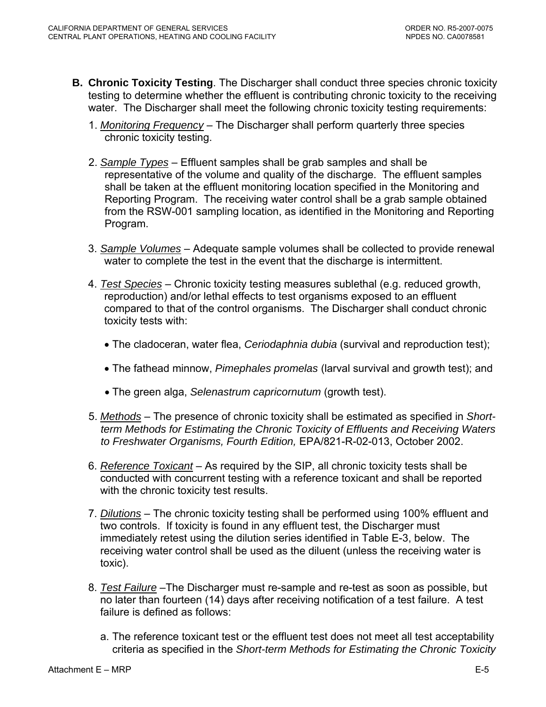- **B. Chronic Toxicity Testing**. The Discharger shall conduct three species chronic toxicity testing to determine whether the effluent is contributing chronic toxicity to the receiving water. The Discharger shall meet the following chronic toxicity testing requirements:
	- 1. *Monitoring Frequency* The Discharger shall perform quarterly three species chronic toxicity testing.
	- 2. *Sample Types* Effluent samples shall be grab samples and shall be representative of the volume and quality of the discharge. The effluent samples shall be taken at the effluent monitoring location specified in the Monitoring and Reporting Program. The receiving water control shall be a grab sample obtained from the RSW-001 sampling location, as identified in the Monitoring and Reporting Program.
	- 3. *Sample Volumes* Adequate sample volumes shall be collected to provide renewal water to complete the test in the event that the discharge is intermittent.
	- 4. *Test Species* Chronic toxicity testing measures sublethal (e.g. reduced growth, reproduction) and/or lethal effects to test organisms exposed to an effluent compared to that of the control organisms. The Discharger shall conduct chronic toxicity tests with:
		- The cladoceran, water flea, *Ceriodaphnia dubia* (survival and reproduction test);
		- The fathead minnow, *Pimephales promelas* (larval survival and growth test); and
		- The green alga, *Selenastrum capricornutum* (growth test).
	- 5. *Methods* The presence of chronic toxicity shall be estimated as specified in *Shortterm Methods for Estimating the Chronic Toxicity of Effluents and Receiving Waters to Freshwater Organisms, Fourth Edition,* EPA/821-R-02-013, October 2002.
	- 6. *Reference Toxicant* As required by the SIP, all chronic toxicity tests shall be conducted with concurrent testing with a reference toxicant and shall be reported with the chronic toxicity test results.
	- 7. *Dilutions* The chronic toxicity testing shall be performed using 100% effluent and two controls. If toxicity is found in any effluent test, the Discharger must immediately retest using the dilution series identified in Table E-3, below. The receiving water control shall be used as the diluent (unless the receiving water is toxic).
	- 8. *Test Failure* –The Discharger must re-sample and re-test as soon as possible, but no later than fourteen (14) days after receiving notification of a test failure. A test failure is defined as follows:
		- a. The reference toxicant test or the effluent test does not meet all test acceptability criteria as specified in the *Short-term Methods for Estimating the Chronic Toxicity*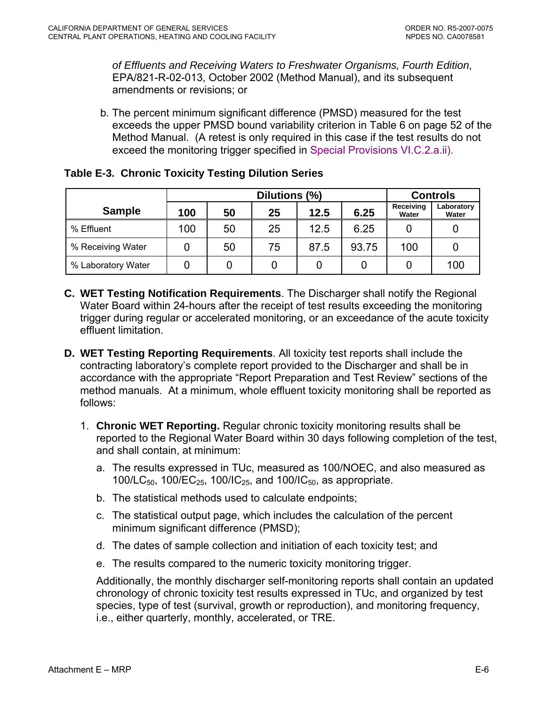<span id="page-43-0"></span>*of Effluents and Receiving Waters to Freshwater Organisms, Fourth Edition*, EPA/821-R-02-013, October 2002 (Method Manual), and its subsequent amendments or revisions; or

b. The percent minimum significant difference (PMSD) measured for the test exceeds the upper PMSD bound variability criterion in Table 6 on page 52 of the Method Manual. (A retest is only required in this case if the test results do not exceed the monitoring trigger specified in Special Provisions VI.C.2.a.ii).

| Table E-3. Chronic Toxicity Testing Dilution Series |  |  |  |  |  |
|-----------------------------------------------------|--|--|--|--|--|
|-----------------------------------------------------|--|--|--|--|--|

|                    | Dilutions (%)                   |    |    |      |       | <b>Controls</b>    |                     |
|--------------------|---------------------------------|----|----|------|-------|--------------------|---------------------|
| <b>Sample</b>      | 25<br>50<br>12.5<br>6.25<br>100 |    |    |      |       | Receiving<br>Water | Laboratory<br>Water |
| % Effluent         | 100                             | 50 | 25 | 12.5 | 6.25  |                    |                     |
| % Receiving Water  | 0                               | 50 | 75 | 87.5 | 93.75 | 100                | 0                   |
| % Laboratory Water |                                 |    |    |      |       |                    | 100                 |

- **C. WET Testing Notification Requirements**. The Discharger shall notify the Regional Water Board within 24-hours after the receipt of test results exceeding the monitoring trigger during regular or accelerated monitoring, or an exceedance of the acute toxicity effluent limitation.
- **D. WET Testing Reporting Requirements**. All toxicity test reports shall include the contracting laboratory's complete report provided to the Discharger and shall be in accordance with the appropriate "Report Preparation and Test Review" sections of the method manuals. At a minimum, whole effluent toxicity monitoring shall be reported as follows:
	- 1. **Chronic WET Reporting.** Regular chronic toxicity monitoring results shall be reported to the Regional Water Board within 30 days following completion of the test, and shall contain, at minimum:
		- a. The results expressed in TUc, measured as 100/NOEC, and also measured as 100/LC<sub>50</sub>, 100/EC<sub>25</sub>, 100/IC<sub>25</sub>, and 100/IC<sub>50</sub>, as appropriate.
		- b. The statistical methods used to calculate endpoints;
		- c. The statistical output page, which includes the calculation of the percent minimum significant difference (PMSD);
		- d. The dates of sample collection and initiation of each toxicity test; and
		- e. The results compared to the numeric toxicity monitoring trigger.

Additionally, the monthly discharger self-monitoring reports shall contain an updated chronology of chronic toxicity test results expressed in TUc, and organized by test species, type of test (survival, growth or reproduction), and monitoring frequency, i.e., either quarterly, monthly, accelerated, or TRE.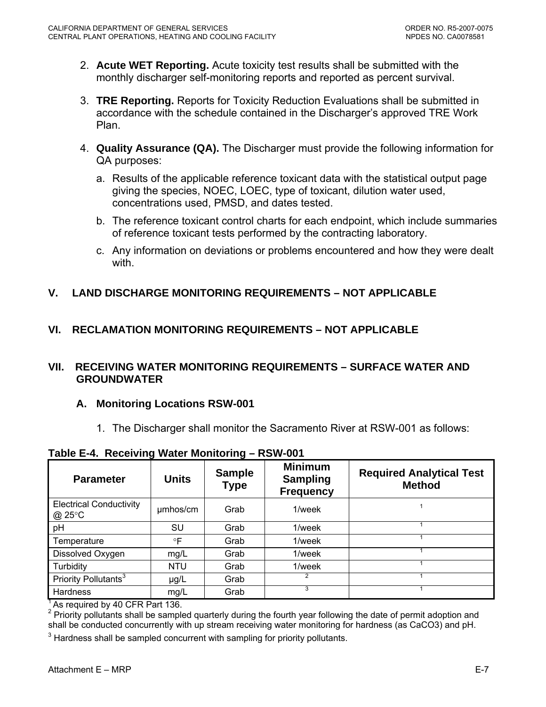- <span id="page-44-0"></span>2. **Acute WET Reporting.** Acute toxicity test results shall be submitted with the monthly discharger self-monitoring reports and reported as percent survival.
- 3. **TRE Reporting.** Reports for Toxicity Reduction Evaluations shall be submitted in accordance with the schedule contained in the Discharger's approved TRE Work Plan.
- 4. **Quality Assurance (QA).** The Discharger must provide the following information for QA purposes:
	- a. Results of the applicable reference toxicant data with the statistical output page giving the species, NOEC, LOEC, type of toxicant, dilution water used, concentrations used, PMSD, and dates tested.
	- b. The reference toxicant control charts for each endpoint, which include summaries of reference toxicant tests performed by the contracting laboratory.
	- c. Any information on deviations or problems encountered and how they were dealt with.
- **V. LAND DISCHARGE MONITORING REQUIREMENTS NOT APPLICABLE**

# **VI. RECLAMATION MONITORING REQUIREMENTS – NOT APPLICABLE**

### **VII. RECEIVING WATER MONITORING REQUIREMENTS – SURFACE WATER AND GROUNDWATER**

# **A. Monitoring Locations RSW-001**

1. The Discharger shall monitor the Sacramento River at RSW-001 as follows:

**Table E-4. Receiving Water Monitoring – RSW-001** 

| <b>Parameter</b>                         | <b>Units</b> | <b>Sample</b><br><b>Type</b> | <b>Minimum</b><br><b>Sampling</b><br><b>Frequency</b> | <b>Required Analytical Test</b><br><b>Method</b> |
|------------------------------------------|--------------|------------------------------|-------------------------------------------------------|--------------------------------------------------|
| <b>Electrical Conductivity</b><br>@ 25°C | umhos/cm     | Grab                         | 1/week                                                |                                                  |
| pH                                       | SU           | Grab                         | 1/week                                                |                                                  |
| Temperature                              | $\circ$ F    | Grab                         | 1/week                                                |                                                  |
| Dissolved Oxygen                         | mg/L         | Grab                         | 1/week                                                |                                                  |
| Turbidity                                | <b>NTU</b>   | Grab                         | 1/week                                                |                                                  |
| Priority Pollutants <sup>3</sup>         | $\mu$ g/L    | Grab                         |                                                       |                                                  |
| Hardness                                 | mg/L         | Grab                         | 3                                                     |                                                  |

 $1$ <sup>1</sup> As required by 40 CFR Part 136.

 $2$  Priority pollutants shall be sampled quarterly during the fourth year following the date of permit adoption and shall be conducted concurrently with up stream receiving water monitoring for hardness (as CaCO3) and pH.

 $3$  Hardness shall be sampled concurrent with sampling for priority pollutants.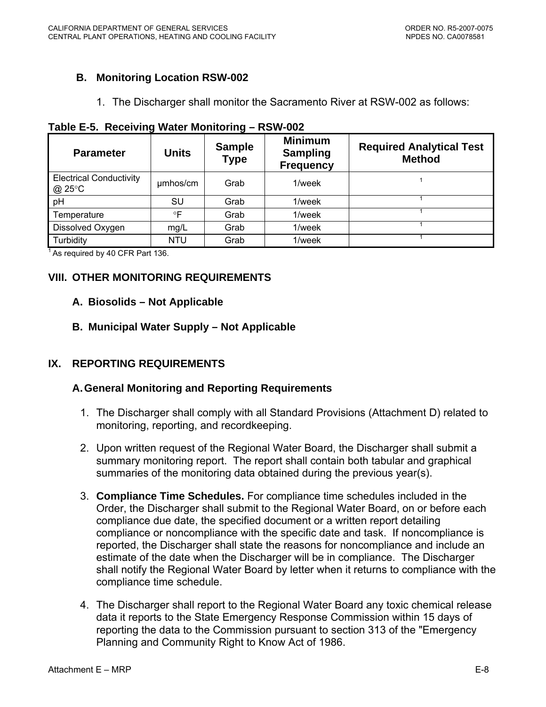# <span id="page-45-0"></span>**B. Monitoring Location RSW-002**

1. The Discharger shall monitor the Sacramento River at RSW-002 as follows:

| <b>Parameter</b>                         | <b>Units</b> | <b>Sample</b><br><b>Type</b> | <b>Minimum</b><br><b>Sampling</b><br><b>Frequency</b> | <b>Required Analytical Test</b><br><b>Method</b> |
|------------------------------------------|--------------|------------------------------|-------------------------------------------------------|--------------------------------------------------|
| <b>Electrical Conductivity</b><br>@ 25°C | umhos/cm     | Grab                         | 1/week                                                |                                                  |
| pH                                       | SU           | Grab                         | 1/week                                                |                                                  |
| Temperature                              | °F           | Grab                         | 1/week                                                |                                                  |
| Dissolved Oxygen                         | mg/L         | Grab                         | 1/week                                                |                                                  |
| Turbidity                                | <b>NTU</b>   | Grab                         | 1/week                                                |                                                  |

 $1$  As required by 40 CFR Part 136.

# **VIII. OTHER MONITORING REQUIREMENTS**

#### **A. Biosolids – Not Applicable**

### **B. Municipal Water Supply – Not Applicable**

### **IX. REPORTING REQUIREMENTS**

### **A. General Monitoring and Reporting Requirements**

- 1. The Discharger shall comply with all Standard Provisions (Attachment D) related to monitoring, reporting, and recordkeeping.
- 2. Upon written request of the Regional Water Board, the Discharger shall submit a summary monitoring report. The report shall contain both tabular and graphical summaries of the monitoring data obtained during the previous year(s).
- 3. **Compliance Time Schedules.** For compliance time schedules included in the Order, the Discharger shall submit to the Regional Water Board, on or before each compliance due date, the specified document or a written report detailing compliance or noncompliance with the specific date and task. If noncompliance is reported, the Discharger shall state the reasons for noncompliance and include an estimate of the date when the Discharger will be in compliance. The Discharger shall notify the Regional Water Board by letter when it returns to compliance with the compliance time schedule.
- 4. The Discharger shall report to the Regional Water Board any toxic chemical release data it reports to the State Emergency Response Commission within 15 days of reporting the data to the Commission pursuant to section 313 of the "Emergency Planning and Community Right to Know Act of 1986.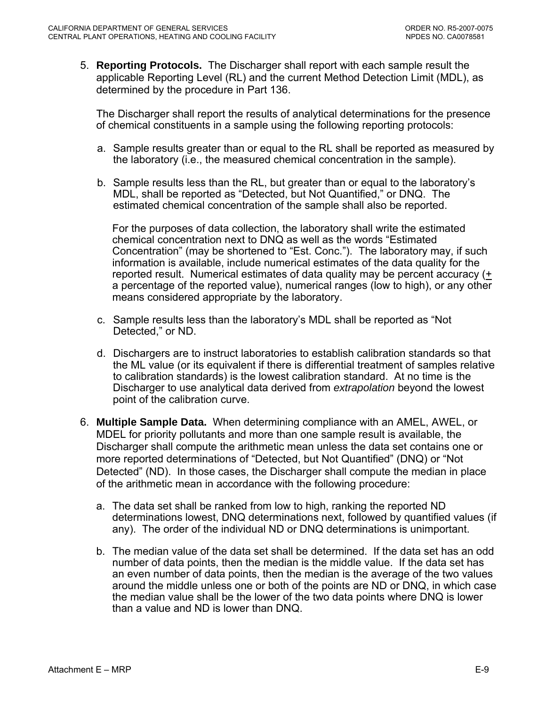5. **Reporting Protocols.** The Discharger shall report with each sample result the applicable Reporting Level (RL) and the current Method Detection Limit (MDL), as determined by the procedure in Part 136.

The Discharger shall report the results of analytical determinations for the presence of chemical constituents in a sample using the following reporting protocols:

- a. Sample results greater than or equal to the RL shall be reported as measured by the laboratory (i.e., the measured chemical concentration in the sample).
- b. Sample results less than the RL, but greater than or equal to the laboratory's MDL, shall be reported as "Detected, but Not Quantified," or DNQ. The estimated chemical concentration of the sample shall also be reported.

For the purposes of data collection, the laboratory shall write the estimated chemical concentration next to DNQ as well as the words "Estimated Concentration" (may be shortened to "Est. Conc."). The laboratory may, if such information is available, include numerical estimates of the data quality for the reported result. Numerical estimates of data quality may be percent accuracy  $(+$ a percentage of the reported value), numerical ranges (low to high), or any other means considered appropriate by the laboratory.

- c. Sample results less than the laboratory's MDL shall be reported as "Not Detected," or ND.
- d. Dischargers are to instruct laboratories to establish calibration standards so that the ML value (or its equivalent if there is differential treatment of samples relative to calibration standards) is the lowest calibration standard. At no time is the Discharger to use analytical data derived from *extrapolation* beyond the lowest point of the calibration curve.
- 6. **Multiple Sample Data.** When determining compliance with an AMEL, AWEL, or MDEL for priority pollutants and more than one sample result is available, the Discharger shall compute the arithmetic mean unless the data set contains one or more reported determinations of "Detected, but Not Quantified" (DNQ) or "Not Detected" (ND). In those cases, the Discharger shall compute the median in place of the arithmetic mean in accordance with the following procedure:
	- a. The data set shall be ranked from low to high, ranking the reported ND determinations lowest, DNQ determinations next, followed by quantified values (if any). The order of the individual ND or DNQ determinations is unimportant.
	- b. The median value of the data set shall be determined. If the data set has an odd number of data points, then the median is the middle value. If the data set has an even number of data points, then the median is the average of the two values around the middle unless one or both of the points are ND or DNQ, in which case the median value shall be the lower of the two data points where DNQ is lower than a value and ND is lower than DNQ.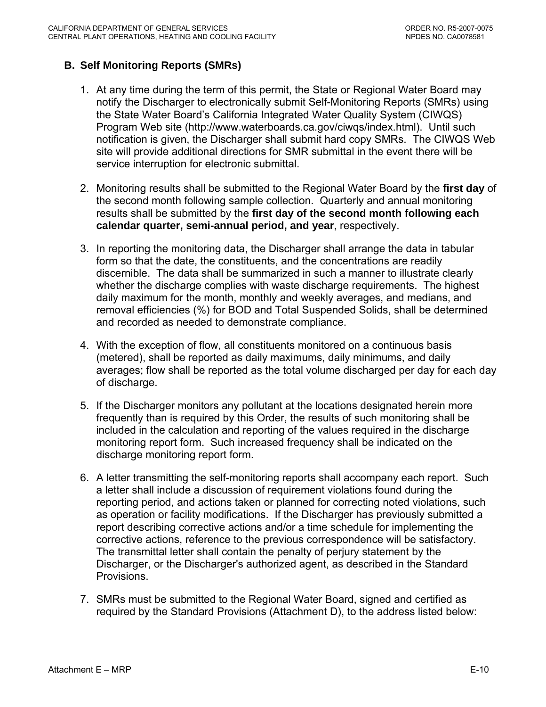# <span id="page-47-0"></span>**B. Self Monitoring Reports (SMRs)**

- 1. At any time during the term of this permit, the State or Regional Water Board may notify the Discharger to electronically submit Self-Monitoring Reports (SMRs) using the State Water Board's California Integrated Water Quality System (CIWQS) Program Web site (http://www.waterboards.ca.gov/ciwqs/index.html). Until such notification is given, the Discharger shall submit hard copy SMRs. The CIWQS Web site will provide additional directions for SMR submittal in the event there will be service interruption for electronic submittal.
- 2. Monitoring results shall be submitted to the Regional Water Board by the **first day** of the second month following sample collection. Quarterly and annual monitoring results shall be submitted by the **first day of the second month following each calendar quarter, semi-annual period, and year**, respectively.
- 3. In reporting the monitoring data, the Discharger shall arrange the data in tabular form so that the date, the constituents, and the concentrations are readily discernible. The data shall be summarized in such a manner to illustrate clearly whether the discharge complies with waste discharge requirements. The highest daily maximum for the month, monthly and weekly averages, and medians, and removal efficiencies (%) for BOD and Total Suspended Solids, shall be determined and recorded as needed to demonstrate compliance.
- 4. With the exception of flow, all constituents monitored on a continuous basis (metered), shall be reported as daily maximums, daily minimums, and daily averages; flow shall be reported as the total volume discharged per day for each day of discharge.
- 5. If the Discharger monitors any pollutant at the locations designated herein more frequently than is required by this Order, the results of such monitoring shall be included in the calculation and reporting of the values required in the discharge monitoring report form. Such increased frequency shall be indicated on the discharge monitoring report form.
- 6. A letter transmitting the self-monitoring reports shall accompany each report. Such a letter shall include a discussion of requirement violations found during the reporting period, and actions taken or planned for correcting noted violations, such as operation or facility modifications. If the Discharger has previously submitted a report describing corrective actions and/or a time schedule for implementing the corrective actions, reference to the previous correspondence will be satisfactory. The transmittal letter shall contain the penalty of perjury statement by the Discharger, or the Discharger's authorized agent, as described in the Standard Provisions.
- 7. SMRs must be submitted to the Regional Water Board, signed and certified as required by the Standard Provisions (Attachment D), to the address listed below: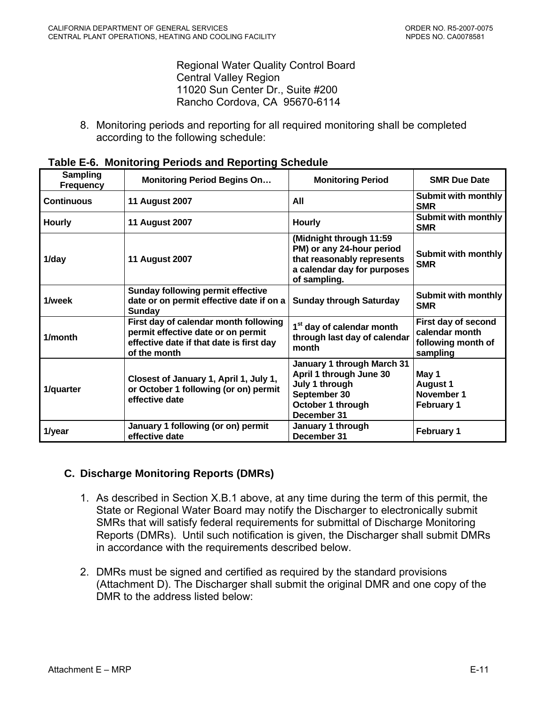Regional Water Quality Control Board **Central Valley Region** 11020 Sun Center Dr., Suite #200 Rancho Cordova, CA 95670-6114

<span id="page-48-0"></span>8. Monitoring periods and reporting for all required monitoring shall be completed according to the following schedule:

| <b>Sampling</b><br><b>Frequency</b> | <b>Monitoring Period Begins On</b>                                                                                                      | <b>Monitoring Period</b>                                                                                                          | <b>SMR Due Date</b>                                                     |
|-------------------------------------|-----------------------------------------------------------------------------------------------------------------------------------------|-----------------------------------------------------------------------------------------------------------------------------------|-------------------------------------------------------------------------|
| <b>Continuous</b>                   | <b>11 August 2007</b>                                                                                                                   | All                                                                                                                               | <b>Submit with monthly</b><br><b>SMR</b>                                |
| <b>Hourly</b>                       | <b>11 August 2007</b>                                                                                                                   | <b>Hourly</b>                                                                                                                     | <b>Submit with monthly</b><br><b>SMR</b>                                |
| 1/day                               | <b>11 August 2007</b>                                                                                                                   | (Midnight through 11:59<br>PM) or any 24-hour period<br>that reasonably represents<br>a calendar day for purposes<br>of sampling. | <b>Submit with monthly</b><br><b>SMR</b>                                |
| 1/week                              | <b>Sunday following permit effective</b><br>date or on permit effective date if on a<br>Sunday                                          | <b>Sunday through Saturday</b>                                                                                                    | <b>Submit with monthly</b><br><b>SMR</b>                                |
| 1/month                             | First day of calendar month following<br>permit effective date or on permit<br>effective date if that date is first day<br>of the month | 1 <sup>st</sup> day of calendar month<br>through last day of calendar<br>month                                                    | First day of second<br>calendar month<br>following month of<br>sampling |
| 1/quarter                           | Closest of January 1, April 1, July 1,<br>or October 1 following (or on) permit<br>effective date                                       | January 1 through March 31<br>April 1 through June 30<br>July 1 through<br>September 30<br>October 1 through<br>December 31       | May 1<br><b>August 1</b><br>November 1<br><b>February 1</b>             |
| 1/year                              | January 1 following (or on) permit<br>effective date                                                                                    | January 1 through<br>December 31                                                                                                  | <b>February 1</b>                                                       |

| Table E-6. Monitoring Periods and Reporting Schedule |  |  |  |  |  |
|------------------------------------------------------|--|--|--|--|--|
|------------------------------------------------------|--|--|--|--|--|

### **C. Discharge Monitoring Reports (DMRs)**

- 1. As described in Section X.B.1 above, at any time during the term of this permit, the State or Regional Water Board may notify the Discharger to electronically submit SMRs that will satisfy federal requirements for submittal of Discharge Monitoring Reports (DMRs). Until such notification is given, the Discharger shall submit DMRs in accordance with the requirements described below.
- 2. DMRs must be signed and certified as required by the standard provisions (Attachment D). The Discharger shall submit the original DMR and one copy of the DMR to the address listed below: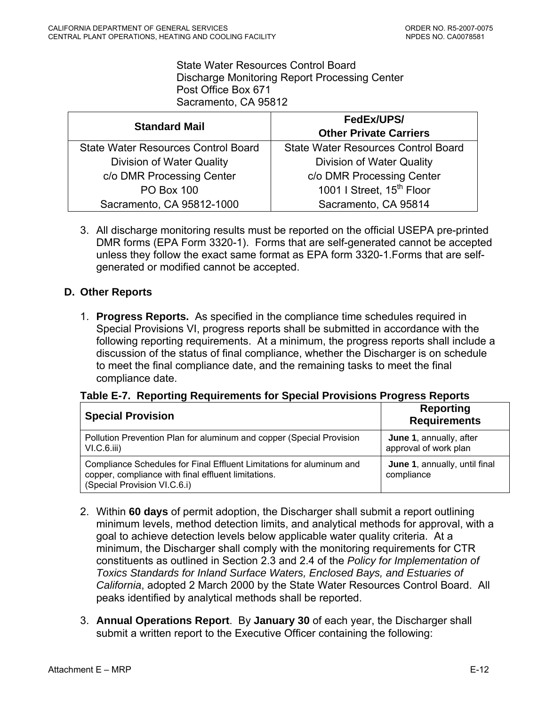State Water Resources Control Board Discharge Monitoring Report Processing Center Post Office Box 671 Sacramento, CA 95812

<span id="page-49-0"></span>

| <b>Standard Mail</b>                       | FedEx/UPS/<br><b>Other Private Carriers</b> |
|--------------------------------------------|---------------------------------------------|
| <b>State Water Resources Control Board</b> | <b>State Water Resources Control Board</b>  |
| Division of Water Quality                  | Division of Water Quality                   |
| c/o DMR Processing Center                  | c/o DMR Processing Center                   |
| <b>PO Box 100</b>                          | 1001   Street, 15 <sup>th</sup> Floor       |
| Sacramento, CA 95812-1000                  | Sacramento, CA 95814                        |

3. All discharge monitoring results must be reported on the official USEPA pre-printed DMR forms (EPA Form 3320-1). Forms that are self-generated cannot be accepted unless they follow the exact same format as EPA form 3320-1.Forms that are selfgenerated or modified cannot be accepted.

### **D. Other Reports**

1. **Progress Reports.** As specified in the compliance time schedules required in Special Provisions VI, progress reports shall be submitted in accordance with the following reporting requirements. At a minimum, the progress reports shall include a discussion of the status of final compliance, whether the Discharger is on schedule to meet the final compliance date, and the remaining tasks to meet the final compliance date.

### **Table E-7. Reporting Requirements for Special Provisions Progress Reports**

| <b>Special Provision</b>                                                                                                                                    | <b>Reporting</b><br><b>Requirements</b>          |
|-------------------------------------------------------------------------------------------------------------------------------------------------------------|--------------------------------------------------|
| Pollution Prevention Plan for aluminum and copper (Special Provision<br>VI.C.6.iii)                                                                         | June 1, annually, after<br>approval of work plan |
| Compliance Schedules for Final Effluent Limitations for aluminum and<br>copper, compliance with final effluent limitations.<br>(Special Provision VI.C.6.i) | June 1, annually, until final<br>compliance      |

- 2. Within **60 days** of permit adoption, the Discharger shall submit a report outlining minimum levels, method detection limits, and analytical methods for approval, with a goal to achieve detection levels below applicable water quality criteria. At a minimum, the Discharger shall comply with the monitoring requirements for CTR constituents as outlined in Section 2.3 and 2.4 of the *Policy for Implementation of Toxics Standards for Inland Surface Waters, Enclosed Bays, and Estuaries of California*, adopted 2 March 2000 by the State Water Resources Control Board. All peaks identified by analytical methods shall be reported.
- 3. **Annual Operations Report**. By **January 30** of each year, the Discharger shall submit a written report to the Executive Officer containing the following: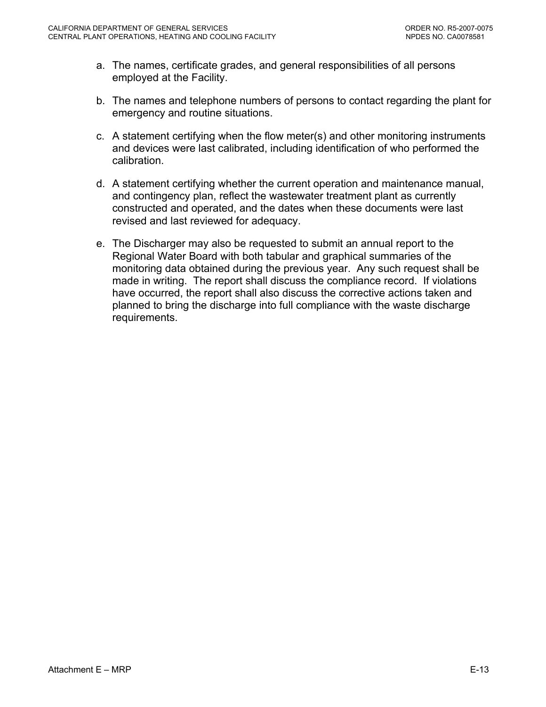- a. The names, certificate grades, and general responsibilities of all persons employed at the Facility.
- b. The names and telephone numbers of persons to contact regarding the plant for emergency and routine situations.
- c. A statement certifying when the flow meter(s) and other monitoring instruments and devices were last calibrated, including identification of who performed the calibration.
- d. A statement certifying whether the current operation and maintenance manual, and contingency plan, reflect the wastewater treatment plant as currently constructed and operated, and the dates when these documents were last revised and last reviewed for adequacy.
- e. The Discharger may also be requested to submit an annual report to the Regional Water Board with both tabular and graphical summaries of the monitoring data obtained during the previous year. Any such request shall be made in writing. The report shall discuss the compliance record. If violations have occurred, the report shall also discuss the corrective actions taken and planned to bring the discharge into full compliance with the waste discharge requirements.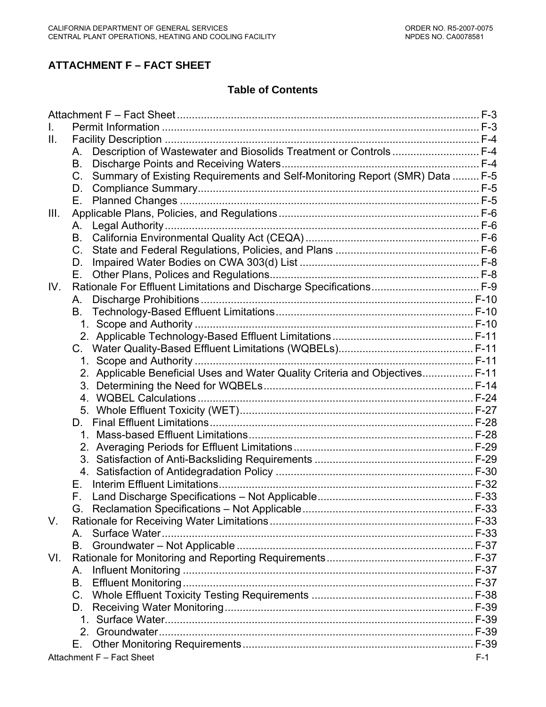# **ATTACHMENT F – FACT SHEET**

# **Table of Contents**

| II.  |                                                                                        |       |
|------|----------------------------------------------------------------------------------------|-------|
|      | Description of Wastewater and Biosolids Treatment or Controls  F-4<br>А.               |       |
|      | B.                                                                                     |       |
|      | Summary of Existing Requirements and Self-Monitoring Report (SMR) Data  F-5<br>$C_{1}$ |       |
|      | D.                                                                                     |       |
|      | Е.                                                                                     |       |
| III. |                                                                                        |       |
|      | А.                                                                                     |       |
|      | В.                                                                                     |       |
|      | $C_{1}$                                                                                |       |
|      | D.                                                                                     |       |
|      | Е.                                                                                     |       |
| IV.  | Rationale For Effluent Limitations and Discharge Specifications F-9                    |       |
|      | А.                                                                                     |       |
|      | В.                                                                                     |       |
|      |                                                                                        |       |
|      |                                                                                        |       |
|      |                                                                                        |       |
|      |                                                                                        |       |
|      | 2. Applicable Beneficial Uses and Water Quality Criteria and Objectives F-11           |       |
|      |                                                                                        |       |
|      |                                                                                        |       |
|      |                                                                                        |       |
|      | D.                                                                                     |       |
|      |                                                                                        |       |
|      |                                                                                        |       |
|      |                                                                                        |       |
|      |                                                                                        |       |
|      | Е.                                                                                     |       |
|      | F.                                                                                     |       |
|      | G.                                                                                     |       |
| V.   |                                                                                        |       |
|      | A                                                                                      |       |
|      | В.                                                                                     |       |
| VI.  |                                                                                        |       |
|      | А.                                                                                     |       |
|      | В.                                                                                     |       |
|      | $C_{1}$                                                                                |       |
|      | D.                                                                                     |       |
|      |                                                                                        |       |
|      |                                                                                        |       |
|      | Е.                                                                                     |       |
|      | Attachment F - Fact Sheet                                                              | $F-1$ |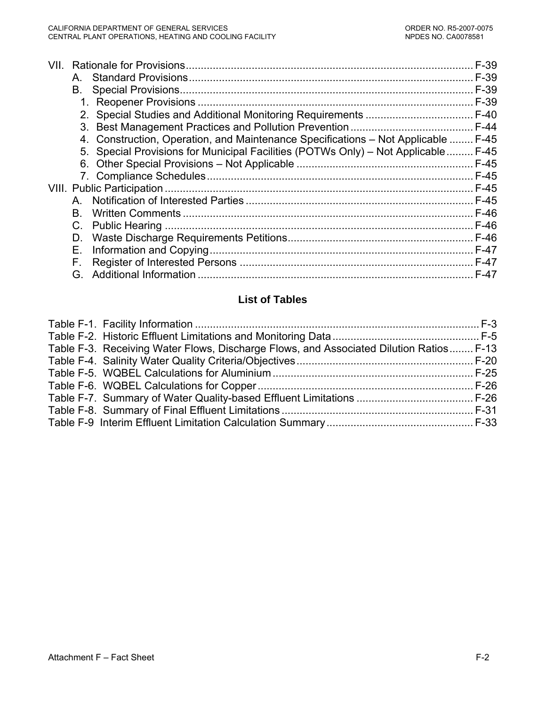| VII | A           |                                                                                    | $F-39$<br>$F-39$ |
|-----|-------------|------------------------------------------------------------------------------------|------------------|
|     | В.          |                                                                                    | $F-39$           |
|     |             |                                                                                    |                  |
|     |             |                                                                                    |                  |
|     |             |                                                                                    |                  |
|     |             | 4. Construction, Operation, and Maintenance Specifications - Not Applicable  F-45  |                  |
|     |             | 5. Special Provisions for Municipal Facilities (POTWs Only) - Not Applicable  F-45 |                  |
|     |             |                                                                                    |                  |
|     |             |                                                                                    |                  |
|     |             |                                                                                    |                  |
|     | A           |                                                                                    |                  |
|     | B.          |                                                                                    |                  |
|     | $C_{\cdot}$ |                                                                                    |                  |
|     | D.          |                                                                                    |                  |
|     | Е.          |                                                                                    |                  |
|     | Е.          |                                                                                    | $F-47$           |
|     | G.          |                                                                                    | $F-47$           |

# **List of Tables**

| Table F-3. Receiving Water Flows, Discharge Flows, and Associated Dilution Ratios F-13 |  |
|----------------------------------------------------------------------------------------|--|
|                                                                                        |  |
|                                                                                        |  |
|                                                                                        |  |
|                                                                                        |  |
|                                                                                        |  |
|                                                                                        |  |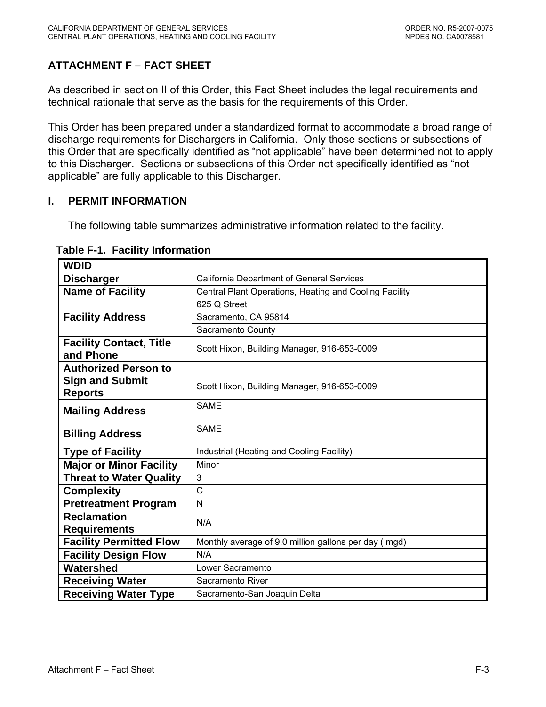# <span id="page-53-0"></span>**ATTACHMENT F – FACT SHEET**

As described in section II of this Order, this Fact Sheet includes the legal requirements and technical rationale that serve as the basis for the requirements of this Order.

This Order has been prepared under a standardized format to accommodate a broad range of discharge requirements for Dischargers in California. Only those sections or subsections of this Order that are specifically identified as "not applicable" have been determined not to apply to this Discharger. Sections or subsections of this Order not specifically identified as "not applicable" are fully applicable to this Discharger.

### **I. PERMIT INFORMATION**

The following table summarizes administrative information related to the facility.

| <b>WDID</b>                                 |                                                        |  |  |
|---------------------------------------------|--------------------------------------------------------|--|--|
| <b>Discharger</b>                           | <b>California Department of General Services</b>       |  |  |
| <b>Name of Facility</b>                     | Central Plant Operations, Heating and Cooling Facility |  |  |
|                                             | 625 Q Street                                           |  |  |
| <b>Facility Address</b>                     | Sacramento, CA 95814                                   |  |  |
|                                             | Sacramento County                                      |  |  |
| <b>Facility Contact, Title</b><br>and Phone | Scott Hixon, Building Manager, 916-653-0009            |  |  |
| <b>Authorized Person to</b>                 |                                                        |  |  |
| <b>Sign and Submit</b><br><b>Reports</b>    | Scott Hixon, Building Manager, 916-653-0009            |  |  |
| <b>Mailing Address</b>                      | <b>SAME</b>                                            |  |  |
| <b>Billing Address</b>                      | <b>SAME</b>                                            |  |  |
| <b>Type of Facility</b>                     | Industrial (Heating and Cooling Facility)              |  |  |
| <b>Major or Minor Facility</b>              | Minor                                                  |  |  |
| <b>Threat to Water Quality</b>              | 3                                                      |  |  |
| <b>Complexity</b>                           | C                                                      |  |  |
| <b>Pretreatment Program</b>                 | N                                                      |  |  |
| <b>Reclamation</b>                          | N/A                                                    |  |  |
| <b>Requirements</b>                         |                                                        |  |  |
| <b>Facility Permitted Flow</b>              | Monthly average of 9.0 million gallons per day (mgd)   |  |  |
| <b>Facility Design Flow</b>                 | N/A                                                    |  |  |
| Watershed                                   | Lower Sacramento                                       |  |  |
| <b>Receiving Water</b>                      | Sacramento River                                       |  |  |
| <b>Receiving Water Type</b>                 | Sacramento-San Joaquin Delta                           |  |  |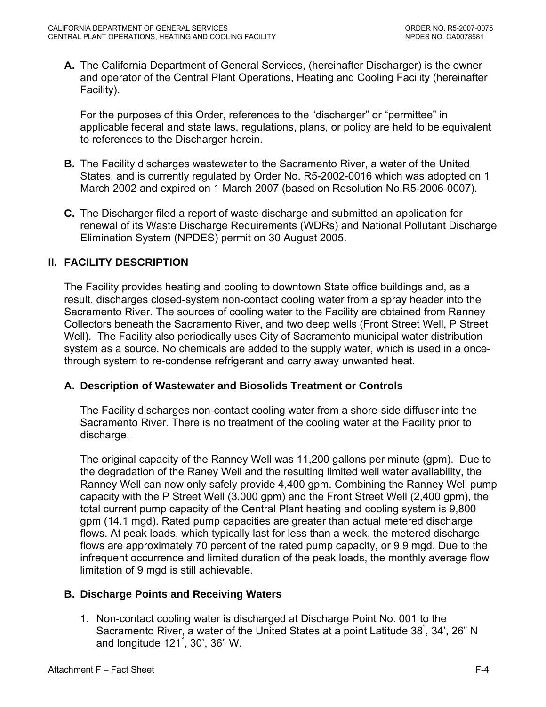<span id="page-54-0"></span>**A.** The California Department of General Services, (hereinafter Discharger) is the owner and operator of the Central Plant Operations, Heating and Cooling Facility (hereinafter Facility).

For the purposes of this Order, references to the "discharger" or "permittee" in applicable federal and state laws, regulations, plans, or policy are held to be equivalent to references to the Discharger herein.

- **B.** The Facility discharges wastewater to the Sacramento River, a water of the United States, and is currently regulated by Order No. R5-2002-0016 which was adopted on 1 March 2002 and expired on 1 March 2007 (based on Resolution No.R5-2006-0007).
- **C.** The Discharger filed a report of waste discharge and submitted an application for renewal of its Waste Discharge Requirements (WDRs) and National Pollutant Discharge Elimination System (NPDES) permit on 30 August 2005.

# **II. FACILITY DESCRIPTION**

The Facility provides heating and cooling to downtown State office buildings and, as a result, discharges closed-system non-contact cooling water from a spray header into the Sacramento River. The sources of cooling water to the Facility are obtained from Ranney Collectors beneath the Sacramento River, and two deep wells (Front Street Well, P Street Well). The Facility also periodically uses City of Sacramento municipal water distribution system as a source. No chemicals are added to the supply water, which is used in a oncethrough system to re-condense refrigerant and carry away unwanted heat.

### **A. Description of Wastewater and Biosolids Treatment or Controls**

The Facility discharges non-contact cooling water from a shore-side diffuser into the Sacramento River. There is no treatment of the cooling water at the Facility prior to discharge.

The original capacity of the Ranney Well was 11,200 gallons per minute (gpm). Due to the degradation of the Raney Well and the resulting limited well water availability, the Ranney Well can now only safely provide 4,400 gpm. Combining the Ranney Well pump capacity with the P Street Well (3,000 gpm) and the Front Street Well (2,400 gpm), the total current pump capacity of the Central Plant heating and cooling system is 9,800 gpm (14.1 mgd). Rated pump capacities are greater than actual metered discharge flows. At peak loads, which typically last for less than a week, the metered discharge flows are approximately 70 percent of the rated pump capacity, or 9.9 mgd. Due to the infrequent occurrence and limited duration of the peak loads, the monthly average flow limitation of 9 mgd is still achievable.

# **B. Discharge Points and Receiving Waters**

1. Non-contact cooling water is discharged at Discharge Point No. 001 to the Sacramento River, a water of the United States at a point Latitude 38°, 34', 26" N and longitude 121° , 30', 36" W.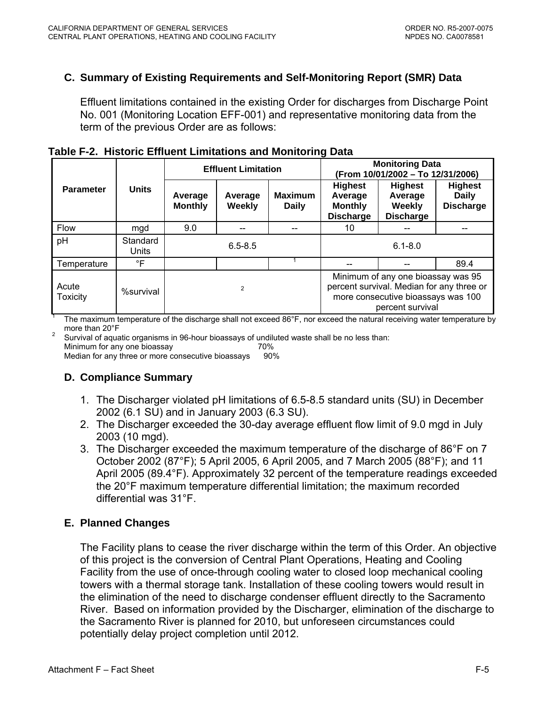# <span id="page-55-0"></span>**C. Summary of Existing Requirements and Self-Monitoring Report (SMR) Data**

Effluent limitations contained in the existing Order for discharges from Discharge Point No. 001 (Monitoring Location EFF-001) and representative monitoring data from the term of the previous Order are as follows:

|                          |                          | <b>Effluent Limitation</b> |                          |                                | <b>Monitoring Data</b><br>(From 10/01/2002 - To 12/31/2006)                                                                               |                                                         |                                                    |
|--------------------------|--------------------------|----------------------------|--------------------------|--------------------------------|-------------------------------------------------------------------------------------------------------------------------------------------|---------------------------------------------------------|----------------------------------------------------|
| <b>Parameter</b>         | <b>Units</b>             | Average<br><b>Monthly</b>  | Average<br><b>Weekly</b> | <b>Maximum</b><br><b>Daily</b> | <b>Highest</b><br>Average<br><b>Monthly</b><br><b>Discharge</b>                                                                           | <b>Highest</b><br>Average<br>Weekly<br><b>Discharge</b> | <b>Highest</b><br><b>Daily</b><br><b>Discharge</b> |
| Flow                     | mgd                      | 9.0                        | --                       |                                | 10                                                                                                                                        |                                                         |                                                    |
| pH                       | Standard<br><b>Units</b> | $6.5 - 8.5$                |                          | $6.1 - 8.0$                    |                                                                                                                                           |                                                         |                                                    |
| Temperature              | $\mathsf{P}$             |                            |                          |                                |                                                                                                                                           |                                                         | 89.4                                               |
| Acute<br><b>Toxicity</b> | %survival                | $\overline{2}$             |                          |                                | Minimum of any one bioassay was 95<br>percent survival. Median for any three or<br>more consecutive bioassays was 100<br>percent survival |                                                         |                                                    |

**Table F-2. Historic Effluent Limitations and Monitoring Data** 

The maximum temperature of the discharge shall not exceed 86°F, nor exceed the natural receiving water temperature by more than 20°F

 Survival of aquatic organisms in 96-hour bioassays of undiluted waste shall be no less than: Minimum for any one bioassay 70% Median for any three or more consecutive bioassays 90%

# **D. Compliance Summary**

- 1. The Discharger violated pH limitations of 6.5-8.5 standard units (SU) in December 2002 (6.1 SU) and in January 2003 (6.3 SU).
- 2. The Discharger exceeded the 30-day average effluent flow limit of 9.0 mgd in July 2003 (10 mgd).
- 3. The Discharger exceeded the maximum temperature of the discharge of 86°F on 7 October 2002 (87°F); 5 April 2005, 6 April 2005, and 7 March 2005 (88°F); and 11 April 2005 (89.4°F). Approximately 32 percent of the temperature readings exceeded the 20°F maximum temperature differential limitation; the maximum recorded differential was 31°F.

# **E. Planned Changes**

The Facility plans to cease the river discharge within the term of this Order. An objective of this project is the conversion of Central Plant Operations, Heating and Cooling Facility from the use of once-through cooling water to closed loop mechanical cooling towers with a thermal storage tank. Installation of these cooling towers would result in the elimination of the need to discharge condenser effluent directly to the Sacramento River. Based on information provided by the Discharger, elimination of the discharge to the Sacramento River is planned for 2010, but unforeseen circumstances could potentially delay project completion until 2012.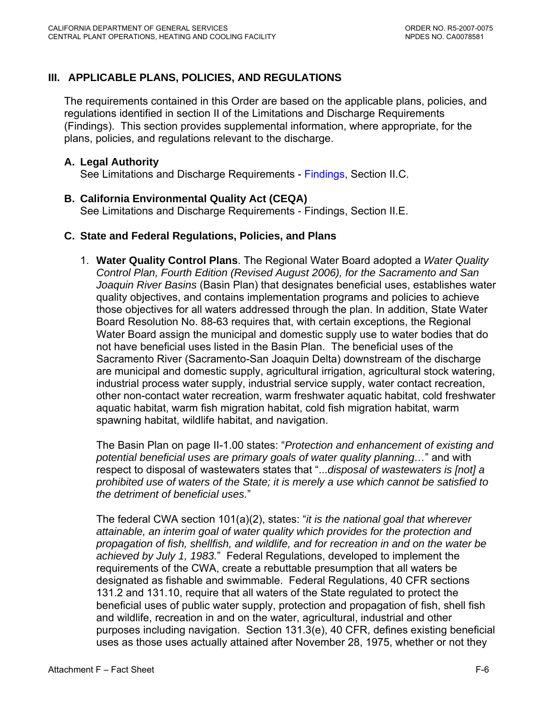# <span id="page-56-0"></span>**III. APPLICABLE PLANS, POLICIES, AND REGULATIONS**

The requirements contained in this Order are based on the applicable plans, policies, and regulations identified in section II of the Limitations and Discharge Requirements (Findings). This section provides supplemental information, where appropriate, for the plans, policies, and regulations relevant to the discharge.

# **A. Legal Authority**

See Limitations and Discharge Requirements - [Findings, Section II.C.](#page-3-0) 

### **B. California Environmental Quality Act (CEQA)**

See Limitations and Discharge Requirements - [Findings, Section II.E.](#page-3-0)

### **C. State and Federal Regulations, Policies, and Plans**

1. **Water Quality Control Plans**. The Regional Water Board adopted a *Water Quality Control Plan, Fourth Edition (Revised August 2006), for the Sacramento and San Joaquin River Basins* (Basin Plan) that designates beneficial uses, establishes water quality objectives, and contains implementation programs and policies to achieve those objectives for all waters addressed through the plan. In addition, State Water Board Resolution No. 88-63 requires that, with certain exceptions, the Regional Water Board assign the municipal and domestic supply use to water bodies that do not have beneficial uses listed in the Basin Plan. The beneficial uses of the Sacramento River (Sacramento-San Joaquin Delta) downstream of the discharge are municipal and domestic supply, agricultural irrigation, agricultural stock watering, industrial process water supply, industrial service supply, water contact recreation, other non-contact water recreation, warm freshwater aquatic habitat, cold freshwater aquatic habitat, warm fish migration habitat, cold fish migration habitat, warm spawning habitat, wildlife habitat, and navigation.

The Basin Plan on page II-1.00 states: "*Protection and enhancement of existing and potential beneficial uses are primary goals of water quality planning…*" and with respect to disposal of wastewaters states that "...*disposal of wastewaters is [not] a prohibited use of waters of the State; it is merely a use which cannot be satisfied to the detriment of beneficial uses.*"

 The federal CWA section 101(a)(2), states: "*it is the national goal that wherever attainable, an interim goal of water quality which provides for the protection and propagation of fish, shellfish, and wildlife, and for recreation in and on the water be achieved by July 1, 1983.*" Federal Regulations, developed to implement the requirements of the CWA, create a rebuttable presumption that all waters be designated as fishable and swimmable. Federal Regulations, 40 CFR sections 131.2 and 131.10, require that all waters of the State regulated to protect the beneficial uses of public water supply, protection and propagation of fish, shell fish and wildlife, recreation in and on the water, agricultural, industrial and other purposes including navigation. Section 131.3(e), 40 CFR, defines existing beneficial uses as those uses actually attained after November 28, 1975, whether or not they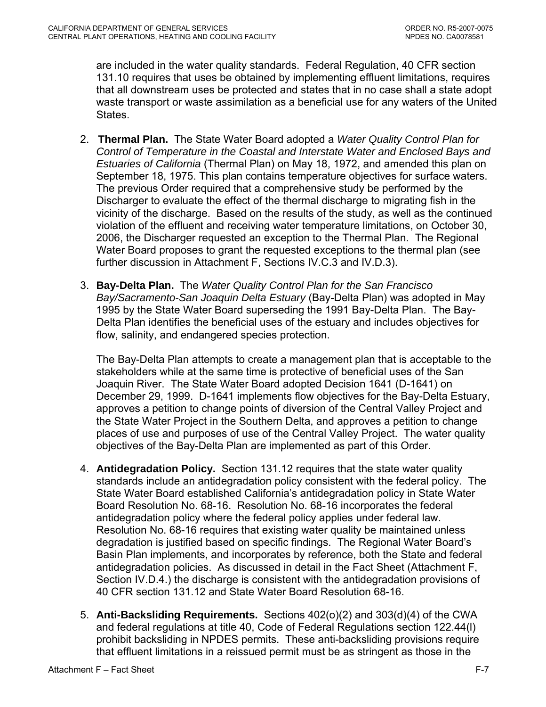are included in the water quality standards. Federal Regulation, 40 CFR section 131.10 requires that uses be obtained by implementing effluent limitations, requires that all downstream uses be protected and states that in no case shall a state adopt waste transport or waste assimilation as a beneficial use for any waters of the United States.

- 2. **Thermal Plan.** The State Water Board adopted a *Water Quality Control Plan for Control of Temperature in the Coastal and Interstate Water and Enclosed Bays and Estuaries of California* (Thermal Plan) on May 18, 1972, and amended this plan on September 18, 1975. This plan contains temperature objectives for surface waters. The previous Order required that a comprehensive study be performed by the Discharger to evaluate the effect of the thermal discharge to migrating fish in the vicinity of the discharge. Based on the results of the study, as well as the continued violation of the effluent and receiving water temperature limitations, on October 30, 2006, the Discharger requested an exception to the Thermal Plan. The Regional Water Board proposes to grant the requested exceptions to the thermal plan (see further discussion in Attachment F, Sections IV.C.3 and IV.D.3).
- 3. **Bay-Delta Plan.** The *Water Quality Control Plan for the San Francisco Bay/Sacramento-San Joaquin Delta Estuary* (Bay-Delta Plan) was adopted in May 1995 by the State Water Board superseding the 1991 Bay-Delta Plan. The Bay-Delta Plan identifies the beneficial uses of the estuary and includes objectives for flow, salinity, and endangered species protection.

The Bay-Delta Plan attempts to create a management plan that is acceptable to the stakeholders while at the same time is protective of beneficial uses of the San Joaquin River. The State Water Board adopted Decision 1641 (D-1641) on December 29, 1999. D-1641 implements flow objectives for the Bay-Delta Estuary, approves a petition to change points of diversion of the Central Valley Project and the State Water Project in the Southern Delta, and approves a petition to change places of use and purposes of use of the Central Valley Project. The water quality objectives of the Bay-Delta Plan are implemented as part of this Order.

- 4. **Antidegradation Policy.** Section 131.12 requires that the state water quality standards include an antidegradation policy consistent with the federal policy. The State Water Board established California's antidegradation policy in State Water Board Resolution No. 68-16. Resolution No. 68-16 incorporates the federal antidegradation policy where the federal policy applies under federal law. Resolution No. 68-16 requires that existing water quality be maintained unless degradation is justified based on specific findings. The Regional Water Board's Basin Plan implements, and incorporates by reference, both the State and federal antidegradation policies. As discussed in detail in the Fact Sheet ([Attachment F,](#page-80-0)  [Section IV.D.4.](#page-80-0)) the discharge is consistent with the antidegradation provisions of 40 CFR section 131.12 and State Water Board Resolution 68-16.
- 5. **Anti-Backsliding Requirements.** Sections 402(o)(2) and 303(d)(4) of the CWA and federal regulations at title 40, Code of Federal Regulations section 122.44(l) prohibit backsliding in NPDES permits. These anti-backsliding provisions require that effluent limitations in a reissued permit must be as stringent as those in the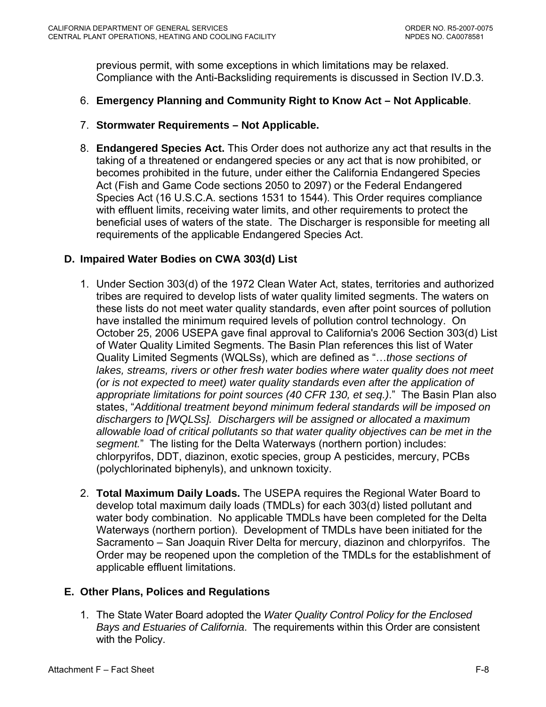<span id="page-58-0"></span>previous permit, with some exceptions in which limitations may be relaxed. Compliance with the Anti-Backsliding requirements is discussed in [Section IV.D.3.](#page-79-0) 

- 6. **Emergency Planning and Community Right to Know Act Not Applicable**.
- 7. **Stormwater Requirements Not Applicable.**
- 8. **Endangered Species Act.** This Order does not authorize any act that results in the taking of a threatened or endangered species or any act that is now prohibited, or becomes prohibited in the future, under either the California Endangered Species Act (Fish and Game Code sections 2050 to 2097) or the Federal Endangered Species Act (16 U.S.C.A. sections 1531 to 1544). This Order requires compliance with effluent limits, receiving water limits, and other requirements to protect the beneficial uses of waters of the state. The Discharger is responsible for meeting all requirements of the applicable Endangered Species Act.

# **D. Impaired Water Bodies on CWA 303(d) List**

- 1. Under Section 303(d) of the 1972 Clean Water Act, states, territories and authorized tribes are required to develop lists of water quality limited segments. The waters on these lists do not meet water quality standards, even after point sources of pollution have installed the minimum required levels of pollution control technology. On October 25, 2006 USEPA gave final approval to California's 2006 Section 303(d) List of Water Quality Limited Segments. The Basin Plan references this list of Water Quality Limited Segments (WQLSs), which are defined as "…*those sections of*  lakes, streams, rivers or other fresh water bodies where water quality does not meet *(or is not expected to meet) water quality standards even after the application of appropriate limitations for point sources (40 CFR 130, et seq.)*." The Basin Plan also states, "*Additional treatment beyond minimum federal standards will be imposed on dischargers to [WQLSs]. Dischargers will be assigned or allocated a maximum allowable load of critical pollutants so that water quality objectives can be met in the segment.*" The listing for the Delta Waterways (northern portion) includes: chlorpyrifos, DDT, diazinon, exotic species, group A pesticides, mercury, PCBs (polychlorinated biphenyls), and unknown toxicity.
- 2. **Total Maximum Daily Loads.** The USEPA requires the Regional Water Board to develop total maximum daily loads (TMDLs) for each 303(d) listed pollutant and water body combination. No applicable TMDLs have been completed for the Delta Waterways (northern portion). Development of TMDLs have been initiated for the Sacramento – San Joaquin River Delta for mercury, diazinon and chlorpyrifos. The Order may be reopened upon the completion of the TMDLs for the establishment of applicable effluent limitations.

### **E. Other Plans, Polices and Regulations**

1. The State Water Board adopted the *Water Quality Control Policy for the Enclosed Bays and Estuaries of California*. The requirements within this Order are consistent with the Policy.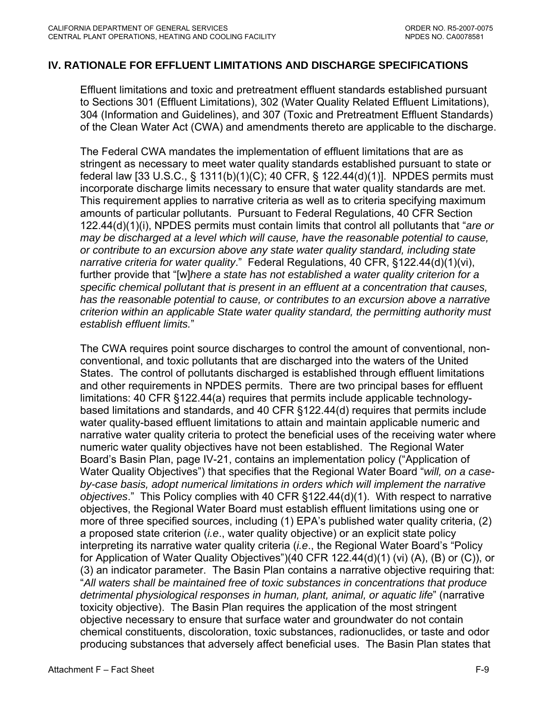### <span id="page-59-0"></span>**IV. RATIONALE FOR EFFLUENT LIMITATIONS AND DISCHARGE SPECIFICATIONS**

Effluent limitations and toxic and pretreatment effluent standards established pursuant to Sections 301 (Effluent Limitations), 302 (Water Quality Related Effluent Limitations), 304 (Information and Guidelines), and 307 (Toxic and Pretreatment Effluent Standards) of the Clean Water Act (CWA) and amendments thereto are applicable to the discharge.

The Federal CWA mandates the implementation of effluent limitations that are as stringent as necessary to meet water quality standards established pursuant to state or federal law [33 U.S.C., § 1311(b)(1)(C); 40 CFR, § 122.44(d)(1)]. NPDES permits must incorporate discharge limits necessary to ensure that water quality standards are met. This requirement applies to narrative criteria as well as to criteria specifying maximum amounts of particular pollutants. Pursuant to Federal Regulations, 40 CFR Section 122.44(d)(1)(i), NPDES permits must contain limits that control all pollutants that "*are or may be discharged at a level which will cause, have the reasonable potential to cause, or contribute to an excursion above any state water quality standard, including state narrative criteria for water quality*." Federal Regulations, 40 CFR, §122.44(d)(1)(vi), further provide that "[w]*here a state has not established a water quality criterion for a specific chemical pollutant that is present in an effluent at a concentration that causes, has the reasonable potential to cause, or contributes to an excursion above a narrative criterion within an applicable State water quality standard, the permitting authority must establish effluent limits.*"

The CWA requires point source discharges to control the amount of conventional, nonconventional, and toxic pollutants that are discharged into the waters of the United States. The control of pollutants discharged is established through effluent limitations and other requirements in NPDES permits. There are two principal bases for effluent limitations: 40 CFR §122.44(a) requires that permits include applicable technologybased limitations and standards, and 40 CFR §122.44(d) requires that permits include water quality-based effluent limitations to attain and maintain applicable numeric and narrative water quality criteria to protect the beneficial uses of the receiving water where numeric water quality objectives have not been established. The Regional Water Board's Basin Plan, page IV-21, contains an implementation policy ("Application of Water Quality Objectives") that specifies that the Regional Water Board "*will, on a caseby-case basis, adopt numerical limitations in orders which will implement the narrative objectives*." This Policy complies with 40 CFR §122.44(d)(1). With respect to narrative objectives, the Regional Water Board must establish effluent limitations using one or more of three specified sources, including (1) EPA's published water quality criteria, (2) a proposed state criterion (*i.e*., water quality objective) or an explicit state policy interpreting its narrative water quality criteria (*i.e*., the Regional Water Board's "Policy for Application of Water Quality Objectives")(40 CFR 122.44(d)(1) (vi) (A), (B) or (C)), or (3) an indicator parameter. The Basin Plan contains a narrative objective requiring that: "*All waters shall be maintained free of toxic substances in concentrations that produce detrimental physiological responses in human, plant, animal, or aquatic life*" (narrative toxicity objective). The Basin Plan requires the application of the most stringent objective necessary to ensure that surface water and groundwater do not contain chemical constituents, discoloration, toxic substances, radionuclides, or taste and odor producing substances that adversely affect beneficial uses. The Basin Plan states that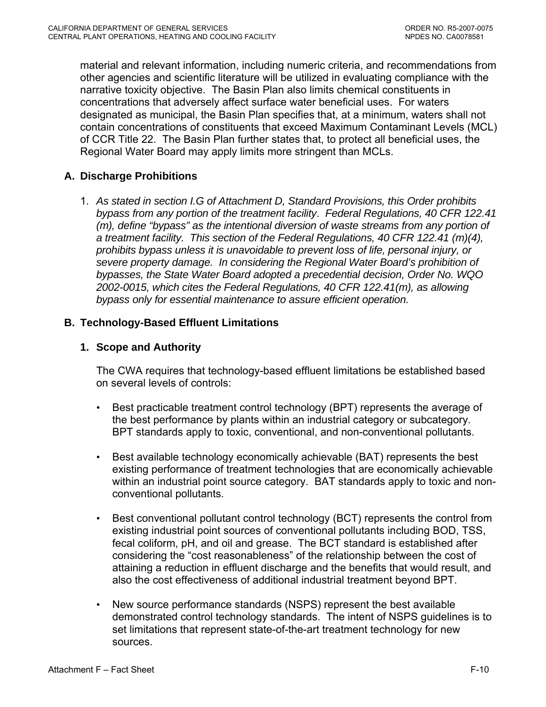<span id="page-60-0"></span>material and relevant information, including numeric criteria, and recommendations from other agencies and scientific literature will be utilized in evaluating compliance with the narrative toxicity objective. The Basin Plan also limits chemical constituents in concentrations that adversely affect surface water beneficial uses. For waters designated as municipal, the Basin Plan specifies that, at a minimum, waters shall not contain concentrations of constituents that exceed Maximum Contaminant Levels (MCL) of CCR Title 22. The Basin Plan further states that, to protect all beneficial uses, the Regional Water Board may apply limits more stringent than MCLs.

# **A. Discharge Prohibitions**

1. *As stated in section I.G of Attachment D, Standard Provisions, this Order prohibits bypass from any portion of the treatment facility*. *Federal Regulations, 40 CFR 122.41 (m), define "bypass" as the intentional diversion of waste streams from any portion of a treatment facility. This section of the Federal Regulations, 40 CFR 122.41 (m)(4), prohibits bypass unless it is unavoidable to prevent loss of life, personal injury, or severe property damage. In considering the Regional Water Board's prohibition of bypasses, the State Water Board adopted a precedential decision, Order No. WQO 2002-0015, which cites the Federal Regulations, 40 CFR 122.41(m), as allowing bypass only for essential maintenance to assure efficient operation.* 

### **B. Technology-Based Effluent Limitations**

### **1. Scope and Authority**

The CWA requires that technology-based effluent limitations be established based on several levels of controls:

- Best practicable treatment control technology (BPT) represents the average of the best performance by plants within an industrial category or subcategory. BPT standards apply to toxic, conventional, and non-conventional pollutants.
- Best available technology economically achievable (BAT) represents the best existing performance of treatment technologies that are economically achievable within an industrial point source category. BAT standards apply to toxic and nonconventional pollutants.
- Best conventional pollutant control technology (BCT) represents the control from existing industrial point sources of conventional pollutants including BOD, TSS, fecal coliform, pH, and oil and grease. The BCT standard is established after considering the "cost reasonableness" of the relationship between the cost of attaining a reduction in effluent discharge and the benefits that would result, and also the cost effectiveness of additional industrial treatment beyond BPT.
- New source performance standards (NSPS) represent the best available demonstrated control technology standards. The intent of NSPS guidelines is to set limitations that represent state-of-the-art treatment technology for new sources.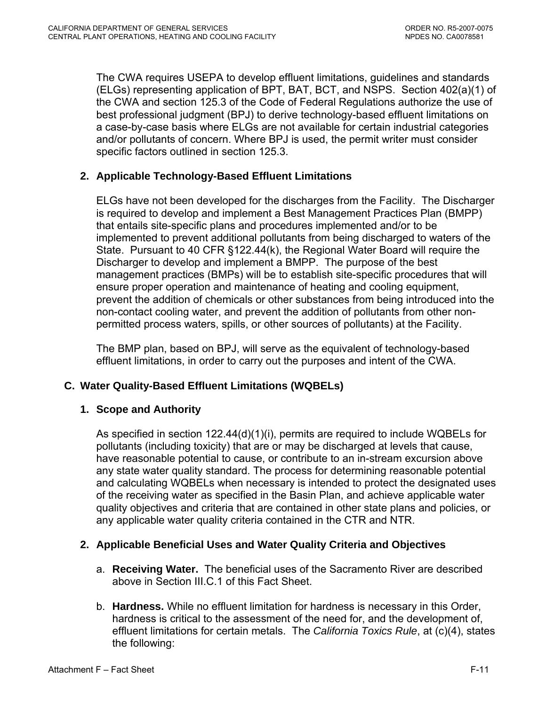<span id="page-61-0"></span>The CWA requires USEPA to develop effluent limitations, guidelines and standards (ELGs) representing application of BPT, BAT, BCT, and NSPS. Section 402(a)(1) of the CWA and section 125.3 of the Code of Federal Regulations authorize the use of best professional judgment (BPJ) to derive technology-based effluent limitations on a case-by-case basis where ELGs are not available for certain industrial categories and/or pollutants of concern. Where BPJ is used, the permit writer must consider specific factors outlined in section 125.3.

# **2. Applicable Technology-Based Effluent Limitations**

ELGs have not been developed for the discharges from the Facility. The Discharger is required to develop and implement a Best Management Practices Plan (BMPP) that entails site-specific plans and procedures implemented and/or to be implemented to prevent additional pollutants from being discharged to waters of the State. Pursuant to 40 CFR §122.44(k), the Regional Water Board will require the Discharger to develop and implement a BMPP. The purpose of the best management practices (BMPs) will be to establish site-specific procedures that will ensure proper operation and maintenance of heating and cooling equipment, prevent the addition of chemicals or other substances from being introduced into the non-contact cooling water, and prevent the addition of pollutants from other nonpermitted process waters, spills, or other sources of pollutants) at the Facility.

The BMP plan, based on BPJ, will serve as the equivalent of technology-based effluent limitations, in order to carry out the purposes and intent of the CWA.

# **C. Water Quality-Based Effluent Limitations (WQBELs)**

### **1. Scope and Authority**

As specified in section 122.44(d)(1)(i), permits are required to include WQBELs for pollutants (including toxicity) that are or may be discharged at levels that cause, have reasonable potential to cause, or contribute to an in-stream excursion above any state water quality standard. The process for determining reasonable potential and calculating WQBELs when necessary is intended to protect the designated uses of the receiving water as specified in the Basin Plan, and achieve applicable water quality objectives and criteria that are contained in other state plans and policies, or any applicable water quality criteria contained in the CTR and NTR.

# **2. Applicable Beneficial Uses and Water Quality Criteria and Objectives**

- a. **Receiving Water.** The beneficial uses of the Sacramento River are described above in Section III C 1 of this Fact Sheet.
- b. **Hardness.** While no effluent limitation for hardness is necessary in this Order, hardness is critical to the assessment of the need for, and the development of, effluent limitations for certain metals. The *California Toxics Rule*, at (c)(4), states the following: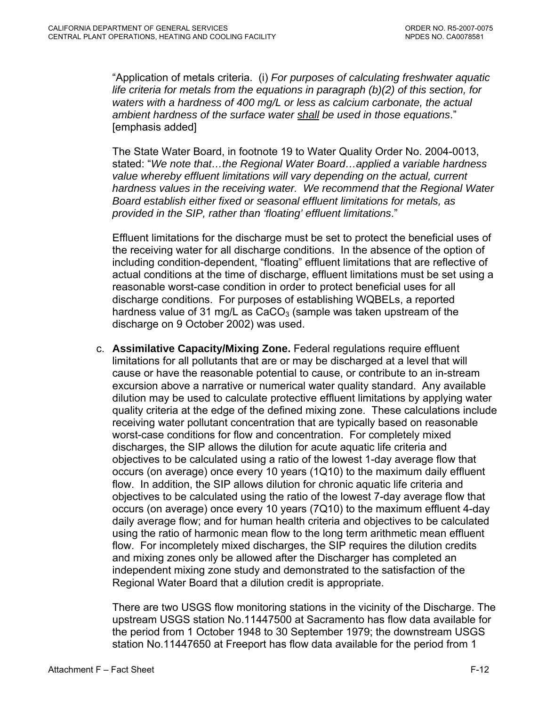"Application of metals criteria. (i) *For purposes of calculating freshwater aquatic life criteria for metals from the equations in paragraph (b)(2) of this section, for waters with a hardness of 400 mg/L or less as calcium carbonate, the actual ambient hardness of the surface water shall be used in those equations*." [emphasis added]

The State Water Board, in footnote 19 to Water Quality Order No. 2004-0013, stated: "*We note that…the Regional Water Board…applied a variable hardness value whereby effluent limitations will vary depending on the actual, current hardness values in the receiving water. We recommend that the Regional Water Board establish either fixed or seasonal effluent limitations for metals, as provided in the SIP, rather than 'floating' effluent limitations*."

Effluent limitations for the discharge must be set to protect the beneficial uses of the receiving water for all discharge conditions. In the absence of the option of including condition-dependent, "floating" effluent limitations that are reflective of actual conditions at the time of discharge, effluent limitations must be set using a reasonable worst-case condition in order to protect beneficial uses for all discharge conditions. For purposes of establishing WQBELs, a reported hardness value of 31 mg/L as  $CaCO<sub>3</sub>$  (sample was taken upstream of the discharge on 9 October 2002) was used.

c. **Assimilative Capacity/Mixing Zone.** Federal regulations require effluent limitations for all pollutants that are or may be discharged at a level that will cause or have the reasonable potential to cause, or contribute to an in-stream excursion above a narrative or numerical water quality standard. Any available dilution may be used to calculate protective effluent limitations by applying water quality criteria at the edge of the defined mixing zone. These calculations include receiving water pollutant concentration that are typically based on reasonable worst-case conditions for flow and concentration. For completely mixed discharges, the SIP allows the dilution for acute aquatic life criteria and objectives to be calculated using a ratio of the lowest 1-day average flow that occurs (on average) once every 10 years (1Q10) to the maximum daily effluent flow. In addition, the SIP allows dilution for chronic aquatic life criteria and objectives to be calculated using the ratio of the lowest 7-day average flow that occurs (on average) once every 10 years (7Q10) to the maximum effluent 4-day daily average flow; and for human health criteria and objectives to be calculated using the ratio of harmonic mean flow to the long term arithmetic mean effluent flow. For incompletely mixed discharges, the SIP requires the dilution credits and mixing zones only be allowed after the Discharger has completed an independent mixing zone study and demonstrated to the satisfaction of the Regional Water Board that a dilution credit is appropriate.

There are two USGS flow monitoring stations in the vicinity of the Discharge. The upstream USGS station No.11447500 at Sacramento has flow data available for the period from 1 October 1948 to 30 September 1979; the downstream USGS station No.11447650 at Freeport has flow data available for the period from 1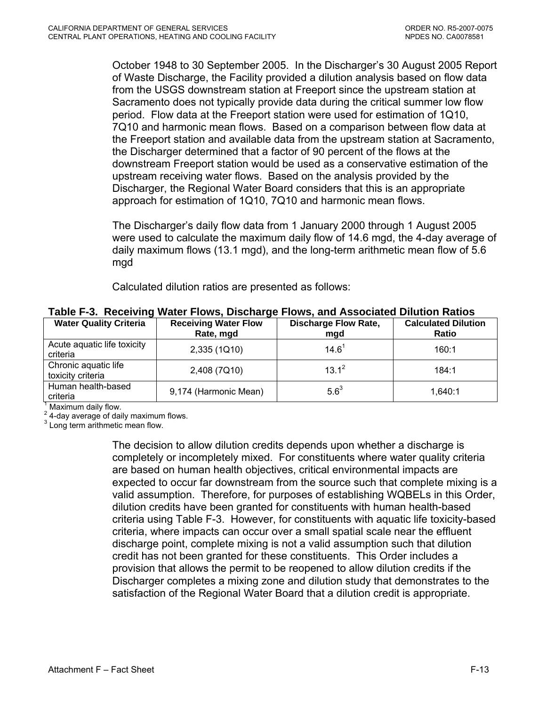<span id="page-63-0"></span>October 1948 to 30 September 2005. In the Discharger's 30 August 2005 Report of Waste Discharge, the Facility provided a dilution analysis based on flow data from the USGS downstream station at Freeport since the upstream station at Sacramento does not typically provide data during the critical summer low flow period. Flow data at the Freeport station were used for estimation of 1Q10, 7Q10 and harmonic mean flows. Based on a comparison between flow data at the Freeport station and available data from the upstream station at Sacramento, the Discharger determined that a factor of 90 percent of the flows at the downstream Freeport station would be used as a conservative estimation of the upstream receiving water flows. Based on the analysis provided by the Discharger, the Regional Water Board considers that this is an appropriate approach for estimation of 1Q10, 7Q10 and harmonic mean flows.

The Discharger's daily flow data from 1 January 2000 through 1 August 2005 were used to calculate the maximum daily flow of 14.6 mgd, the 4-day average of daily maximum flows (13.1 mgd), and the long-term arithmetic mean flow of 5.6 mgd

Calculated dilution ratios are presented as follows:

| <b>Water Quality Criteria</b>             | <b>Receiving Water Flow</b><br>Rate, mgd |           | <b>Calculated Dilution</b><br><b>Ratio</b> |  |
|-------------------------------------------|------------------------------------------|-----------|--------------------------------------------|--|
| Acute aquatic life toxicity<br>criteria   | 2,335 (1Q10)                             | $14.6^1$  | 160:1                                      |  |
| Chronic aquatic life<br>toxicity criteria | 2,408 (7Q10)                             | $13.1^2$  | 184:1                                      |  |
| Human health-based<br>criteria            | 9,174 (Harmonic Mean)                    | $5.6^{3}$ | 1,640:1                                    |  |

**Table F-3. Receiving Water Flows, Discharge Flows, and Associated Dilution Ratios** 

1 Maximum daily flow.

 $2$  4-day average of daily maximum flows.

<sup>3</sup> Long term arithmetic mean flow.

The decision to allow dilution credits depends upon whether a discharge is completely or incompletely mixed. For constituents where water quality criteria are based on human health objectives, critical environmental impacts are expected to occur far downstream from the source such that complete mixing is a valid assumption. Therefore, for purposes of establishing WQBELs in this Order, dilution credits have been granted for constituents with human health-based criteria using Table F-3. However, for constituents with aquatic life toxicity-based criteria, where impacts can occur over a small spatial scale near the effluent discharge point, complete mixing is not a valid assumption such that dilution credit has not been granted for these constituents. This Order includes a provision that allows the permit to be reopened to allow dilution credits if the Discharger completes a mixing zone and dilution study that demonstrates to the satisfaction of the Regional Water Board that a dilution credit is appropriate.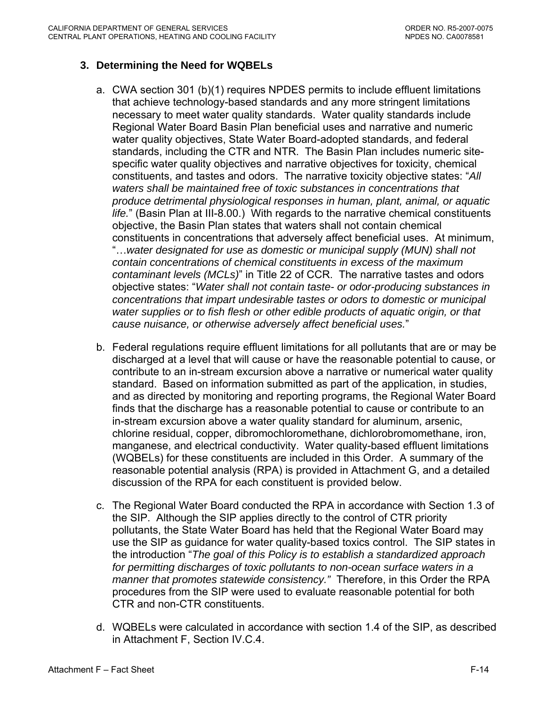# <span id="page-64-0"></span>**3. Determining the Need for WQBELs**

- a. CWA section 301 (b)(1) requires NPDES permits to include effluent limitations that achieve technology-based standards and any more stringent limitations necessary to meet water quality standards. Water quality standards include Regional Water Board Basin Plan beneficial uses and narrative and numeric water quality objectives, State Water Board-adopted standards, and federal standards, including the CTR and NTR. The Basin Plan includes numeric sitespecific water quality objectives and narrative objectives for toxicity, chemical constituents, and tastes and odors. The narrative toxicity objective states: "*All waters shall be maintained free of toxic substances in concentrations that produce detrimental physiological responses in human, plant, animal, or aquatic life.*" (Basin Plan at III-8.00.) With regards to the narrative chemical constituents objective, the Basin Plan states that waters shall not contain chemical constituents in concentrations that adversely affect beneficial uses. At minimum, "…*water designated for use as domestic or municipal supply (MUN) shall not contain concentrations of chemical constituents in excess of the maximum contaminant levels (MCLs)*" in Title 22 of CCR. The narrative tastes and odors objective states: "*Water shall not contain taste- or odor-producing substances in concentrations that impart undesirable tastes or odors to domestic or municipal water supplies or to fish flesh or other edible products of aquatic origin, or that cause nuisance, or otherwise adversely affect beneficial uses.*"
- b. Federal regulations require effluent limitations for all pollutants that are or may be discharged at a level that will cause or have the reasonable potential to cause, or contribute to an in-stream excursion above a narrative or numerical water quality standard. Based on information submitted as part of the application, in studies, and as directed by monitoring and reporting programs, the Regional Water Board finds that the discharge has a reasonable potential to cause or contribute to an in-stream excursion above a water quality standard for aluminum, arsenic, chlorine residual, copper, dibromochloromethane, dichlorobromomethane, iron, manganese, and electrical conductivity. Water quality-based effluent limitations (WQBELs) for these constituents are included in this Order. A summary of the reasonable potential analysis (RPA) is provided in Attachment G, and a detailed discussion of the RPA for each constituent is provided below.
- c. The Regional Water Board conducted the RPA in accordance with Section 1.3 of the SIP. Although the SIP applies directly to the control of CTR priority pollutants, the State Water Board has held that the Regional Water Board may use the SIP as guidance for water quality-based toxics control. The SIP states in the introduction "*The goal of this Policy is to establish a standardized approach for permitting discharges of toxic pollutants to non-ocean surface waters in a manner that promotes statewide consistency."* Therefore, in this Order the RPA procedures from the SIP were used to evaluate reasonable potential for both CTR and non-CTR constituents.
- d. WQBELs were calculated in accordance with section 1.4 of the SIP, as described in [Attachment F, Section IV.C.4.](#page-74-0)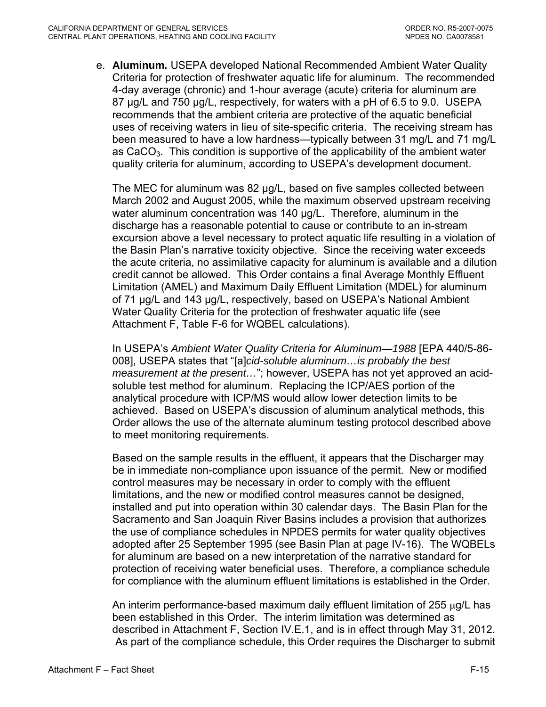e. **Aluminum***.* USEPA developed National Recommended Ambient Water Quality Criteria for protection of freshwater aquatic life for aluminum. The recommended 4-day average (chronic) and 1-hour average (acute) criteria for aluminum are 87 µg/L and 750 µg/L, respectively, for waters with a pH of 6.5 to 9.0. USEPA recommends that the ambient criteria are protective of the aquatic beneficial uses of receiving waters in lieu of site-specific criteria. The receiving stream has been measured to have a low hardness—typically between 31 mg/L and 71 mg/L as  $CaCO<sub>3</sub>$ . This condition is supportive of the applicability of the ambient water quality criteria for aluminum, according to USEPA's development document.

The MEC for aluminum was 82 µg/L, based on five samples collected between March 2002 and August 2005, while the maximum observed upstream receiving water aluminum concentration was 140 µg/L. Therefore, aluminum in the discharge has a reasonable potential to cause or contribute to an in-stream excursion above a level necessary to protect aquatic life resulting in a violation of the Basin Plan's narrative toxicity objective. Since the receiving water exceeds the acute criteria, no assimilative capacity for aluminum is available and a dilution credit cannot be allowed. This Order contains a final Average Monthly Effluent Limitation (AMEL) and Maximum Daily Effluent Limitation (MDEL) for aluminum of 71 µg/L and 143 µg/L, respectively, based on USEPA's National Ambient Water Quality Criteria for the protection of freshwater aquatic life (see Attachment F, Table F-6 for WQBEL calculations).

In USEPA's *Ambient Water Quality Criteria for Aluminum—1988* [EPA 440/5-86- 008], USEPA states that "[a]*cid-soluble aluminum…is probably the best measurement at the present…*"; however, USEPA has not yet approved an acidsoluble test method for aluminum. Replacing the ICP/AES portion of the analytical procedure with ICP/MS would allow lower detection limits to be achieved. Based on USEPA's discussion of aluminum analytical methods, this Order allows the use of the alternate aluminum testing protocol described above to meet monitoring requirements.

Based on the sample results in the effluent, it appears that the Discharger may be in immediate non-compliance upon issuance of the permit. New or modified control measures may be necessary in order to comply with the effluent limitations, and the new or modified control measures cannot be designed, installed and put into operation within 30 calendar days. The Basin Plan for the Sacramento and San Joaquin River Basins includes a provision that authorizes the use of compliance schedules in NPDES permits for water quality objectives adopted after 25 September 1995 (see Basin Plan at page IV-16). The WQBELs for aluminum are based on a new interpretation of the narrative standard for protection of receiving water beneficial uses. Therefore, a compliance schedule for compliance with the aluminum effluent limitations is established in the Order.

An interim performance-based maximum daily effluent limitation of 255 μg/L has been established in this Order. The interim limitation was determined as described in Attachment F, Section IV.E.1, and is in effect through May 31, 2012. As part of the compliance schedule, this Order requires the Discharger to submit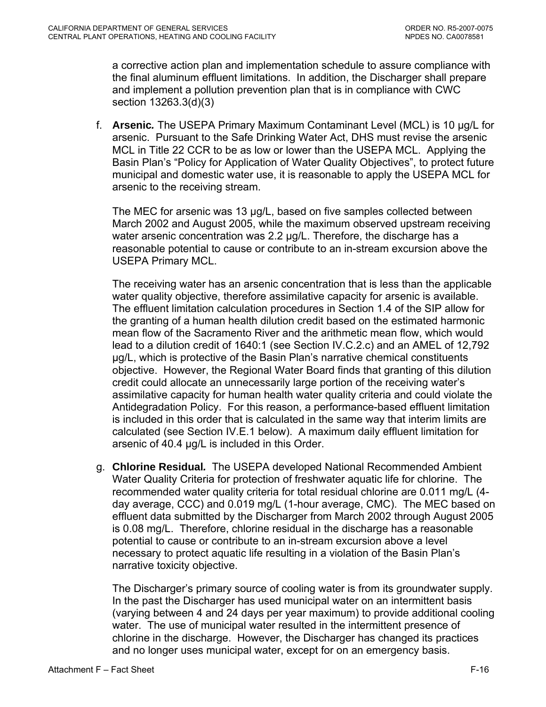a corrective action plan and implementation schedule to assure compliance with the final aluminum effluent limitations. In addition, the Discharger shall prepare and implement a pollution prevention plan that is in compliance with CWC section 13263.3(d)(3)

f. **Arsenic***.* The USEPA Primary Maximum Contaminant Level (MCL) is 10 µg/L for arsenic. Pursuant to the Safe Drinking Water Act, DHS must revise the arsenic MCL in Title 22 CCR to be as low or lower than the USEPA MCL. Applying the Basin Plan's "Policy for Application of Water Quality Objectives", to protect future municipal and domestic water use, it is reasonable to apply the USEPA MCL for arsenic to the receiving stream.

The MEC for arsenic was 13 µg/L, based on five samples collected between March 2002 and August 2005, while the maximum observed upstream receiving water arsenic concentration was 2.2 µg/L. Therefore, the discharge has a reasonable potential to cause or contribute to an in-stream excursion above the USEPA Primary MCL.

The receiving water has an arsenic concentration that is less than the applicable water quality objective, therefore assimilative capacity for arsenic is available. The effluent limitation calculation procedures in Section 1.4 of the SIP allow for the granting of a human health dilution credit based on the estimated harmonic mean flow of the Sacramento River and the arithmetic mean flow, which would lead to a dilution credit of 1640:1 (see Section IV.C.2.c) and an AMEL of 12,792 µg/L, which is protective of the Basin Plan's narrative chemical constituents objective. However, the Regional Water Board finds that granting of this dilution credit could allocate an unnecessarily large portion of the receiving water's assimilative capacity for human health water quality criteria and could violate the Antidegradation Policy. For this reason, a performance-based effluent limitation is included in this order that is calculated in the same way that interim limits are calculated (see Section IV.E.1 below). A maximum daily effluent limitation for arsenic of 40.4 µg/L is included in this Order.

g. **Chlorine Residual***.* The USEPA developed National Recommended Ambient Water Quality Criteria for protection of freshwater aquatic life for chlorine. The recommended water quality criteria for total residual chlorine are 0.011 mg/L (4 day average, CCC) and 0.019 mg/L (1-hour average, CMC). The MEC based on effluent data submitted by the Discharger from March 2002 through August 2005 is 0.08 mg/L. Therefore, chlorine residual in the discharge has a reasonable potential to cause or contribute to an in-stream excursion above a level necessary to protect aquatic life resulting in a violation of the Basin Plan's narrative toxicity objective.

The Discharger's primary source of cooling water is from its groundwater supply. In the past the Discharger has used municipal water on an intermittent basis (varying between 4 and 24 days per year maximum) to provide additional cooling water. The use of municipal water resulted in the intermittent presence of chlorine in the discharge. However, the Discharger has changed its practices and no longer uses municipal water, except for on an emergency basis.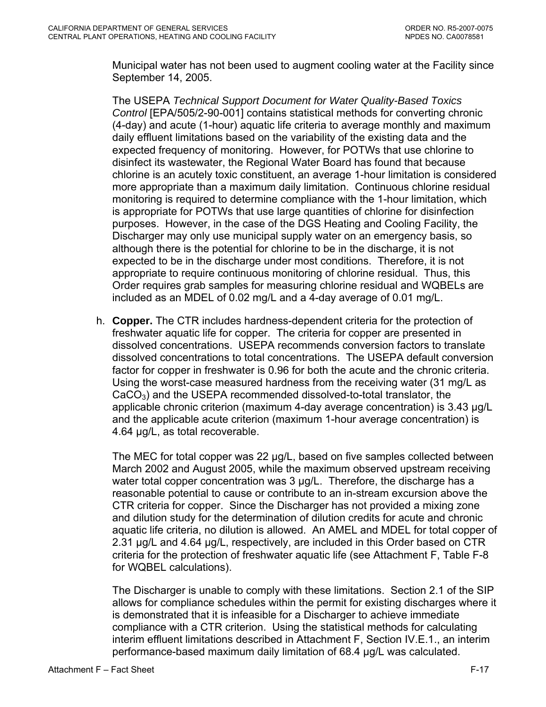Municipal water has not been used to augment cooling water at the Facility since September 14, 2005.

The USEPA *Technical Support Document for Water Quality-Based Toxics Control* [EPA/505/2-90-001] contains statistical methods for converting chronic (4-day) and acute (1-hour) aquatic life criteria to average monthly and maximum daily effluent limitations based on the variability of the existing data and the expected frequency of monitoring. However, for POTWs that use chlorine to disinfect its wastewater, the Regional Water Board has found that because chlorine is an acutely toxic constituent, an average 1-hour limitation is considered more appropriate than a maximum daily limitation. Continuous chlorine residual monitoring is required to determine compliance with the 1-hour limitation, which is appropriate for POTWs that use large quantities of chlorine for disinfection purposes. However, in the case of the DGS Heating and Cooling Facility, the Discharger may only use municipal supply water on an emergency basis, so although there is the potential for chlorine to be in the discharge, it is not expected to be in the discharge under most conditions. Therefore, it is not appropriate to require continuous monitoring of chlorine residual. Thus, this Order requires grab samples for measuring chlorine residual and WQBELs are included as an MDEL of 0.02 mg/L and a 4-day average of 0.01 mg/L.

h. **Copper.** The CTR includes hardness-dependent criteria for the protection of freshwater aquatic life for copper. The criteria for copper are presented in dissolved concentrations. USEPA recommends conversion factors to translate dissolved concentrations to total concentrations. The USEPA default conversion factor for copper in freshwater is 0.96 for both the acute and the chronic criteria. Using the worst-case measured hardness from the receiving water (31 mg/L as  $CaCO<sub>3</sub>$ ) and the USEPA recommended dissolved-to-total translator, the applicable chronic criterion (maximum 4-day average concentration) is 3.43 µg/L and the applicable acute criterion (maximum 1-hour average concentration) is 4.64 µg/L, as total recoverable.

The MEC for total copper was 22 µg/L, based on five samples collected between March 2002 and August 2005, while the maximum observed upstream receiving water total copper concentration was 3 µg/L. Therefore, the discharge has a reasonable potential to cause or contribute to an in-stream excursion above the CTR criteria for copper. Since the Discharger has not provided a mixing zone and dilution study for the determination of dilution credits for acute and chronic aquatic life criteria, no dilution is allowed. An AMEL and MDEL for total copper of 2.31 µg/L and 4.64 µg/L, respectively, are included in this Order based on CTR criteria for the protection of freshwater aquatic life (see Attachment F, Table F-8 for WQBEL calculations).

The Discharger is unable to comply with these limitations. Section 2.1 of the SIP allows for compliance schedules within the permit for existing discharges where it is demonstrated that it is infeasible for a Discharger to achieve immediate compliance with a CTR criterion. Using the statistical methods for calculating interim effluent limitations described in [Attachment F, Section IV.E.1.](#page-0-0), an interim performance-based maximum daily limitation of 68.4 µg/L was calculated.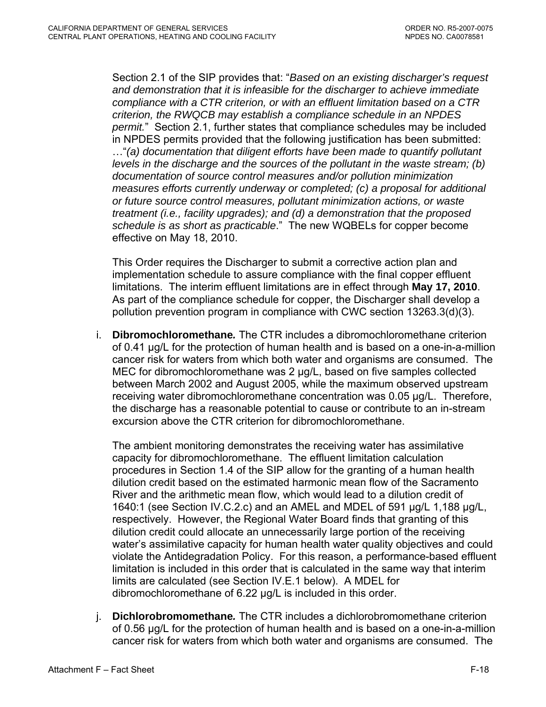Section 2.1 of the SIP provides that: "*Based on an existing discharger's request and demonstration that it is infeasible for the discharger to achieve immediate compliance with a CTR criterion, or with an effluent limitation based on a CTR criterion, the RWQCB may establish a compliance schedule in an NPDES permit.*" Section 2.1, further states that compliance schedules may be included in NPDES permits provided that the following justification has been submitted: …"*(a) documentation that diligent efforts have been made to quantify pollutant levels in the discharge and the sources of the pollutant in the waste stream; (b) documentation of source control measures and/or pollution minimization measures efforts currently underway or completed; (c) a proposal for additional or future source control measures, pollutant minimization actions, or waste treatment (i.e., facility upgrades); and (d) a demonstration that the proposed schedule is as short as practicable*." The new WQBELs for copper become effective on May 18, 2010.

This Order requires the Discharger to submit a corrective action plan and implementation schedule to assure compliance with the final copper effluent limitations. The interim effluent limitations are in effect through **May 17, 2010**. As part of the compliance schedule for copper, the Discharger shall develop a pollution prevention program in compliance with CWC section 13263.3(d)(3).

i. **Dibromochloromethane***.* The CTR includes a dibromochloromethane criterion of 0.41 µg/L for the protection of human health and is based on a one-in-a-million cancer risk for waters from which both water and organisms are consumed. The MEC for dibromochloromethane was 2 µg/L, based on five samples collected between March 2002 and August 2005, while the maximum observed upstream receiving water dibromochloromethane concentration was 0.05 µg/L. Therefore, the discharge has a reasonable potential to cause or contribute to an in-stream excursion above the CTR criterion for dibromochloromethane.

The ambient monitoring demonstrates the receiving water has assimilative capacity for dibromochloromethane. The effluent limitation calculation procedures in Section 1.4 of the SIP allow for the granting of a human health dilution credit based on the estimated harmonic mean flow of the Sacramento River and the arithmetic mean flow, which would lead to a dilution credit of 1640:1 (see Section IV.C.2.c) and an AMEL and MDEL of 591 µg/L 1,188 µg/L, respectively. However, the Regional Water Board finds that granting of this dilution credit could allocate an unnecessarily large portion of the receiving water's assimilative capacity for human health water quality objectives and could violate the Antidegradation Policy. For this reason, a performance-based effluent limitation is included in this order that is calculated in the same way that interim limits are calculated (see Section IV.E.1 below). A MDEL for dibromochloromethane of 6.22 µg/L is included in this order.

j. **Dichlorobromomethane***.* The CTR includes a dichlorobromomethane criterion of 0.56 µg/L for the protection of human health and is based on a one-in-a-million cancer risk for waters from which both water and organisms are consumed. The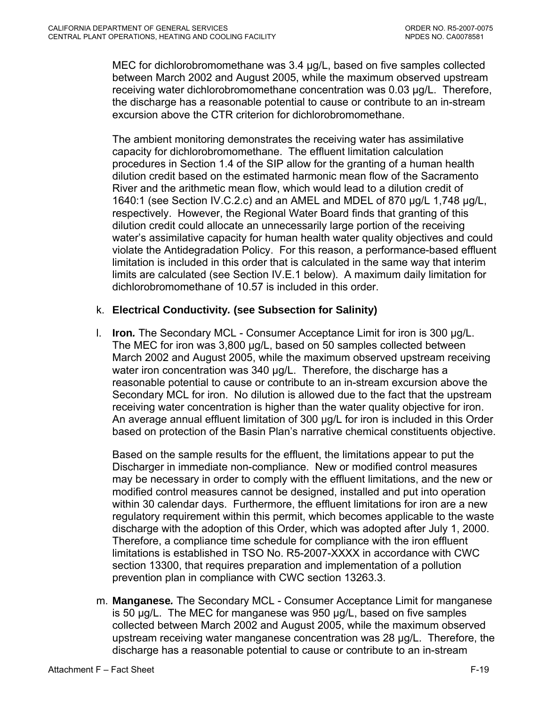MEC for dichlorobromomethane was 3.4 µg/L, based on five samples collected between March 2002 and August 2005, while the maximum observed upstream receiving water dichlorobromomethane concentration was 0.03 µg/L. Therefore, the discharge has a reasonable potential to cause or contribute to an in-stream excursion above the CTR criterion for dichlorobromomethane.

The ambient monitoring demonstrates the receiving water has assimilative capacity for dichlorobromomethane. The effluent limitation calculation procedures in Section 1.4 of the SIP allow for the granting of a human health dilution credit based on the estimated harmonic mean flow of the Sacramento River and the arithmetic mean flow, which would lead to a dilution credit of 1640:1 (see Section IV.C.2.c) and an AMEL and MDEL of 870 µg/L 1,748 µg/L, respectively. However, the Regional Water Board finds that granting of this dilution credit could allocate an unnecessarily large portion of the receiving water's assimilative capacity for human health water quality objectives and could violate the Antidegradation Policy. For this reason, a performance-based effluent limitation is included in this order that is calculated in the same way that interim limits are calculated (see Section IV.E.1 below). A maximum daily limitation for dichlorobromomethane of 10.57 is included in this order.

### k. **Electrical Conductivity***.* **(see Subsection for Salinity)**

l. **Iron***.* The Secondary MCL - Consumer Acceptance Limit for iron is 300 µg/L. The MEC for iron was 3,800 µg/L, based on 50 samples collected between March 2002 and August 2005, while the maximum observed upstream receiving water iron concentration was 340 µg/L. Therefore, the discharge has a reasonable potential to cause or contribute to an in-stream excursion above the Secondary MCL for iron. No dilution is allowed due to the fact that the upstream receiving water concentration is higher than the water quality objective for iron. An average annual effluent limitation of 300 µg/L for iron is included in this Order based on protection of the Basin Plan's narrative chemical constituents objective.

Based on the sample results for the effluent, the limitations appear to put the Discharger in immediate non-compliance. New or modified control measures may be necessary in order to comply with the effluent limitations, and the new or modified control measures cannot be designed, installed and put into operation within 30 calendar days. Furthermore, the effluent limitations for iron are a new regulatory requirement within this permit, which becomes applicable to the waste discharge with the adoption of this Order, which was adopted after July 1, 2000. Therefore, a compliance time schedule for compliance with the iron effluent limitations is established in TSO No. R5-2007-XXXX in accordance with CWC section 13300, that requires preparation and implementation of a pollution prevention plan in compliance with CWC section 13263.3.

m. **Manganese***.* The Secondary MCL - Consumer Acceptance Limit for manganese is 50 µg/L. The MEC for manganese was 950 µg/L, based on five samples collected between March 2002 and August 2005, while the maximum observed upstream receiving water manganese concentration was 28 µg/L. Therefore, the discharge has a reasonable potential to cause or contribute to an in-stream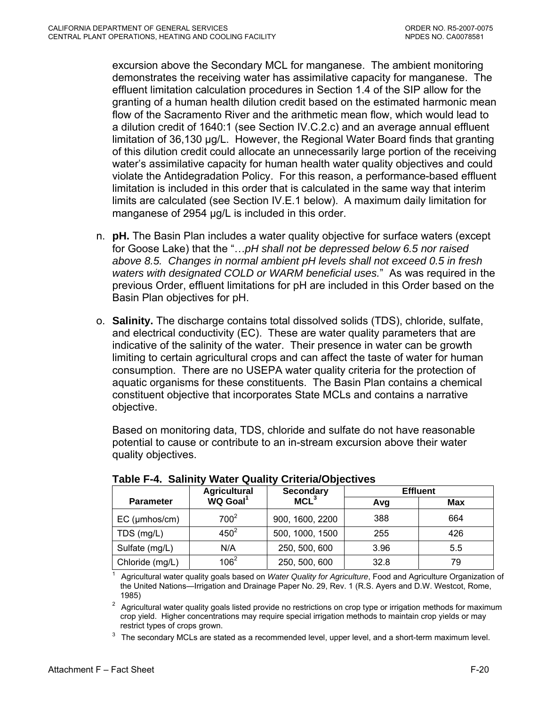<span id="page-70-0"></span>excursion above the Secondary MCL for manganese. The ambient monitoring demonstrates the receiving water has assimilative capacity for manganese. The effluent limitation calculation procedures in Section 1.4 of the SIP allow for the granting of a human health dilution credit based on the estimated harmonic mean flow of the Sacramento River and the arithmetic mean flow, which would lead to a dilution credit of 1640:1 (see Section IV.C.2.c) and an average annual effluent limitation of 36,130 µg/L. However, the Regional Water Board finds that granting of this dilution credit could allocate an unnecessarily large portion of the receiving water's assimilative capacity for human health water quality objectives and could violate the Antidegradation Policy. For this reason, a performance-based effluent limitation is included in this order that is calculated in the same way that interim limits are calculated (see Section IV.E.1 below). A maximum daily limitation for manganese of 2954 µg/L is included in this order.

- n. **pH.** The Basin Plan includes a water quality objective for surface waters (except for Goose Lake) that the "…*pH shall not be depressed below 6.5 nor raised above 8.5. Changes in normal ambient pH levels shall not exceed 0.5 in fresh waters with designated COLD or WARM beneficial uses.*" As was required in the previous Order, effluent limitations for pH are included in this Order based on the Basin Plan objectives for pH.
- o. **Salinity.** The discharge contains total dissolved solids (TDS), chloride, sulfate, and electrical conductivity (EC). These are water quality parameters that are indicative of the salinity of the water. Their presence in water can be growth limiting to certain agricultural crops and can affect the taste of water for human consumption. There are no USEPA water quality criteria for the protection of aquatic organisms for these constituents. The Basin Plan contains a chemical constituent objective that incorporates State MCLs and contains a narrative objective.

Based on monitoring data, TDS, chloride and sulfate do not have reasonable potential to cause or contribute to an in-stream excursion above their water quality objectives.

|                     | <b>Agricultural</b>  | <b>Secondary</b> | <b>Effluent</b> |            |  |
|---------------------|----------------------|------------------|-----------------|------------|--|
| <b>Parameter</b>    | WQ Goal <sup>1</sup> | MCL <sup>3</sup> | Avg             | <b>Max</b> |  |
| $EC$ ( $µmbos/cm$ ) | 700 <sup>2</sup>     | 900, 1600, 2200  | 388             | 664        |  |
| TDS (mg/L)          | $450^2$              | 500, 1000, 1500  | 255             | 426        |  |
| Sulfate (mg/L)      | N/A                  | 250, 500, 600    | 3.96            | 5.5        |  |
| Chloride (mg/L)     | $106^2$              | 250, 500, 600    | 32.8            | 79         |  |

|  |  |  |  | Table F-4. Salinity Water Quality Criteria/Objectives |
|--|--|--|--|-------------------------------------------------------|
|--|--|--|--|-------------------------------------------------------|

1 Agricultural water quality goals based on *Water Quality for Agriculture*, Food and Agriculture Organization of the United Nations—Irrigation and Drainage Paper No. 29, Rev. 1 (R.S. Ayers and D.W. Westcot, Rome,

1985)<br><sup>2</sup> Agricultural water quality goals listed provide no restrictions on crop type or irrigation methods for maximum crop yield. Higher concentrations may require special irrigation methods to maintain crop yields or may

restrict types of crops grown.<br><sup>3</sup> The secondary MCLs are stated as a recommended level, upper level, and a short-term maximum level.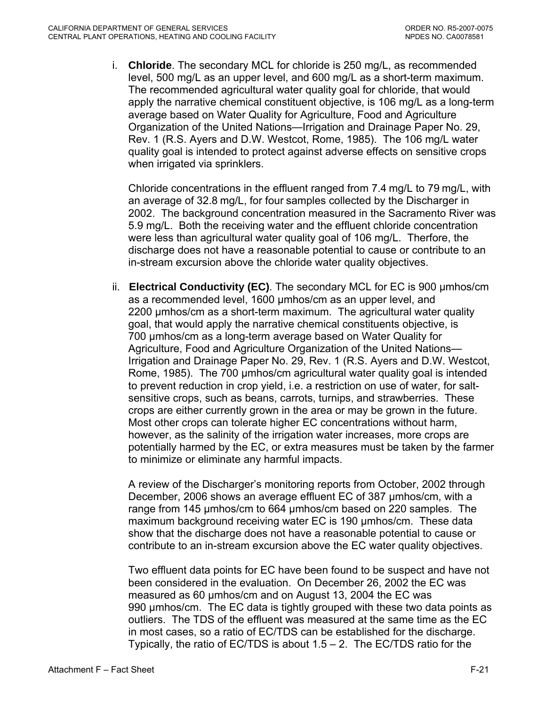i. **Chloride**. The secondary MCL for chloride is 250 mg/L, as recommended level, 500 mg/L as an upper level, and 600 mg/L as a short-term maximum. The recommended agricultural water quality goal for chloride, that would apply the narrative chemical constituent objective, is 106 mg/L as a long-term average based on Water Quality for Agriculture, Food and Agriculture Organization of the United Nations—Irrigation and Drainage Paper No. 29, Rev. 1 (R.S. Ayers and D.W. Westcot, Rome, 1985). The 106 mg/L water quality goal is intended to protect against adverse effects on sensitive crops when irrigated via sprinklers.

Chloride concentrations in the effluent ranged from 7.4 mg/L to 79 mg/L, with an average of 32.8 mg/L, for four samples collected by the Discharger in 2002. The background concentration measured in the Sacramento River was 5.9 mg/L. Both the receiving water and the effluent chloride concentration were less than agricultural water quality goal of 106 mg/L. Therfore, the discharge does not have a reasonable potential to cause or contribute to an in-stream excursion above the chloride water quality objectives.

ii. **Electrical Conductivity (EC)**. The secondary MCL for EC is 900 µmhos/cm as a recommended level, 1600 µmhos/cm as an upper level, and 2200 umhos/cm as a short-term maximum. The agricultural water quality goal, that would apply the narrative chemical constituents objective, is 700 µmhos/cm as a long-term average based on Water Quality for Agriculture, Food and Agriculture Organization of the United Nations— Irrigation and Drainage Paper No. 29, Rev. 1 (R.S. Ayers and D.W. Westcot, Rome, 1985). The 700 µmhos/cm agricultural water quality goal is intended to prevent reduction in crop yield, i.e. a restriction on use of water, for saltsensitive crops, such as beans, carrots, turnips, and strawberries. These crops are either currently grown in the area or may be grown in the future. Most other crops can tolerate higher EC concentrations without harm, however, as the salinity of the irrigation water increases, more crops are potentially harmed by the EC, or extra measures must be taken by the farmer to minimize or eliminate any harmful impacts.

A review of the Discharger's monitoring reports from October, 2002 through December, 2006 shows an average effluent EC of 387 µmhos/cm, with a range from 145 µmhos/cm to 664 µmhos/cm based on 220 samples. The maximum background receiving water EC is 190 µmhos/cm. These data show that the discharge does not have a reasonable potential to cause or contribute to an in-stream excursion above the EC water quality objectives.

Two effluent data points for EC have been found to be suspect and have not been considered in the evaluation. On December 26, 2002 the EC was measured as 60 µmhos/cm and on August 13, 2004 the EC was 990 µmhos/cm. The EC data is tightly grouped with these two data points as outliers. The TDS of the effluent was measured at the same time as the EC in most cases, so a ratio of EC/TDS can be established for the discharge. Typically, the ratio of EC/TDS is about  $1.5 - 2$ . The EC/TDS ratio for the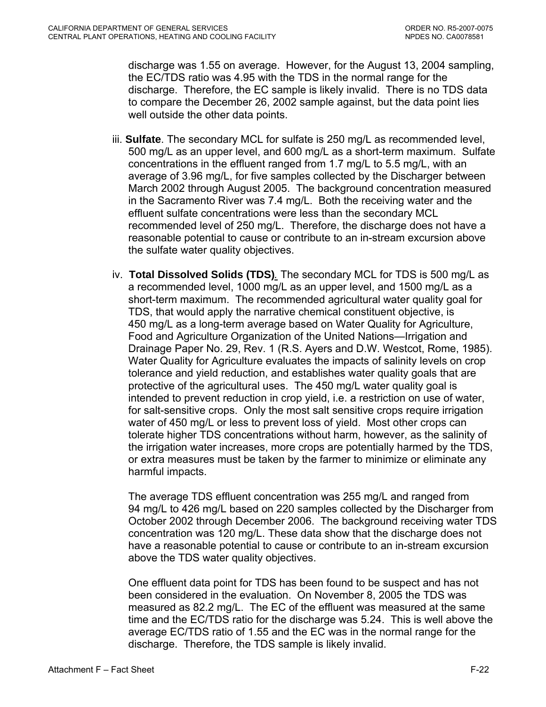discharge was 1.55 on average. However, for the August 13, 2004 sampling, the EC/TDS ratio was 4.95 with the TDS in the normal range for the discharge. Therefore, the EC sample is likely invalid. There is no TDS data to compare the December 26, 2002 sample against, but the data point lies well outside the other data points.

- iii. **Sulfate**. The secondary MCL for sulfate is 250 mg/L as recommended level, 500 mg/L as an upper level, and 600 mg/L as a short-term maximum. Sulfate concentrations in the effluent ranged from 1.7 mg/L to 5.5 mg/L, with an average of 3.96 mg/L, for five samples collected by the Discharger between March 2002 through August 2005. The background concentration measured in the Sacramento River was 7.4 mg/L. Both the receiving water and the effluent sulfate concentrations were less than the secondary MCL recommended level of 250 mg/L. Therefore, the discharge does not have a reasonable potential to cause or contribute to an in-stream excursion above the sulfate water quality objectives.
- iv. **Total Dissolved Solids (TDS)***.* The secondary MCL for TDS is 500 mg/L as a recommended level, 1000 mg/L as an upper level, and 1500 mg/L as a short-term maximum. The recommended agricultural water quality goal for TDS, that would apply the narrative chemical constituent objective, is 450 mg/L as a long-term average based on Water Quality for Agriculture, Food and Agriculture Organization of the United Nations—Irrigation and Drainage Paper No. 29, Rev. 1 (R.S. Ayers and D.W. Westcot, Rome, 1985). Water Quality for Agriculture evaluates the impacts of salinity levels on crop tolerance and yield reduction, and establishes water quality goals that are protective of the agricultural uses. The 450 mg/L water quality goal is intended to prevent reduction in crop yield, i.e. a restriction on use of water, for salt-sensitive crops. Only the most salt sensitive crops require irrigation water of 450 mg/L or less to prevent loss of yield. Most other crops can tolerate higher TDS concentrations without harm, however, as the salinity of the irrigation water increases, more crops are potentially harmed by the TDS, or extra measures must be taken by the farmer to minimize or eliminate any harmful impacts.

The average TDS effluent concentration was 255 mg/L and ranged from 94 mg/L to 426 mg/L based on 220 samples collected by the Discharger from October 2002 through December 2006. The background receiving water TDS concentration was 120 mg/L. These data show that the discharge does not have a reasonable potential to cause or contribute to an in-stream excursion above the TDS water quality objectives.

One effluent data point for TDS has been found to be suspect and has not been considered in the evaluation. On November 8, 2005 the TDS was measured as 82.2 mg/L. The EC of the effluent was measured at the same time and the EC/TDS ratio for the discharge was 5.24. This is well above the average EC/TDS ratio of 1.55 and the EC was in the normal range for the discharge. Therefore, the TDS sample is likely invalid.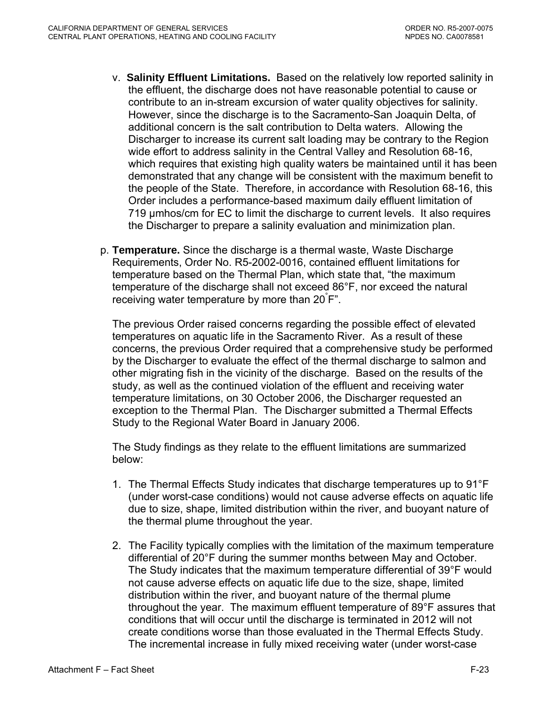- v. **Salinity Effluent Limitations.** Based on the relatively low reported salinity in the effluent, the discharge does not have reasonable potential to cause or contribute to an in-stream excursion of water quality objectives for salinity. However, since the discharge is to the Sacramento-San Joaquin Delta, of additional concern is the salt contribution to Delta waters. Allowing the Discharger to increase its current salt loading may be contrary to the Region wide effort to address salinity in the Central Valley and Resolution 68-16, which requires that existing high quality waters be maintained until it has been demonstrated that any change will be consistent with the maximum benefit to the people of the State. Therefore, in accordance with Resolution 68-16, this Order includes a performance-based maximum daily effluent limitation of 719 µmhos/cm for EC to limit the discharge to current levels. It also requires the Discharger to prepare a salinity evaluation and minimization plan.
- p. **Temperature.** Since the discharge is a thermal waste, Waste Discharge Requirements, Order No. R5-2002-0016, contained effluent limitations for temperature based on the Thermal Plan, which state that, "the maximum temperature of the discharge shall not exceed 86°F, nor exceed the natural receiving water temperature by more than 20° F".

The previous Order raised concerns regarding the possible effect of elevated temperatures on aquatic life in the Sacramento River. As a result of these concerns, the previous Order required that a comprehensive study be performed by the Discharger to evaluate the effect of the thermal discharge to salmon and other migrating fish in the vicinity of the discharge. Based on the results of the study, as well as the continued violation of the effluent and receiving water temperature limitations, on 30 October 2006, the Discharger requested an exception to the Thermal Plan. The Discharger submitted a Thermal Effects Study to the Regional Water Board in January 2006.

The Study findings as they relate to the effluent limitations are summarized below:

- 1. The Thermal Effects Study indicates that discharge temperatures up to 91°F (under worst-case conditions) would not cause adverse effects on aquatic life due to size, shape, limited distribution within the river, and buoyant nature of the thermal plume throughout the year.
- 2. The Facility typically complies with the limitation of the maximum temperature differential of 20°F during the summer months between May and October. The Study indicates that the maximum temperature differential of 39°F would not cause adverse effects on aquatic life due to the size, shape, limited distribution within the river, and buoyant nature of the thermal plume throughout the year. The maximum effluent temperature of 89°F assures that conditions that will occur until the discharge is terminated in 2012 will not create conditions worse than those evaluated in the Thermal Effects Study. The incremental increase in fully mixed receiving water (under worst-case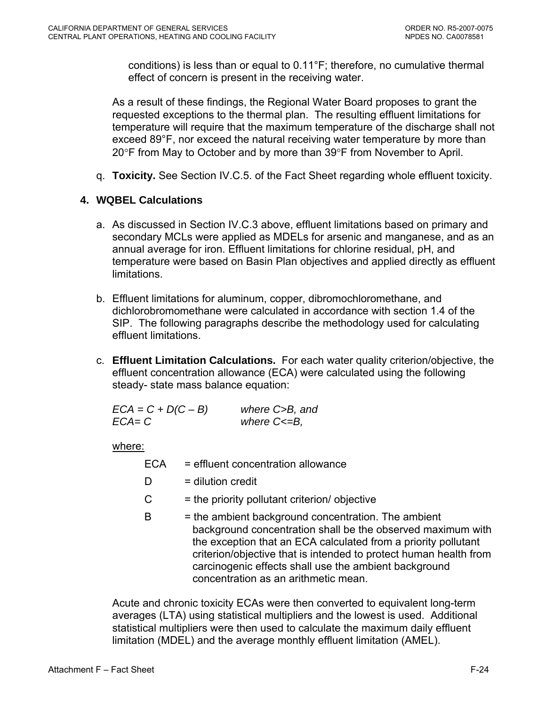conditions) is less than or equal to 0.11°F; therefore, no cumulative thermal effect of concern is present in the receiving water.

As a result of these findings, the Regional Water Board proposes to grant the requested exceptions to the thermal plan. The resulting effluent limitations for temperature will require that the maximum temperature of the discharge shall not exceed 89°F, nor exceed the natural receiving water temperature by more than 20°F from May to October and by more than 39°F from November to April.

q. **Toxicity.** See Section IV.C.5. of the Fact Sheet regarding whole effluent toxicity.

# **4. WQBEL Calculations**

- a. As discussed in Section IV.C.3 above, effluent limitations based on primary and secondary MCLs were applied as MDELs for arsenic and manganese, and as an annual average for iron. Effluent limitations for chlorine residual, pH, and temperature were based on Basin Plan objectives and applied directly as effluent limitations.
- b. Effluent limitations for aluminum, copper, dibromochloromethane, and dichlorobromomethane were calculated in accordance with section 1.4 of the SIP. The following paragraphs describe the methodology used for calculating effluent limitations.
- c. **Effluent Limitation Calculations.** For each water quality criterion/objective, the effluent concentration allowance (ECA) were calculated using the following steady- state mass balance equation:

| $ECA = C + D(C - B)$ | where C>B, and    |
|----------------------|-------------------|
| $ECA = C$            | where $C \le B$ , |

where:

ECA = effluent concentration allowance

- $D =$  dilution credit
- $C =$  the priority pollutant criterion/ objective
- $B =$  the ambient background concentration. The ambient background concentration shall be the observed maximum with the exception that an ECA calculated from a priority pollutant criterion/objective that is intended to protect human health from carcinogenic effects shall use the ambient background concentration as an arithmetic mean.

Acute and chronic toxicity ECAs were then converted to equivalent long-term averages (LTA) using statistical multipliers and the lowest is used. Additional statistical multipliers were then used to calculate the maximum daily effluent limitation (MDEL) and the average monthly effluent limitation (AMEL).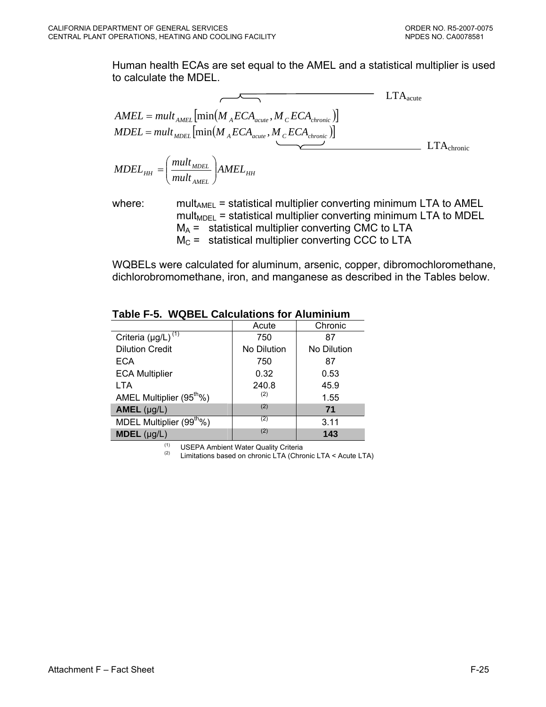Human health ECAs are set equal to the AMEL and a statistical multiplier is used to calculate the MDEL.

$$
AMEL = mult_{AMEL} \left[ min(M_{A}ECA_{acute}, M_{C}ECA_{chronic}) \right]
$$
  
\n
$$
MDEL = mult_{MDEL} \left[ min(M_{A}ECA_{acute}, M_{C}ECA_{chronic}) \right]
$$
  
\n
$$
MDEL_{HH} = \left( \frac{mult_{MDEL}}{mult_{AMEL}} \right) AMEL_{HH}
$$
  
\n
$$
LTA_{chronic}
$$

where: mult<sub>AMEL</sub> = statistical multiplier converting minimum LTA to AMEL  $mult<sub>MDEL</sub>$  = statistical multiplier converting minimum LTA to MDEL  $M_A$  = statistical multiplier converting CMC to LTA  $M<sub>C</sub>$  = statistical multiplier converting CCC to LTA

WQBELs were calculated for aluminum, arsenic, copper, dibromochloromethane, dichlorobromomethane, iron, and manganese as described in the Tables below.

|                                      | Acute       | Chronic     |
|--------------------------------------|-------------|-------------|
| Criteria $(\mu g/L)^{(1)}$           | 750         | 87          |
| <b>Dilution Credit</b>               | No Dilution | No Dilution |
| <b>ECA</b>                           | 750         | 87          |
| <b>ECA Multiplier</b>                | 0.32        | 0.53        |
| <b>LTA</b>                           | 240.8       | 45.9        |
| AMEL Multiplier (95 <sup>th</sup> %) | (2)         | 1.55        |
| $AMEL$ (µg/L)                        | (2)         | 71          |
| MDEL Multiplier (99 <sup>th</sup> %) | (2)         | 3.11        |
| $MDEL$ (µg/L)                        | (2)         | 143         |

# **Table F-5. WQBEL Calculations for Aluminium**

<sup>(1)</sup> USEPA Ambient Water Quality Criteria<br><sup>(2)</sup> Limitations based on chronic LTA (Chronic LTA < Acute LTA)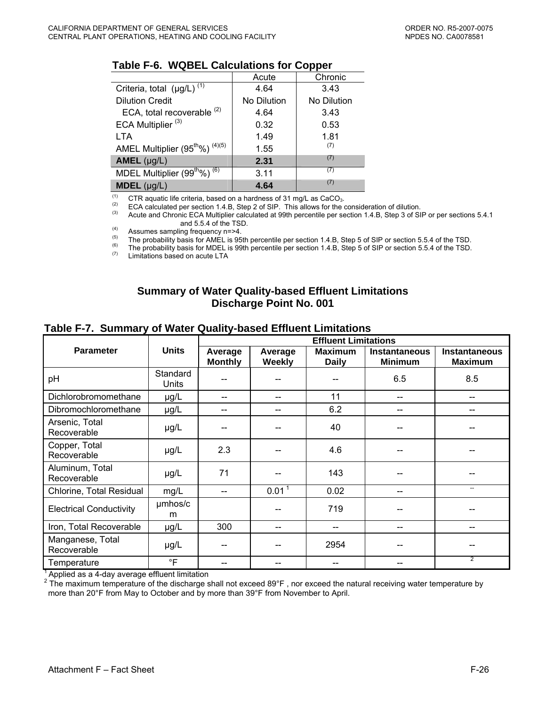#### **Table F-6. WQBEL Calculations for Copper**

|                                                        | Acute       | Chronic     |
|--------------------------------------------------------|-------------|-------------|
| Criteria, total $(\mu g/L)$ <sup>(1)</sup>             | 4.64        | 3.43        |
| <b>Dilution Credit</b>                                 | No Dilution | No Dilution |
| ECA, total recoverable <sup>(2)</sup>                  | 4.64        | 3.43        |
| ECA Multiplier <sup>(3)</sup>                          | 0.32        | 0.53        |
| LTA                                                    | 1.49        | 1.81        |
| AMEL Multiplier $(95^{\text{th}}\%)$ <sup>(4)(5)</sup> | 1.55        | (7)         |
| $AMEL$ (µg/L)                                          | 2.31        | (7)         |
| MDEL Multiplier (99 <sup>th</sup> %) <sup>(6)</sup>    | 3.11        | (7)         |
| <b>MDEL</b> $(\mu g/L)$                                | 4.64        | (7)         |

(1) CTR aquatic life criteria, based on a hardness of 31 mg/L as CaCO<sub>3</sub>.<br>
ECA calculated per section 1.4.B, Step 2 of SIP. This allows for the consideration of dilution.<br>
(3) Acute and Chronic ECA Multiplier calculated a

Acute and Chronic ECA Multiplier calculated at 99th percentile per section 1.4.B, Step 3 of SIP or per sections 5.4.1 and 5.5.4 of the TSD.

Assumes sampling frequency  $n = 24$ .<br>
The probability basis for AMEL is 95th percentile per section 1.4.B, Step 5 of SIP or section 5.5.4 of the TSD.<br>
The probability basis for MDEL is 99th percentile per section 1.4.B, St

#### **Summary of Water Quality-based Effluent Limitations Discharge Point No. 001**

#### **Table F-7. Summary of Water Quality-based Effluent Limitations**

|                                 |                   | <b>Effluent Limitations</b> |                   |                                |                                 |                                        |  |  |
|---------------------------------|-------------------|-----------------------------|-------------------|--------------------------------|---------------------------------|----------------------------------------|--|--|
| <b>Parameter</b>                | <b>Units</b>      | Average<br><b>Monthly</b>   | Average<br>Weekly | <b>Maximum</b><br><b>Daily</b> | Instantaneous<br><b>Minimum</b> | <b>Instantaneous</b><br><b>Maximum</b> |  |  |
| pH                              | Standard<br>Units |                             |                   |                                | 6.5                             | 8.5                                    |  |  |
| Dichlorobromomethane            | $\mu$ g/L         | --                          | --                | 11                             | --                              | $-$                                    |  |  |
| Dibromochloromethane            | µg/L              | --                          | --                | 6.2                            | --                              | --                                     |  |  |
| Arsenic, Total<br>Recoverable   | µg/L              |                             |                   | 40                             |                                 |                                        |  |  |
| Copper, Total<br>Recoverable    | $\mu$ g/L         | 2.3                         |                   | 4.6                            |                                 |                                        |  |  |
| Aluminum, Total<br>Recoverable  | µg/L              | 71                          |                   | 143                            |                                 |                                        |  |  |
| Chlorine, Total Residual        | mg/L              | --                          | $0.01^{\bar{1}}$  | 0.02                           |                                 | --                                     |  |  |
| <b>Electrical Conductivity</b>  | umhos/c<br>m      |                             |                   | 719                            |                                 |                                        |  |  |
| Iron, Total Recoverable         | µg/L              | 300                         |                   | --                             |                                 | $- -$                                  |  |  |
| Manganese, Total<br>Recoverable | µg/L              |                             |                   | 2954                           |                                 |                                        |  |  |
| Temperature                     | $\degree$ F       |                             |                   |                                |                                 | $\overline{2}$                         |  |  |

 $1$  Applied as a 4-day average effluent limitation

 $2$  The maximum temperature of the discharge shall not exceed 89°F, nor exceed the natural receiving water temperature by more than 20°F from May to October and by more than 39°F from November to April.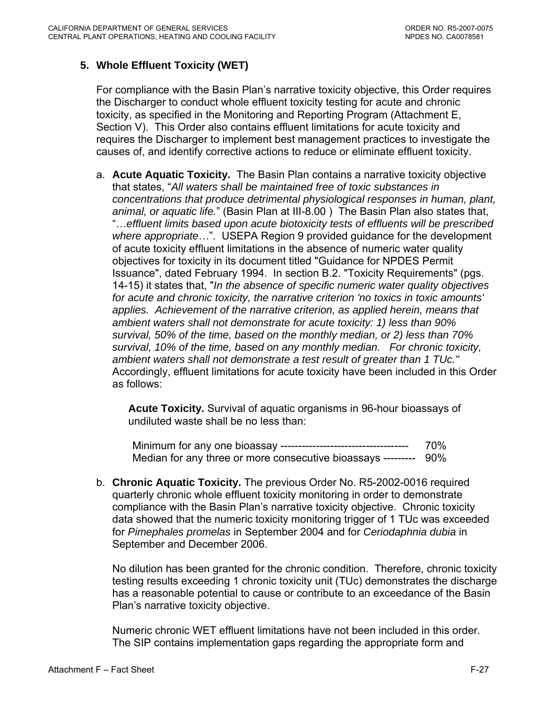# **5. Whole Effluent Toxicity (WET)**

For compliance with the Basin Plan's narrative toxicity objective, this Order requires the Discharger to conduct whole effluent toxicity testing for acute and chronic toxicity, as specified in the Monitoring and Reporting Program (Attachment E, Section V). This Order also contains effluent limitations for acute toxicity and requires the Discharger to implement best management practices to investigate the causes of, and identify corrective actions to reduce or eliminate effluent toxicity.

a. **Acute Aquatic Toxicity.** The Basin Plan contains a narrative toxicity objective that states, "*All waters shall be maintained free of toxic substances in concentrations that produce detrimental physiological responses in human, plant, animal, or aquatic life.*" (Basin Plan at III-8.00 ) The Basin Plan also states that, "…*effluent limits based upon acute biotoxicity tests of effluents will be prescribed where appropriate*…". USEPA Region 9 provided guidance for the development of acute toxicity effluent limitations in the absence of numeric water quality objectives for toxicity in its document titled "Guidance for NPDES Permit Issuance", dated February 1994. In section B.2. "Toxicity Requirements" (pgs. 14-15) it states that, "*In the absence of specific numeric water quality objectives for acute and chronic toxicity, the narrative criterion 'no toxics in toxic amounts' applies. Achievement of the narrative criterion, as applied herein, means that ambient waters shall not demonstrate for acute toxicity: 1) less than 90% survival, 50% of the time, based on the monthly median, or 2) less than 70% survival, 10% of the time, based on any monthly median. For chronic toxicity, ambient waters shall not demonstrate a test result of greater than 1 TUc."* Accordingly, effluent limitations for acute toxicity have been included in this Order as follows:

**Acute Toxicity.** Survival of aquatic organisms in 96-hour bioassays of undiluted waste shall be no less than:

Minimum for any one bioassay ------------------------------------ 70% Median for any three or more consecutive bioassays --------- 90%

b. **Chronic Aquatic Toxicity.** The previous Order No. R5-2002-0016 required quarterly chronic whole effluent toxicity monitoring in order to demonstrate compliance with the Basin Plan's narrative toxicity objective. Chronic toxicity data showed that the numeric toxicity monitoring trigger of 1 TUc was exceeded for *Pimephales promelas* in September 2004 and for *Ceriodaphnia dubia* in September and December 2006.

No dilution has been granted for the chronic condition. Therefore, chronic toxicity testing results exceeding 1 chronic toxicity unit (TUc) demonstrates the discharge has a reasonable potential to cause or contribute to an exceedance of the Basin Plan's narrative toxicity objective.

Numeric chronic WET effluent limitations have not been included in this order. The SIP contains implementation gaps regarding the appropriate form and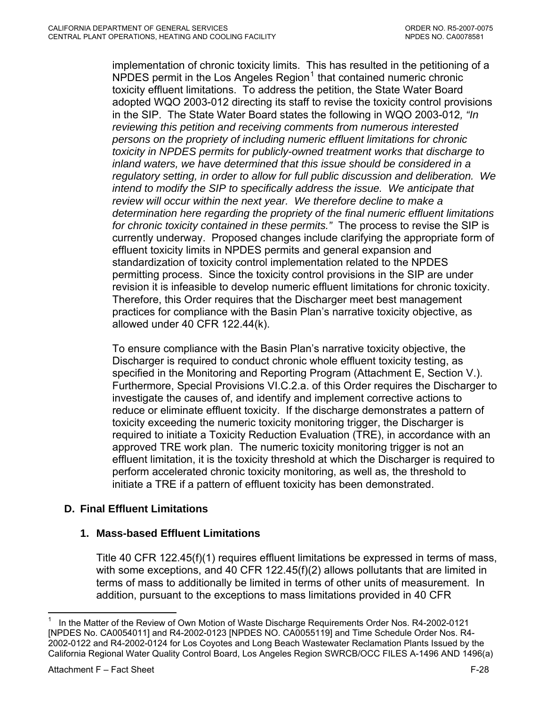<span id="page-78-0"></span>implementation of chronic toxicity limits. This has resulted in the petitioning of a NPDES permit in the Los Angeles Region $1$  that contained numeric chronic toxicity effluent limitations. To address the petition, the State Water Board adopted WQO 2003-012 directing its staff to revise the toxicity control provisions in the SIP. The State Water Board states the following in WQO 2003-012*, "In reviewing this petition and receiving comments from numerous interested persons on the propriety of including numeric effluent limitations for chronic toxicity in NPDES permits for publicly-owned treatment works that discharge to inland waters, we have determined that this issue should be considered in a regulatory setting, in order to allow for full public discussion and deliberation. We intend to modify the SIP to specifically address the issue. We anticipate that review will occur within the next year. We therefore decline to make a determination here regarding the propriety of the final numeric effluent limitations for chronic toxicity contained in these permits."* The process to revise the SIP is currently underway. Proposed changes include clarifying the appropriate form of effluent toxicity limits in NPDES permits and general expansion and standardization of toxicity control implementation related to the NPDES permitting process. Since the toxicity control provisions in the SIP are under revision it is infeasible to develop numeric effluent limitations for chronic toxicity. Therefore, this Order requires that the Discharger meet best management practices for compliance with the Basin Plan's narrative toxicity objective, as allowed under 40 CFR 122.44(k).

To ensure compliance with the Basin Plan's narrative toxicity objective, the Discharger is required to conduct chronic whole effluent toxicity testing, as specified in the Monitoring and Reporting Program (Attachment E, Section V.). Furthermore, Special Provisions VI.C.2.a. of this Order requires the Discharger to investigate the causes of, and identify and implement corrective actions to reduce or eliminate effluent toxicity. If the discharge demonstrates a pattern of toxicity exceeding the numeric toxicity monitoring trigger, the Discharger is required to initiate a Toxicity Reduction Evaluation (TRE), in accordance with an approved TRE work plan. The numeric toxicity monitoring trigger is not an effluent limitation, it is the toxicity threshold at which the Discharger is required to perform accelerated chronic toxicity monitoring, as well as, the threshold to initiate a TRE if a pattern of effluent toxicity has been demonstrated.

# **D. Final Effluent Limitations**

### **1. Mass-based Effluent Limitations**

Title 40 CFR 122.45(f)(1) requires effluent limitations be expressed in terms of mass, with some exceptions, and 40 CFR 122.45(f)(2) allows pollutants that are limited in terms of mass to additionally be limited in terms of other units of measurement. In addition, pursuant to the exceptions to mass limitations provided in 40 CFR

 $\overline{a}$ 1 In the Matter of the Review of Own Motion of Waste Discharge Requirements Order Nos. R4-2002-0121 [NPDES No. CA0054011] and R4-2002-0123 [NPDES NO. CA0055119] and Time Schedule Order Nos. R4- 2002-0122 and R4-2002-0124 for Los Coyotes and Long Beach Wastewater Reclamation Plants Issued by the California Regional Water Quality Control Board, Los Angeles Region SWRCB/OCC FILES A-1496 AND 1496(a)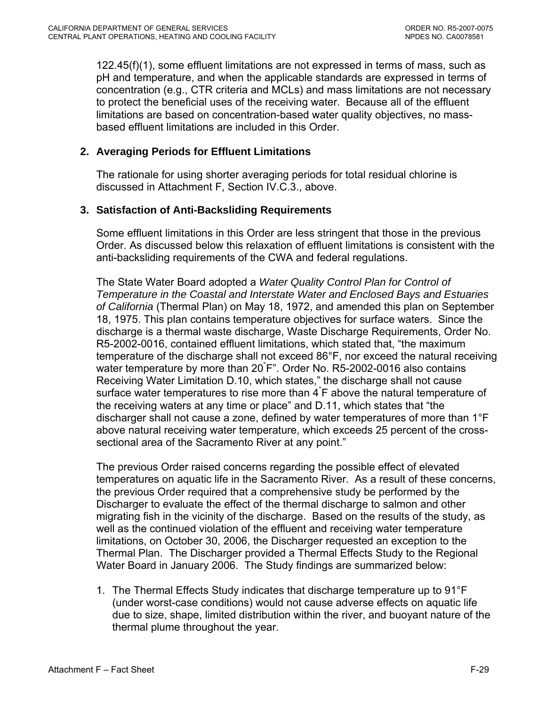122.45(f)(1), some effluent limitations are not expressed in terms of mass, such as pH and temperature, and when the applicable standards are expressed in terms of concentration (e.g., CTR criteria and MCLs) and mass limitations are not necessary to protect the beneficial uses of the receiving water. Because all of the effluent limitations are based on concentration-based water quality objectives, no massbased effluent limitations are included in this Order.

## **2. Averaging Periods for Effluent Limitations**

The rationale for using shorter averaging periods for total residual chlorine is discussed in Attachment F, Section IV.C.3., above.

### **3. Satisfaction of Anti-Backsliding Requirements**

Some effluent limitations in this Order are less stringent that those in the previous Order. As discussed below this relaxation of effluent limitations is consistent with the anti-backsliding requirements of the CWA and federal regulations.

The State Water Board adopted a *Water Quality Control Plan for Control of Temperature in the Coastal and Interstate Water and Enclosed Bays and Estuaries of California* (Thermal Plan) on May 18, 1972, and amended this plan on September 18, 1975. This plan contains temperature objectives for surface waters. Since the discharge is a thermal waste discharge, Waste Discharge Requirements, Order No. R5-2002-0016, contained effluent limitations, which stated that, "the maximum temperature of the discharge shall not exceed 86°F, nor exceed the natural receiving water temperature by more than 20° F". Order No. R5-2002-0016 also contains Receiving Water Limitation D.10, which states," the discharge shall not cause surface water temperatures to rise more than 4°F above the natural temperature of the receiving waters at any time or place" and D.11, which states that "the discharger shall not cause a zone, defined by water temperatures of more than 1°F above natural receiving water temperature, which exceeds 25 percent of the crosssectional area of the Sacramento River at any point."

The previous Order raised concerns regarding the possible effect of elevated temperatures on aquatic life in the Sacramento River. As a result of these concerns, the previous Order required that a comprehensive study be performed by the Discharger to evaluate the effect of the thermal discharge to salmon and other migrating fish in the vicinity of the discharge. Based on the results of the study, as well as the continued violation of the effluent and receiving water temperature limitations, on October 30, 2006, the Discharger requested an exception to the Thermal Plan. The Discharger provided a Thermal Effects Study to the Regional Water Board in January 2006. The Study findings are summarized below:

1. The Thermal Effects Study indicates that discharge temperature up to 91°F (under worst-case conditions) would not cause adverse effects on aquatic life due to size, shape, limited distribution within the river, and buoyant nature of the thermal plume throughout the year.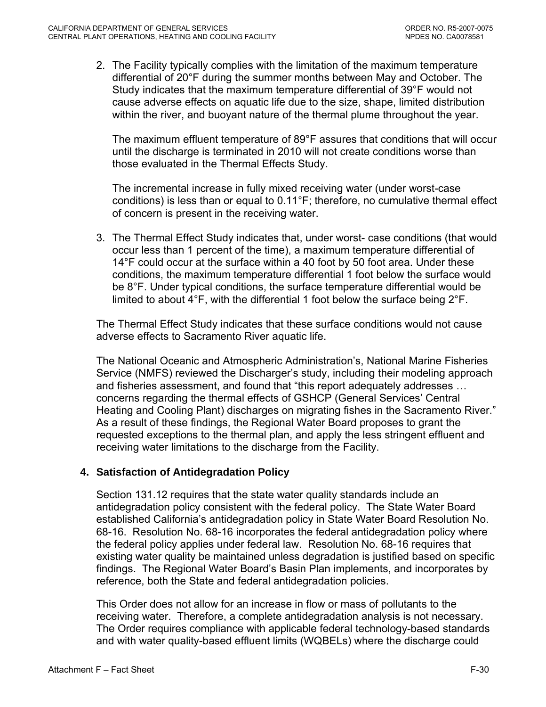2. The Facility typically complies with the limitation of the maximum temperature differential of 20°F during the summer months between May and October. The Study indicates that the maximum temperature differential of 39°F would not cause adverse effects on aquatic life due to the size, shape, limited distribution within the river, and buoyant nature of the thermal plume throughout the year.

 The maximum effluent temperature of 89°F assures that conditions that will occur until the discharge is terminated in 2010 will not create conditions worse than those evaluated in the Thermal Effects Study.

 The incremental increase in fully mixed receiving water (under worst-case conditions) is less than or equal to 0.11°F; therefore, no cumulative thermal effect of concern is present in the receiving water.

3. The Thermal Effect Study indicates that, under worst- case conditions (that would occur less than 1 percent of the time), a maximum temperature differential of 14°F could occur at the surface within a 40 foot by 50 foot area. Under these conditions, the maximum temperature differential 1 foot below the surface would be 8°F. Under typical conditions, the surface temperature differential would be limited to about 4°F, with the differential 1 foot below the surface being 2°F.

The Thermal Effect Study indicates that these surface conditions would not cause adverse effects to Sacramento River aquatic life.

The National Oceanic and Atmospheric Administration's, National Marine Fisheries Service (NMFS) reviewed the Discharger's study, including their modeling approach and fisheries assessment, and found that "this report adequately addresses … concerns regarding the thermal effects of GSHCP (General Services' Central Heating and Cooling Plant) discharges on migrating fishes in the Sacramento River." As a result of these findings, the Regional Water Board proposes to grant the requested exceptions to the thermal plan, and apply the less stringent effluent and receiving water limitations to the discharge from the Facility.

### **4. Satisfaction of Antidegradation Policy**

Section 131.12 requires that the state water quality standards include an antidegradation policy consistent with the federal policy. The State Water Board established California's antidegradation policy in State Water Board Resolution No. 68-16. Resolution No. 68-16 incorporates the federal antidegradation policy where the federal policy applies under federal law. Resolution No. 68-16 requires that existing water quality be maintained unless degradation is justified based on specific findings. The Regional Water Board's Basin Plan implements, and incorporates by reference, both the State and federal antidegradation policies.

This Order does not allow for an increase in flow or mass of pollutants to the receiving water. Therefore, a complete antidegradation analysis is not necessary. The Order requires compliance with applicable federal technology-based standards and with water quality-based effluent limits (WQBELs) where the discharge could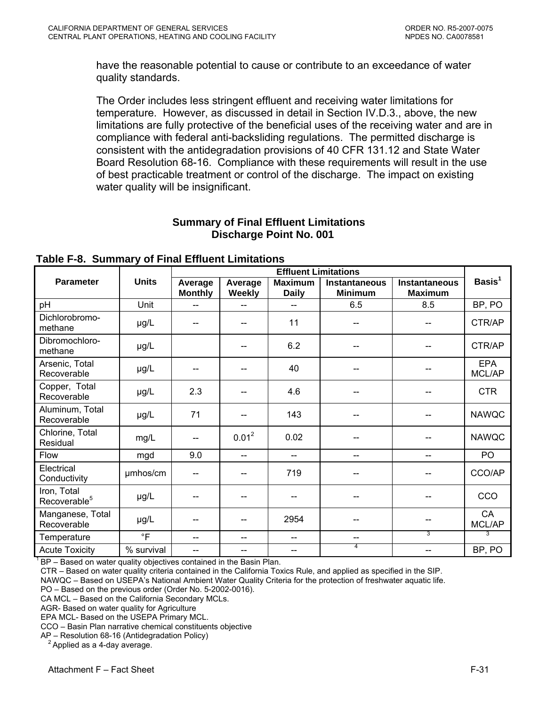have the reasonable potential to cause or contribute to an exceedance of water quality standards.

The Order includes less stringent effluent and receiving water limitations for temperature. However, as discussed in detail in Section IV.D.3., above, the new limitations are fully protective of the beneficial uses of the receiving water and are in compliance with federal anti-backsliding regulations. The permitted discharge is consistent with the antidegradation provisions of 40 CFR 131.12 and State Water Board Resolution 68-16. Compliance with these requirements will result in the use of best practicable treatment or control of the discharge. The impact on existing water quality will be insignificant.

# **Summary of Final Effluent Limitations Discharge Point No. 001**

|                                         | <b>Effluent Limitations</b> |                           |                          |                                |                                 |                                        |                      |
|-----------------------------------------|-----------------------------|---------------------------|--------------------------|--------------------------------|---------------------------------|----------------------------------------|----------------------|
| <b>Parameter</b>                        | <b>Units</b>                | Average<br><b>Monthly</b> | Average<br><b>Weekly</b> | <b>Maximum</b><br><b>Daily</b> | Instantaneous<br><b>Minimum</b> | <b>Instantaneous</b><br><b>Maximum</b> | Basis $1$            |
| pH                                      | Unit                        | --                        |                          |                                | 6.5                             | 8.5                                    | BP, PO               |
| Dichlorobromo-<br>methane               | µg/L                        | --                        |                          | 11                             | --                              |                                        | CTR/AP               |
| Dibromochloro-<br>methane               | µg/L                        |                           |                          | 6.2                            |                                 |                                        | CTR/AP               |
| Arsenic, Total<br>Recoverable           | µg/L                        |                           |                          | 40                             |                                 |                                        | <b>EPA</b><br>MCL/AP |
| Copper, Total<br>Recoverable            | µg/L                        | 2.3                       |                          | 4.6                            |                                 |                                        | <b>CTR</b>           |
| Aluminum, Total<br>Recoverable          | µg/L                        | 71                        |                          | 143                            | --                              |                                        | <b>NAWQC</b>         |
| Chlorine, Total<br>Residual             | mg/L                        | --                        | $0.01^2$                 | 0.02                           |                                 |                                        | <b>NAWQC</b>         |
| Flow                                    | mgd                         | 9.0                       | $\overline{\phantom{a}}$ | --                             | --                              |                                        | PO                   |
| Electrical<br>Conductivity              | umhos/cm                    | $-$                       |                          | 719                            | --                              |                                        | CCO/AP               |
| Iron, Total<br>Recoverable <sup>5</sup> | µg/L                        | --                        | $\overline{\phantom{a}}$ | $\overline{\phantom{a}}$       | $\qquad \qquad \text{---}$      |                                        | CCO                  |
| Manganese, Total<br>Recoverable         | $\mu$ g/L                   |                           |                          | 2954                           | --                              |                                        | CA<br>MCL/AP         |
| Temperature                             | $\circ$ F                   | --                        | $\overline{\phantom{a}}$ | $-$                            | --                              | 3                                      | 3                    |
| <b>Acute Toxicity</b>                   | % survival                  |                           |                          |                                | 4                               |                                        | BP, PO               |

**Table F-8. Summary of Final Effluent Limitations** 

 $1$ <sub>BP</sub> – Based on water quality objectives contained in the Basin Plan.

CTR – Based on water quality criteria contained in the California Toxics Rule, and applied as specified in the SIP.

NAWQC – Based on USEPA's National Ambient Water Quality Criteria for the protection of freshwater aquatic life.

PO – Based on the previous order (Order No. 5-2002-0016).

CA MCL – Based on the California Secondary MCLs.

AGR- Based on water quality for Agriculture

EPA MCL- Based on the USEPA Primary MCL.

CCO – Basin Plan narrative chemical constituents objective

AP – Resolution 68-16 (Antidegradation Policy)<br> $\frac{2}{3}$  Applied as a 4-day average.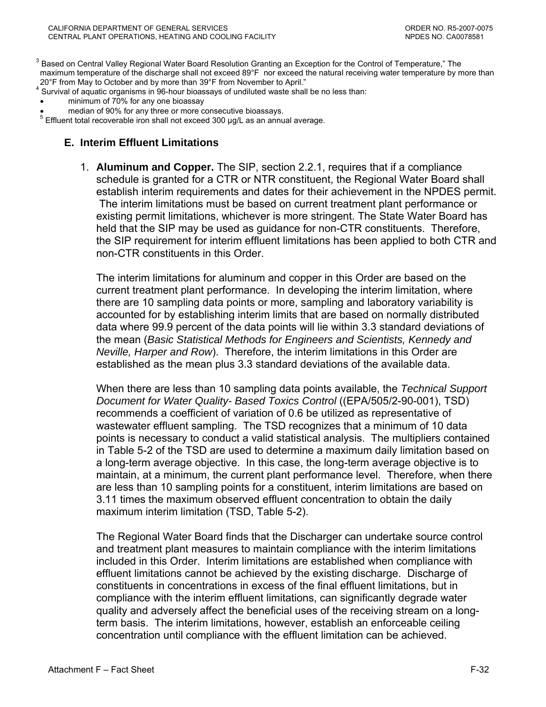$3$  Based on Central Valley Regional Water Board Resolution Granting an Exception for the Control of Temperature," The maximum temperature of the discharge shall not exceed 89°F nor exceed the natural receiving water temperature by more than 20°F from May to October and by more than 39°F from November to April."

<sup>4</sup> Survival of aquatic organisms in 96-hour bioassays of undiluted waste shall be no less than:

- minimum of 70% for any one bioassay
- median of 90% for any three or more consecutive bioassays.

 $5$  Effluent total recoverable iron shall not exceed 300  $\mu$ g/L as an annual average.

#### **E. Interim Effluent Limitations**

1. **Aluminum and Copper.** The SIP, section 2.2.1, requires that if a compliance schedule is granted for a CTR or NTR constituent, the Regional Water Board shall establish interim requirements and dates for their achievement in the NPDES permit. The interim limitations must be based on current treatment plant performance or existing permit limitations, whichever is more stringent. The State Water Board has held that the SIP may be used as guidance for non-CTR constituents. Therefore, the SIP requirement for interim effluent limitations has been applied to both CTR and non-CTR constituents in this Order.

The interim limitations for aluminum and copper in this Order are based on the current treatment plant performance. In developing the interim limitation, where there are 10 sampling data points or more, sampling and laboratory variability is accounted for by establishing interim limits that are based on normally distributed data where 99.9 percent of the data points will lie within 3.3 standard deviations of the mean (*Basic Statistical Methods for Engineers and Scientists, Kennedy and Neville, Harper and Row*). Therefore, the interim limitations in this Order are established as the mean plus 3.3 standard deviations of the available data.

When there are less than 10 sampling data points available, the *Technical Support Document for Water Quality- Based Toxics Control* ((EPA/505/2-90-001), TSD) recommends a coefficient of variation of 0.6 be utilized as representative of wastewater effluent sampling. The TSD recognizes that a minimum of 10 data points is necessary to conduct a valid statistical analysis. The multipliers contained in Table 5-2 of the TSD are used to determine a maximum daily limitation based on a long-term average objective. In this case, the long-term average objective is to maintain, at a minimum, the current plant performance level. Therefore, when there are less than 10 sampling points for a constituent, interim limitations are based on 3.11 times the maximum observed effluent concentration to obtain the daily maximum interim limitation (TSD, Table 5-2).

The Regional Water Board finds that the Discharger can undertake source control and treatment plant measures to maintain compliance with the interim limitations included in this Order. Interim limitations are established when compliance with effluent limitations cannot be achieved by the existing discharge. Discharge of constituents in concentrations in excess of the final effluent limitations, but in compliance with the interim effluent limitations, can significantly degrade water quality and adversely affect the beneficial uses of the receiving stream on a longterm basis. The interim limitations, however, establish an enforceable ceiling concentration until compliance with the effluent limitation can be achieved.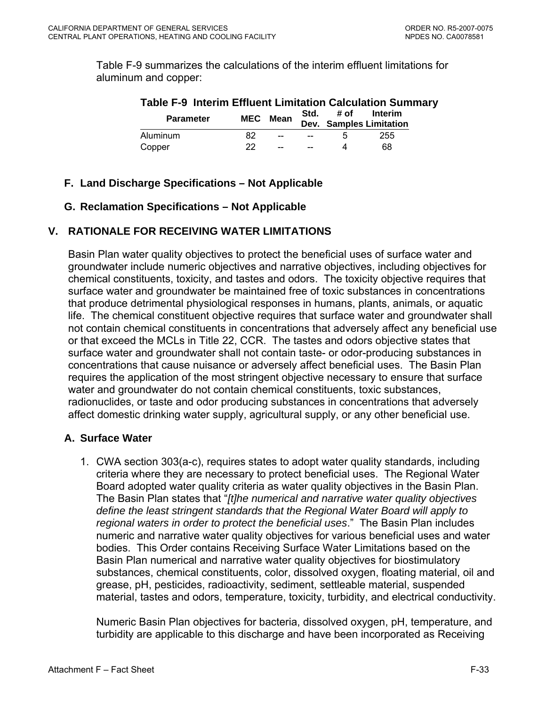Table F-9 summarizes the calculations of the interim effluent limitations for aluminum and copper:

| <b>Table F-9 Interim Effluent Limitation Calculation Summary</b> |    |                 |      |              |                                    |  |  |  |  |
|------------------------------------------------------------------|----|-----------------|------|--------------|------------------------------------|--|--|--|--|
| <b>Parameter</b>                                                 |    | <b>MEC</b> Mean | Std. | # of         | Interim<br>Dev. Samples Limitation |  |  |  |  |
| Aluminum                                                         | 82 | $\sim$          | $-$  | $\mathbf{h}$ | 255                                |  |  |  |  |
| Copper                                                           | つつ | $-$             |      | Δ            | 68                                 |  |  |  |  |

# **F. Land Discharge Specifications – Not Applicable**

# **G. Reclamation Specifications – Not Applicable**

# **V. RATIONALE FOR RECEIVING WATER LIMITATIONS**

Basin Plan water quality objectives to protect the beneficial uses of surface water and groundwater include numeric objectives and narrative objectives, including objectives for chemical constituents, toxicity, and tastes and odors. The toxicity objective requires that surface water and groundwater be maintained free of toxic substances in concentrations that produce detrimental physiological responses in humans, plants, animals, or aquatic life. The chemical constituent objective requires that surface water and groundwater shall not contain chemical constituents in concentrations that adversely affect any beneficial use or that exceed the MCLs in Title 22, CCR. The tastes and odors objective states that surface water and groundwater shall not contain taste- or odor-producing substances in concentrations that cause nuisance or adversely affect beneficial uses. The Basin Plan requires the application of the most stringent objective necessary to ensure that surface water and groundwater do not contain chemical constituents, toxic substances, radionuclides, or taste and odor producing substances in concentrations that adversely affect domestic drinking water supply, agricultural supply, or any other beneficial use.

# **A. Surface Water**

1. CWA section 303(a-c), requires states to adopt water quality standards, including criteria where they are necessary to protect beneficial uses. The Regional Water Board adopted water quality criteria as water quality objectives in the Basin Plan. The Basin Plan states that "*[t]he numerical and narrative water quality objectives define the least stringent standards that the Regional Water Board will apply to regional waters in order to protect the beneficial uses*." The Basin Plan includes numeric and narrative water quality objectives for various beneficial uses and water bodies. This Order contains Receiving Surface Water Limitations based on the Basin Plan numerical and narrative water quality objectives for biostimulatory substances, chemical constituents, color, dissolved oxygen, floating material, oil and grease, pH, pesticides, radioactivity, sediment, settleable material, suspended material, tastes and odors, temperature, toxicity, turbidity, and electrical conductivity.

Numeric Basin Plan objectives for bacteria, dissolved oxygen, pH, temperature, and turbidity are applicable to this discharge and have been incorporated as Receiving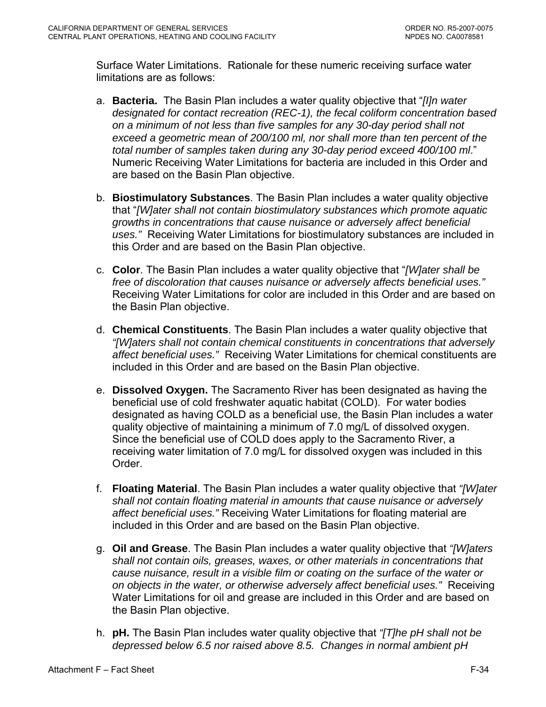Surface Water Limitations. Rationale for these numeric receiving surface water limitations are as follows:

- a. **Bacteria.** The Basin Plan includes a water quality objective that "*[I]n water designated for contact recreation (REC-1), the fecal coliform concentration based on a minimum of not less than five samples for any 30-day period shall not exceed a geometric mean of 200/100 ml, nor shall more than ten percent of the total number of samples taken during any 30-day period exceed 400/100 ml*." Numeric Receiving Water Limitations for bacteria are included in this Order and are based on the Basin Plan objective.
- b. **Biostimulatory Substances**. The Basin Plan includes a water quality objective that "*[W]ater shall not contain biostimulatory substances which promote aquatic growths in concentrations that cause nuisance or adversely affect beneficial uses."* Receiving Water Limitations for biostimulatory substances are included in this Order and are based on the Basin Plan objective.
- c. **Color**. The Basin Plan includes a water quality objective that "*[W]ater shall be free of discoloration that causes nuisance or adversely affects beneficial uses."*  Receiving Water Limitations for color are included in this Order and are based on the Basin Plan objective.
- d. **Chemical Constituents**. The Basin Plan includes a water quality objective that *"[W]aters shall not contain chemical constituents in concentrations that adversely affect beneficial uses."* Receiving Water Limitations for chemical constituents are included in this Order and are based on the Basin Plan objective.
- e. **Dissolved Oxygen.** The Sacramento River has been designated as having the beneficial use of cold freshwater aquatic habitat (COLD). For water bodies designated as having COLD as a beneficial use, the Basin Plan includes a water quality objective of maintaining a minimum of 7.0 mg/L of dissolved oxygen. Since the beneficial use of COLD does apply to the Sacramento River, a receiving water limitation of 7.0 mg/L for dissolved oxygen was included in this Order.
- f. **Floating Material**. The Basin Plan includes a water quality objective that *"[W]ater shall not contain floating material in amounts that cause nuisance or adversely affect beneficial uses."* Receiving Water Limitations for floating material are included in this Order and are based on the Basin Plan objective.
- g. **Oil and Grease**. The Basin Plan includes a water quality objective that *"[W]aters shall not contain oils, greases, waxes, or other materials in concentrations that cause nuisance, result in a visible film or coating on the surface of the water or on objects in the water, or otherwise adversely affect beneficial uses."* Receiving Water Limitations for oil and grease are included in this Order and are based on the Basin Plan objective.
- h. **pH.** The Basin Plan includes water quality objective that *"[T]he pH shall not be depressed below 6.5 nor raised above 8.5. Changes in normal ambient pH*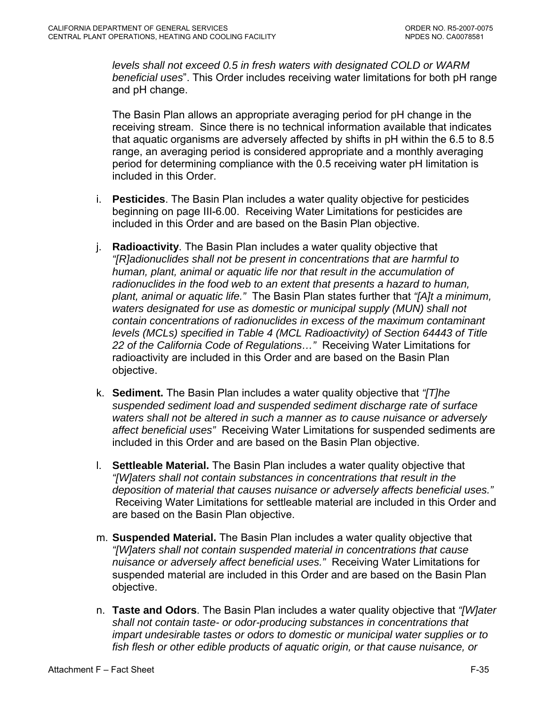*levels shall not exceed 0.5 in fresh waters with designated COLD or WARM beneficial uses*". This Order includes receiving water limitations for both pH range and pH change.

The Basin Plan allows an appropriate averaging period for pH change in the receiving stream. Since there is no technical information available that indicates that aquatic organisms are adversely affected by shifts in pH within the 6.5 to 8.5 range, an averaging period is considered appropriate and a monthly averaging period for determining compliance with the 0.5 receiving water pH limitation is included in this Order.

- i. **Pesticides**. The Basin Plan includes a water quality objective for pesticides beginning on page III-6.00. Receiving Water Limitations for pesticides are included in this Order and are based on the Basin Plan objective.
- j. **Radioactivity**. The Basin Plan includes a water quality objective that *"[R]adionuclides shall not be present in concentrations that are harmful to human, plant, animal or aquatic life nor that result in the accumulation of radionuclides in the food web to an extent that presents a hazard to human, plant, animal or aquatic life."* The Basin Plan states further that *"[A]t a minimum, waters designated for use as domestic or municipal supply (MUN) shall not contain concentrations of radionuclides in excess of the maximum contaminant levels (MCLs) specified in Table 4 (MCL Radioactivity) of Section 64443 of Title 22 of the California Code of Regulations…"* Receiving Water Limitations for radioactivity are included in this Order and are based on the Basin Plan objective.
- k. **Sediment.** The Basin Plan includes a water quality objective that *"[T]he suspended sediment load and suspended sediment discharge rate of surface waters shall not be altered in such a manner as to cause nuisance or adversely affect beneficial uses"* Receiving Water Limitations for suspended sediments are included in this Order and are based on the Basin Plan objective.
- l. **Settleable Material.** The Basin Plan includes a water quality objective that *"[W]aters shall not contain substances in concentrations that result in the deposition of material that causes nuisance or adversely affects beneficial uses."* Receiving Water Limitations for settleable material are included in this Order and are based on the Basin Plan objective.
- m. **Suspended Material.** The Basin Plan includes a water quality objective that *"[W]aters shall not contain suspended material in concentrations that cause nuisance or adversely affect beneficial uses."* Receiving Water Limitations for suspended material are included in this Order and are based on the Basin Plan objective.
- n. **Taste and Odors**. The Basin Plan includes a water quality objective that *"[W]ater shall not contain taste- or odor-producing substances in concentrations that impart undesirable tastes or odors to domestic or municipal water supplies or to fish flesh or other edible products of aquatic origin, or that cause nuisance, or*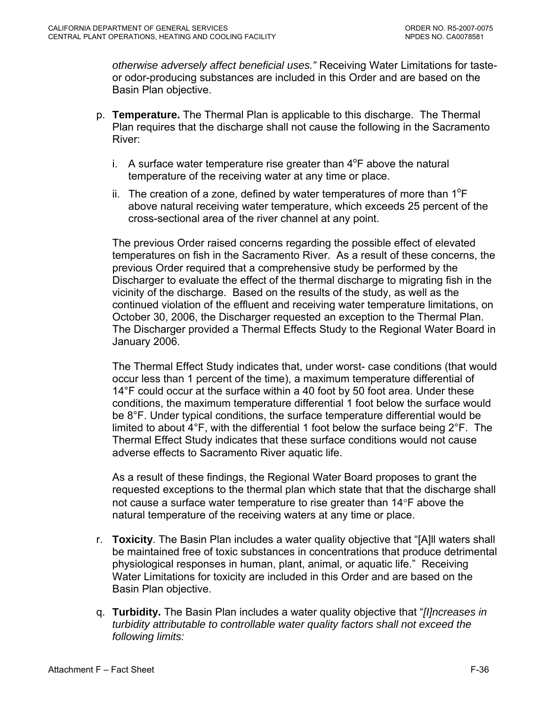*otherwise adversely affect beneficial uses."* Receiving Water Limitations for tasteor odor-producing substances are included in this Order and are based on the Basin Plan objective.

- p. **Temperature.** The Thermal Plan is applicable to this discharge. The Thermal Plan requires that the discharge shall not cause the following in the Sacramento River:
	- i. A surface water temperature rise greater than  $4^{\circ}$ F above the natural temperature of the receiving water at any time or place.
	- ii. The creation of a zone, defined by water temperatures of more than  $1^{\circ}F$ above natural receiving water temperature, which exceeds 25 percent of the cross-sectional area of the river channel at any point.

The previous Order raised concerns regarding the possible effect of elevated temperatures on fish in the Sacramento River. As a result of these concerns, the previous Order required that a comprehensive study be performed by the Discharger to evaluate the effect of the thermal discharge to migrating fish in the vicinity of the discharge. Based on the results of the study, as well as the continued violation of the effluent and receiving water temperature limitations, on October 30, 2006, the Discharger requested an exception to the Thermal Plan. The Discharger provided a Thermal Effects Study to the Regional Water Board in January 2006.

The Thermal Effect Study indicates that, under worst- case conditions (that would occur less than 1 percent of the time), a maximum temperature differential of 14°F could occur at the surface within a 40 foot by 50 foot area. Under these conditions, the maximum temperature differential 1 foot below the surface would be 8°F. Under typical conditions, the surface temperature differential would be limited to about 4°F, with the differential 1 foot below the surface being 2°F. The Thermal Effect Study indicates that these surface conditions would not cause adverse effects to Sacramento River aquatic life.

 As a result of these findings, the Regional Water Board proposes to grant the requested exceptions to the thermal plan which state that that the discharge shall not cause a surface water temperature to rise greater than 14°F above the natural temperature of the receiving waters at any time or place.

- r. **Toxicity**. The Basin Plan includes a water quality objective that "[A]ll waters shall be maintained free of toxic substances in concentrations that produce detrimental physiological responses in human, plant, animal, or aquatic life." Receiving Water Limitations for toxicity are included in this Order and are based on the Basin Plan objective.
- q. **Turbidity.** The Basin Plan includes a water quality objective that "*[I]ncreases in turbidity attributable to controllable water quality factors shall not exceed the following limits:*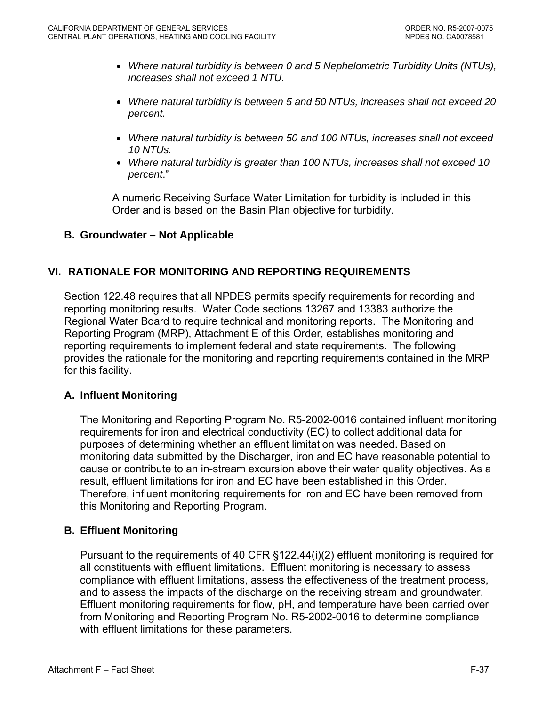- *Where natural turbidity is between 0 and 5 Nephelometric Turbidity Units (NTUs), increases shall not exceed 1 NTU.*
- *Where natural turbidity is between 5 and 50 NTUs, increases shall not exceed 20 percent.*
- *Where natural turbidity is between 50 and 100 NTUs, increases shall not exceed 10 NTUs.*
- *Where natural turbidity is greater than 100 NTUs, increases shall not exceed 10 percent*."

A numeric Receiving Surface Water Limitation for turbidity is included in this Order and is based on the Basin Plan objective for turbidity.

# **B. Groundwater – Not Applicable**

# **VI. RATIONALE FOR MONITORING AND REPORTING REQUIREMENTS**

Section 122.48 requires that all NPDES permits specify requirements for recording and reporting monitoring results. Water Code sections 13267 and 13383 authorize the Regional Water Board to require technical and monitoring reports. The Monitoring and Reporting Program (MRP), Attachment E of this Order, establishes monitoring and reporting requirements to implement federal and state requirements. The following provides the rationale for the monitoring and reporting requirements contained in the MRP for this facility.

### **A. Influent Monitoring**

The Monitoring and Reporting Program No. R5-2002-0016 contained influent monitoring requirements for iron and electrical conductivity (EC) to collect additional data for purposes of determining whether an effluent limitation was needed. Based on monitoring data submitted by the Discharger, iron and EC have reasonable potential to cause or contribute to an in-stream excursion above their water quality objectives. As a result, effluent limitations for iron and EC have been established in this Order. Therefore, influent monitoring requirements for iron and EC have been removed from this Monitoring and Reporting Program.

### **B. Effluent Monitoring**

Pursuant to the requirements of 40 CFR §122.44(i)(2) effluent monitoring is required for all constituents with effluent limitations. Effluent monitoring is necessary to assess compliance with effluent limitations, assess the effectiveness of the treatment process, and to assess the impacts of the discharge on the receiving stream and groundwater. Effluent monitoring requirements for flow, pH, and temperature have been carried over from Monitoring and Reporting Program No. R5-2002-0016 to determine compliance with effluent limitations for these parameters.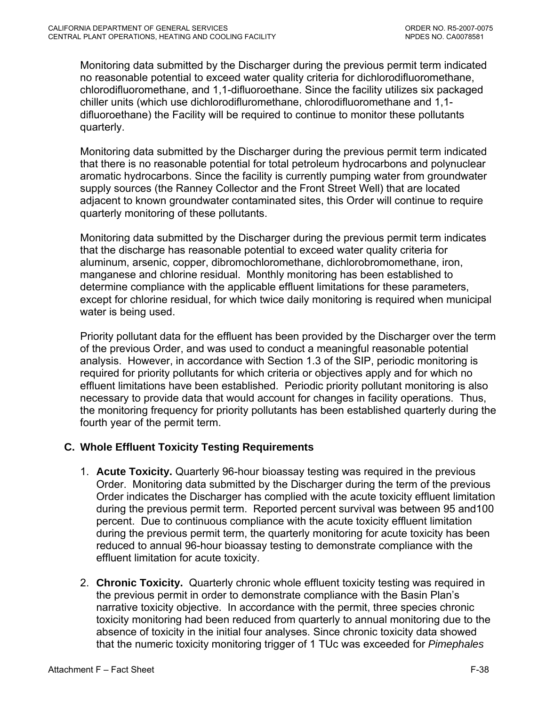Monitoring data submitted by the Discharger during the previous permit term indicated no reasonable potential to exceed water quality criteria for dichlorodifluoromethane, chlorodifluoromethane, and 1,1-difluoroethane. Since the facility utilizes six packaged chiller units (which use dichlorodifluromethane, chlorodifluoromethane and 1,1 difluoroethane) the Facility will be required to continue to monitor these pollutants quarterly.

Monitoring data submitted by the Discharger during the previous permit term indicated that there is no reasonable potential for total petroleum hydrocarbons and polynuclear aromatic hydrocarbons. Since the facility is currently pumping water from groundwater supply sources (the Ranney Collector and the Front Street Well) that are located adjacent to known groundwater contaminated sites, this Order will continue to require quarterly monitoring of these pollutants.

Monitoring data submitted by the Discharger during the previous permit term indicates that the discharge has reasonable potential to exceed water quality criteria for aluminum, arsenic, copper, dibromochloromethane, dichlorobromomethane, iron, manganese and chlorine residual. Monthly monitoring has been established to determine compliance with the applicable effluent limitations for these parameters, except for chlorine residual, for which twice daily monitoring is required when municipal water is being used.

Priority pollutant data for the effluent has been provided by the Discharger over the term of the previous Order, and was used to conduct a meaningful reasonable potential analysis. However, in accordance with Section 1.3 of the SIP, periodic monitoring is required for priority pollutants for which criteria or objectives apply and for which no effluent limitations have been established. Periodic priority pollutant monitoring is also necessary to provide data that would account for changes in facility operations. Thus, the monitoring frequency for priority pollutants has been established quarterly during the fourth year of the permit term.

# **C. Whole Effluent Toxicity Testing Requirements**

- 1. **Acute Toxicity.** Quarterly 96-hour bioassay testing was required in the previous Order. Monitoring data submitted by the Discharger during the term of the previous Order indicates the Discharger has complied with the acute toxicity effluent limitation during the previous permit term. Reported percent survival was between 95 and100 percent. Due to continuous compliance with the acute toxicity effluent limitation during the previous permit term, the quarterly monitoring for acute toxicity has been reduced to annual 96-hour bioassay testing to demonstrate compliance with the effluent limitation for acute toxicity.
- 2. **Chronic Toxicity.** Quarterly chronic whole effluent toxicity testing was required in the previous permit in order to demonstrate compliance with the Basin Plan's narrative toxicity objective. In accordance with the permit, three species chronic toxicity monitoring had been reduced from quarterly to annual monitoring due to the absence of toxicity in the initial four analyses. Since chronic toxicity data showed that the numeric toxicity monitoring trigger of 1 TUc was exceeded for *Pimephales*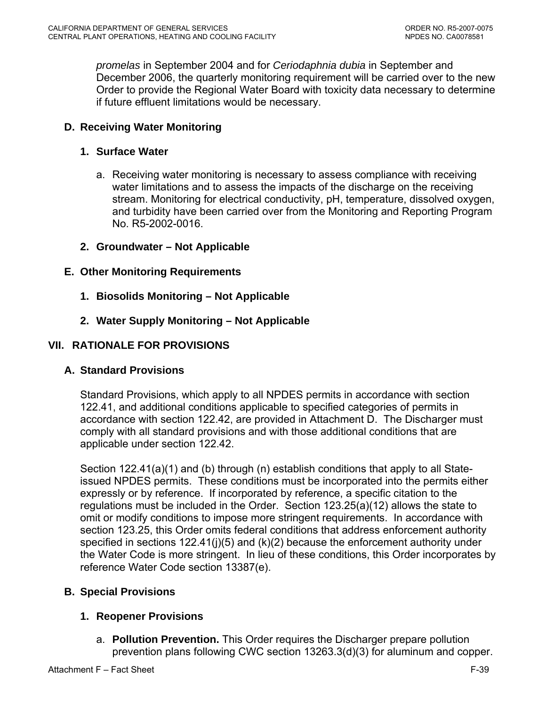*promelas* in September 2004 and for *Ceriodaphnia dubia* in September and December 2006, the quarterly monitoring requirement will be carried over to the new Order to provide the Regional Water Board with toxicity data necessary to determine if future effluent limitations would be necessary.

# **D. Receiving Water Monitoring**

## **1. Surface Water**

- a. Receiving water monitoring is necessary to assess compliance with receiving water limitations and to assess the impacts of the discharge on the receiving stream. Monitoring for electrical conductivity, pH, temperature, dissolved oxygen, and turbidity have been carried over from the Monitoring and Reporting Program No. R5-2002-0016.
- **2. Groundwater Not Applicable**

## **E. Other Monitoring Requirements**

- **1. Biosolids Monitoring Not Applicable**
- **2. Water Supply Monitoring Not Applicable**

## **VII. RATIONALE FOR PROVISIONS**

### **A. Standard Provisions**

Standard Provisions, which apply to all NPDES permits in accordance with section 122.41, and additional conditions applicable to specified categories of permits in accordance with section 122.42, are provided in Attachment D. The Discharger must comply with all standard provisions and with those additional conditions that are applicable under section 122.42.

Section 122.41(a)(1) and (b) through (n) establish conditions that apply to all Stateissued NPDES permits. These conditions must be incorporated into the permits either expressly or by reference. If incorporated by reference, a specific citation to the regulations must be included in the Order. Section 123.25(a)(12) allows the state to omit or modify conditions to impose more stringent requirements. In accordance with section 123.25, this Order omits federal conditions that address enforcement authority specified in sections  $122.41(j)(5)$  and  $(k)(2)$  because the enforcement authority under the Water Code is more stringent. In lieu of these conditions, this Order incorporates by reference Water Code section 13387(e).

# **B. Special Provisions**

# **1. Reopener Provisions**

a. **Pollution Prevention.** This Order requires the Discharger prepare pollution prevention plans following CWC section 13263.3(d)(3) for aluminum and copper.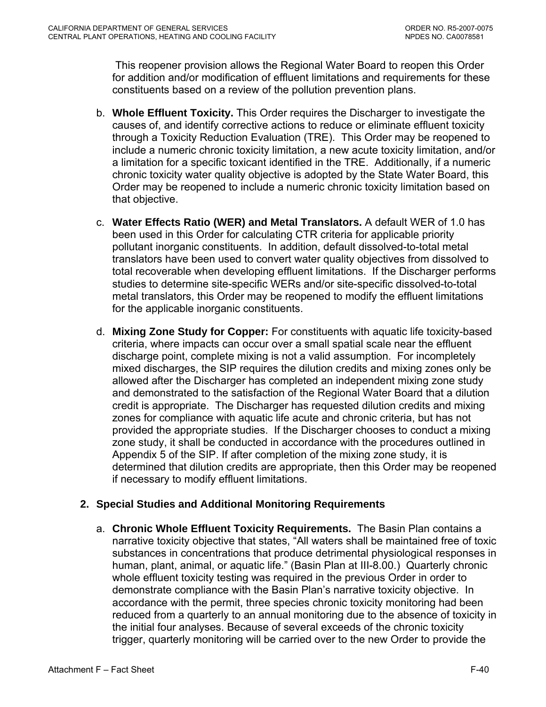This reopener provision allows the Regional Water Board to reopen this Order for addition and/or modification of effluent limitations and requirements for these constituents based on a review of the pollution prevention plans.

- b. **Whole Effluent Toxicity.** This Order requires the Discharger to investigate the causes of, and identify corrective actions to reduce or eliminate effluent toxicity through a Toxicity Reduction Evaluation (TRE). This Order may be reopened to include a numeric chronic toxicity limitation, a new acute toxicity limitation, and/or a limitation for a specific toxicant identified in the TRE. Additionally, if a numeric chronic toxicity water quality objective is adopted by the State Water Board, this Order may be reopened to include a numeric chronic toxicity limitation based on that objective.
- c. **Water Effects Ratio (WER) and Metal Translators.** A default WER of 1.0 has been used in this Order for calculating CTR criteria for applicable priority pollutant inorganic constituents.In addition, default dissolved-to-total metal translators have been used to convert water quality objectives from dissolved to total recoverable when developing effluent limitations. If the Discharger performs studies to determine site-specific WERs and/or site-specific dissolved-to-total metal translators, this Order may be reopened to modify the effluent limitations for the applicable inorganic constituents.
- d. **Mixing Zone Study for Copper:** For constituents with aquatic life toxicity-based criteria, where impacts can occur over a small spatial scale near the effluent discharge point, complete mixing is not a valid assumption. For incompletely mixed discharges, the SIP requires the dilution credits and mixing zones only be allowed after the Discharger has completed an independent mixing zone study and demonstrated to the satisfaction of the Regional Water Board that a dilution credit is appropriate. The Discharger has requested dilution credits and mixing zones for compliance with aquatic life acute and chronic criteria, but has not provided the appropriate studies. If the Discharger chooses to conduct a mixing zone study, it shall be conducted in accordance with the procedures outlined in Appendix 5 of the SIP. If after completion of the mixing zone study, it is determined that dilution credits are appropriate, then this Order may be reopened if necessary to modify effluent limitations.

# **2. Special Studies and Additional Monitoring Requirements**

 a. **Chronic Whole Effluent Toxicity Requirements.** The Basin Plan contains a narrative toxicity objective that states, "All waters shall be maintained free of toxic substances in concentrations that produce detrimental physiological responses in human, plant, animal, or aquatic life." (Basin Plan at III-8.00.) Quarterly chronic whole effluent toxicity testing was required in the previous Order in order to demonstrate compliance with the Basin Plan's narrative toxicity objective. In accordance with the permit, three species chronic toxicity monitoring had been reduced from a quarterly to an annual monitoring due to the absence of toxicity in the initial four analyses. Because of several exceeds of the chronic toxicity trigger, quarterly monitoring will be carried over to the new Order to provide the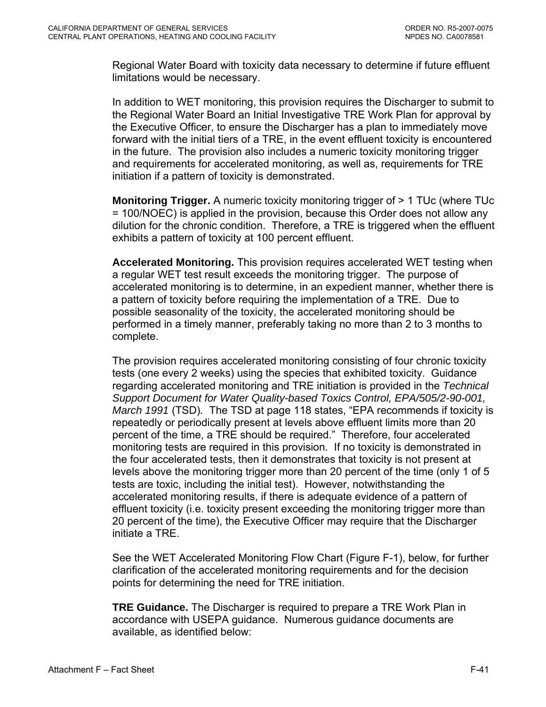Regional Water Board with toxicity data necessary to determine if future effluent limitations would be necessary.

 In addition to WET monitoring, this provision requires the Discharger to submit to the Regional Water Board an Initial Investigative TRE Work Plan for approval by the Executive Officer, to ensure the Discharger has a plan to immediately move forward with the initial tiers of a TRE, in the event effluent toxicity is encountered in the future. The provision also includes a numeric toxicity monitoring trigger and requirements for accelerated monitoring, as well as, requirements for TRE initiation if a pattern of toxicity is demonstrated.

**Monitoring Trigger.** A numeric toxicity monitoring trigger of > 1 TUc (where TUc = 100/NOEC) is applied in the provision, because this Order does not allow any dilution for the chronic condition. Therefore, a TRE is triggered when the effluent exhibits a pattern of toxicity at 100 percent effluent.

**Accelerated Monitoring.** This provision requires accelerated WET testing when a regular WET test result exceeds the monitoring trigger. The purpose of accelerated monitoring is to determine, in an expedient manner, whether there is a pattern of toxicity before requiring the implementation of a TRE. Due to possible seasonality of the toxicity, the accelerated monitoring should be performed in a timely manner, preferably taking no more than 2 to 3 months to complete.

The provision requires accelerated monitoring consisting of four chronic toxicity tests (one every 2 weeks) using the species that exhibited toxicity. Guidance regarding accelerated monitoring and TRE initiation is provided in the *Technical Support Document for Water Quality-based Toxics Control, EPA/505/2-90-001, March 1991* (TSD)*.* The TSD at page 118 states, "EPA recommends if toxicity is repeatedly or periodically present at levels above effluent limits more than 20 percent of the time, a TRE should be required." Therefore, four accelerated monitoring tests are required in this provision. If no toxicity is demonstrated in the four accelerated tests, then it demonstrates that toxicity is not present at levels above the monitoring trigger more than 20 percent of the time (only 1 of 5 tests are toxic, including the initial test). However, notwithstanding the accelerated monitoring results, if there is adequate evidence of a pattern of effluent toxicity (i.e. toxicity present exceeding the monitoring trigger more than 20 percent of the time), the Executive Officer may require that the Discharger initiate a TRE.

See the WET Accelerated Monitoring Flow Chart (Figure F-1), below, for further clarification of the accelerated monitoring requirements and for the decision points for determining the need for TRE initiation.

**TRE Guidance.** The Discharger is required to prepare a TRE Work Plan in accordance with USEPA guidance. Numerous guidance documents are available, as identified below: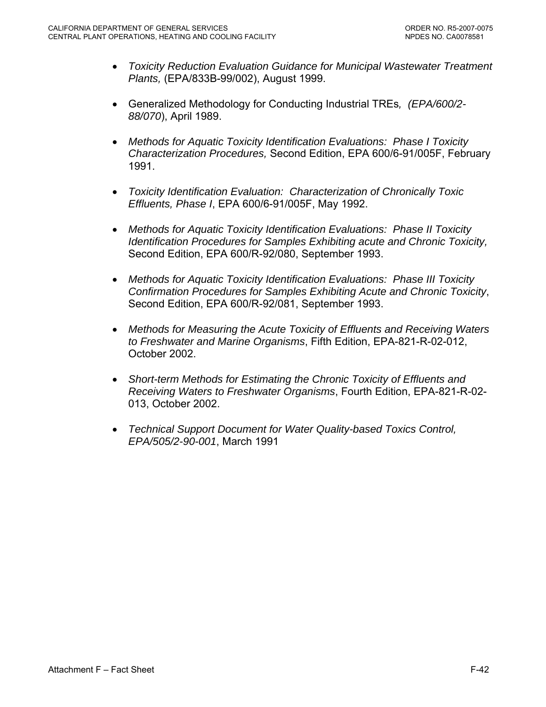- *Toxicity Reduction Evaluation Guidance for Municipal Wastewater Treatment Plants,* (EPA/833B-99/002), August 1999.
- Generalized Methodology for Conducting Industrial TREs*, (EPA/600/2- 88/070*), April 1989.
- *Methods for Aquatic Toxicity Identification Evaluations: Phase I Toxicity Characterization Procedures,* Second Edition, EPA 600/6-91/005F, February 1991.
- *Toxicity Identification Evaluation: Characterization of Chronically Toxic Effluents, Phase I*, EPA 600/6-91/005F, May 1992.
- *Methods for Aquatic Toxicity Identification Evaluations: Phase II Toxicity Identification Procedures for Samples Exhibiting acute and Chronic Toxicity,*  Second Edition, EPA 600/R-92/080, September 1993.
- *Methods for Aquatic Toxicity Identification Evaluations: Phase III Toxicity Confirmation Procedures for Samples Exhibiting Acute and Chronic Toxicity*, Second Edition, EPA 600/R-92/081, September 1993.
- *Methods for Measuring the Acute Toxicity of Effluents and Receiving Waters to Freshwater and Marine Organisms*, Fifth Edition, EPA-821-R-02-012, October 2002.
- *Short-term Methods for Estimating the Chronic Toxicity of Effluents and Receiving Waters to Freshwater Organisms*, Fourth Edition, EPA-821-R-02- 013, October 2002.
- *Technical Support Document for Water Quality-based Toxics Control, EPA/505/2-90-001*, March 1991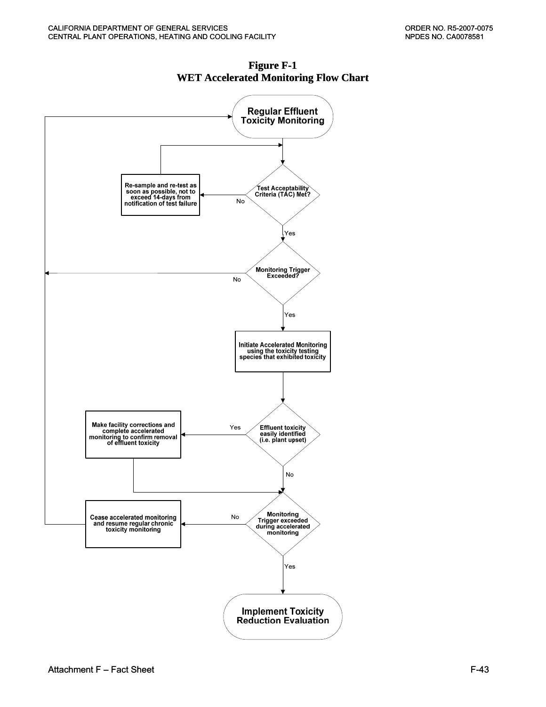

**Figure F-1 WET Accelerated Monitoring Flow Chart**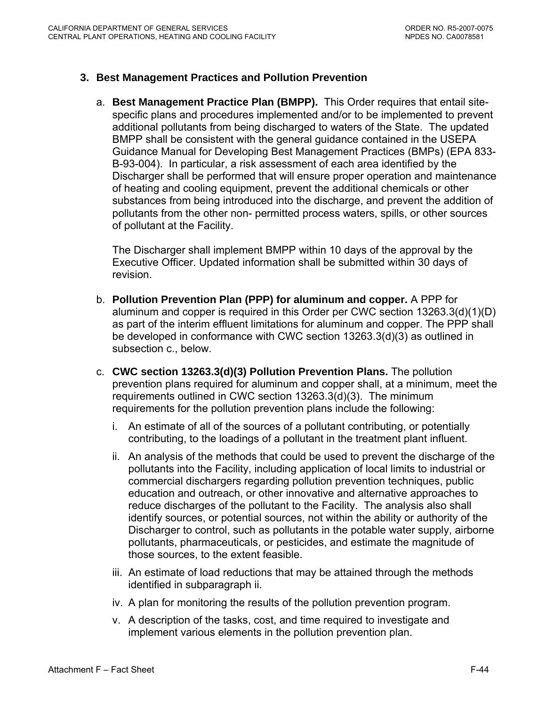## **3. Best Management Practices and Pollution Prevention**

a. **Best Management Practice Plan (BMPP).** This Order requires that entail sitespecific plans and procedures implemented and/or to be implemented to prevent additional pollutants from being discharged to waters of the State. The updated BMPP shall be consistent with the general guidance contained in the USEPA Guidance Manual for Developing Best Management Practices (BMPs) (EPA 833- B-93-004). In particular, a risk assessment of each area identified by the Discharger shall be performed that will ensure proper operation and maintenance of heating and cooling equipment, prevent the additional chemicals or other substances from being introduced into the discharge, and prevent the addition of pollutants from the other non- permitted process waters, spills, or other sources of pollutant at the Facility.

The Discharger shall implement BMPP within 10 days of the approval by the Executive Officer. Updated information shall be submitted within 30 days of revision.

- b. **Pollution Prevention Plan (PPP) for aluminum and copper.** A PPP for aluminum and copper is required in this Order per CWC section 13263.3(d)(1)(D) as part of the interim effluent limitations for aluminum and copper. The PPP shall be developed in conformance with CWC section 13263.3(d)(3) as outlined in subsection c., below.
- c. **CWC section 13263.3(d)(3) Pollution Prevention Plans.** The pollution prevention plans required for aluminum and copper shall, at a minimum, meet the requirements outlined in CWC section 13263.3(d)(3). The minimum requirements for the pollution prevention plans include the following:
	- i. An estimate of all of the sources of a pollutant contributing, or potentially contributing, to the loadings of a pollutant in the treatment plant influent.
	- ii. An analysis of the methods that could be used to prevent the discharge of the pollutants into the Facility, including application of local limits to industrial or commercial dischargers regarding pollution prevention techniques, public education and outreach, or other innovative and alternative approaches to reduce discharges of the pollutant to the Facility. The analysis also shall identify sources, or potential sources, not within the ability or authority of the Discharger to control, such as pollutants in the potable water supply, airborne pollutants, pharmaceuticals, or pesticides, and estimate the magnitude of those sources, to the extent feasible.
	- iii. An estimate of load reductions that may be attained through the methods identified in subparagraph ii.
	- iv. A plan for monitoring the results of the pollution prevention program.
	- v. A description of the tasks, cost, and time required to investigate and implement various elements in the pollution prevention plan.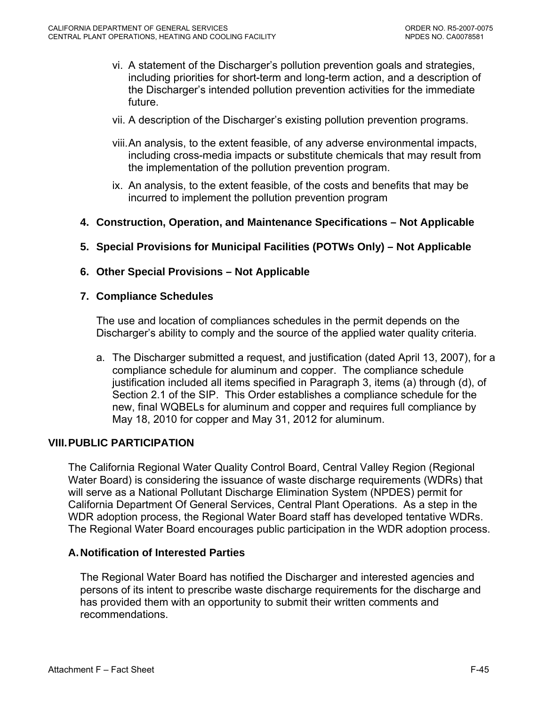- vi. A statement of the Discharger's pollution prevention goals and strategies, including priorities for short-term and long-term action, and a description of the Discharger's intended pollution prevention activities for the immediate future.
- vii. A description of the Discharger's existing pollution prevention programs.
- viii. An analysis, to the extent feasible, of any adverse environmental impacts, including cross-media impacts or substitute chemicals that may result from the implementation of the pollution prevention program.
- ix. An analysis, to the extent feasible, of the costs and benefits that may be incurred to implement the pollution prevention program
- **4. Construction, Operation, and Maintenance Specifications Not Applicable**
- **5. Special Provisions for Municipal Facilities (POTWs Only) Not Applicable**
- **6. Other Special Provisions Not Applicable**
- **7. Compliance Schedules**

The use and location of compliances schedules in the permit depends on the Discharger's ability to comply and the source of the applied water quality criteria.

a. The Discharger submitted a request, and justification (dated April 13, 2007), for a compliance schedule for aluminum and copper. The compliance schedule justification included all items specified in Paragraph 3, items (a) through (d), of Section 2.1 of the SIP. This Order establishes a compliance schedule for the new, final WQBELs for aluminum and copper and requires full compliance by May 18, 2010 for copper and May 31, 2012 for aluminum.

## **VIII. PUBLIC PARTICIPATION**

The California Regional Water Quality Control Board, Central Valley Region (Regional Water Board) is considering the issuance of waste discharge requirements (WDRs) that will serve as a National Pollutant Discharge Elimination System (NPDES) permit for California Department Of General Services, Central Plant Operations. As a step in the WDR adoption process, the Regional Water Board staff has developed tentative WDRs. The Regional Water Board encourages public participation in the WDR adoption process.

### **A. Notification of Interested Parties**

The Regional Water Board has notified the Discharger and interested agencies and persons of its intent to prescribe waste discharge requirements for the discharge and has provided them with an opportunity to submit their written comments and recommendations.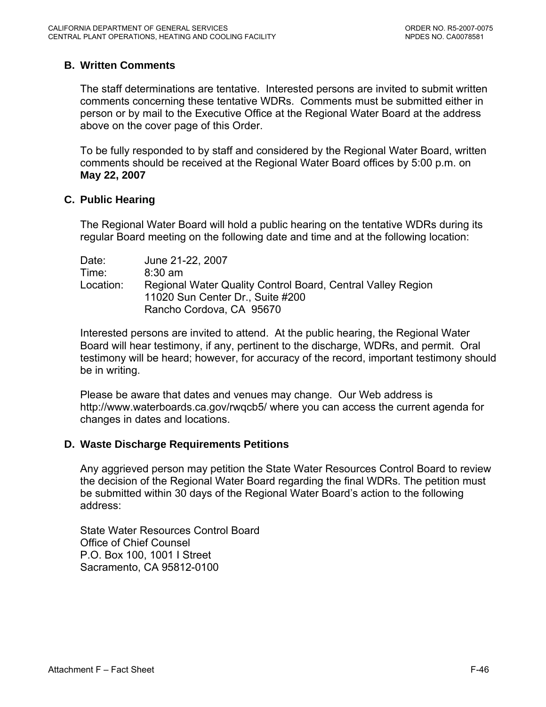# **B. Written Comments**

The staff determinations are tentative. Interested persons are invited to submit written comments concerning these tentative WDRs. Comments must be submitted either in person or by mail to the Executive Office at the Regional Water Board at the address above on the cover page of this Order.

To be fully responded to by staff and considered by the Regional Water Board, written comments should be received at the Regional Water Board offices by 5:00 p.m. on **May 22, 2007**

### **C. Public Hearing**

The Regional Water Board will hold a public hearing on the tentative WDRs during its regular Board meeting on the following date and time and at the following location:

| Date:     | June 21-22, 2007                                            |
|-----------|-------------------------------------------------------------|
| Time:     | $8:30 \text{ am}$                                           |
| Location: | Regional Water Quality Control Board, Central Valley Region |
|           | 11020 Sun Center Dr., Suite #200                            |
|           | Rancho Cordova, CA 95670                                    |

Interested persons are invited to attend. At the public hearing, the Regional Water Board will hear testimony, if any, pertinent to the discharge, WDRs, and permit. Oral testimony will be heard; however, for accuracy of the record, important testimony should be in writing.

Please be aware that dates and venues may change. Our Web address is <http://www.waterboards.ca.gov/rwqcb5/> where you can access the current agenda for changes in dates and locations.

### **D. Waste Discharge Requirements Petitions**

Any aggrieved person may petition the State Water Resources Control Board to review the decision of the Regional Water Board regarding the final WDRs. The petition must be submitted within 30 days of the Regional Water Board's action to the following address:

State Water Resources Control Board Office of Chief Counsel P.O. Box 100, 1001 I Street Sacramento, CA 95812-0100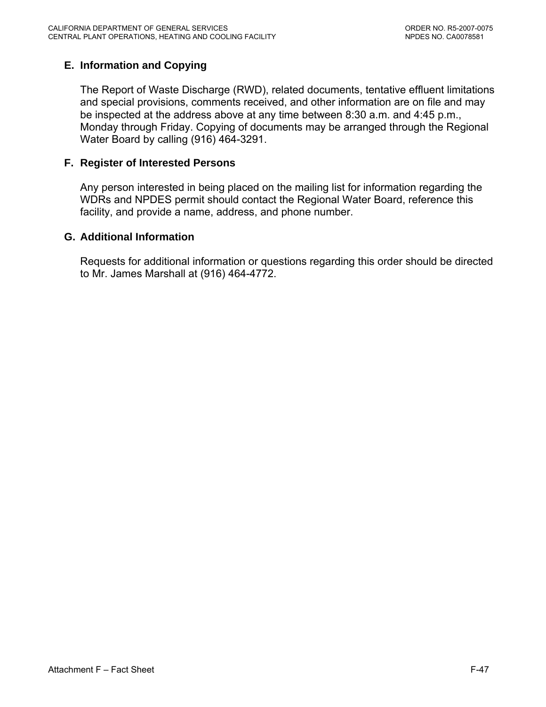# **E. Information and Copying**

The Report of Waste Discharge (RWD), related documents, tentative effluent limitations and special provisions, comments received, and other information are on file and may be inspected at the address above at any time between 8:30 a.m. and 4:45 p.m., Monday through Friday. Copying of documents may be arranged through the Regional Water Board by calling (916) 464-3291.

#### **F. Register of Interested Persons**

Any person interested in being placed on the mailing list for information regarding the WDRs and NPDES permit should contact the Regional Water Board, reference this facility, and provide a name, address, and phone number.

#### **G. Additional Information**

Requests for additional information or questions regarding this order should be directed to Mr. James Marshall at (916) 464-4772.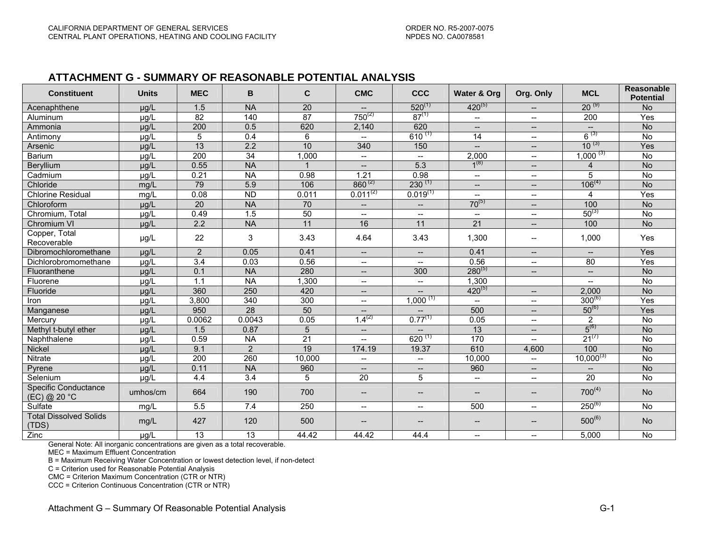#### **ATTACHMENT G - SUMMARY OF REASONABLE POTENTIAL ANALYSIS**

| <b>Constituent</b>                     | <b>Units</b> | <b>MEC</b>       | B                | $\mathbf{C}$ | <b>CMC</b>                                          | <b>CCC</b>               | Water & Org                 | Org. Only                             | <b>MCL</b>               | <b>Reasonable</b><br><b>Potential</b> |
|----------------------------------------|--------------|------------------|------------------|--------------|-----------------------------------------------------|--------------------------|-----------------------------|---------------------------------------|--------------------------|---------------------------------------|
| Acenaphthene                           | $\mu$ g/L    | 1.5              | <b>NA</b>        | 20           | $\overline{a}$                                      | $520^{(1)}$              | $420^{(5)}$                 | $\overline{\phantom{a}}$              | $20^{(9)}$               | <b>No</b>                             |
| Aluminum                               | $\mu$ g/L    | 82               | 140              | 87           | $750^{(2)}$                                         | $87^{(1)}$               | $\overline{\phantom{a}}$    | $\overline{\phantom{a}}$              | 200                      | Yes                                   |
| Ammonia                                | µg/L         | 200              | 0.5              | 620          | 2,140                                               | 620                      | $\overline{\phantom{a}}$    | $- -$                                 | $\overline{\phantom{a}}$ | <b>No</b>                             |
| Antimony                               | µg/L         | 5                | 0.4              | 6            | $\overline{\phantom{a}}$                            | $610^{(1)}$              | 14                          | $\overline{\phantom{a}}$              | $6^{(3)}$                | No                                    |
| Arsenic                                | $\mu$ g/L    | 13               | 2.2              | 10           | 340                                                 | 150                      | $\overline{a}$              | $\overline{\phantom{a}}$              | $10^{(3)}$               | Yes                                   |
| Barium                                 | µg/L         | $\overline{200}$ | 34               | 1,000        | $\overline{\phantom{a}}$                            | $\overline{\phantom{a}}$ | 2,000                       | $\overline{\phantom{a}}$              | $1,000^{(3)}$            | No                                    |
| Beryllium                              | $\mu$ g/L    | 0.55             | <b>NA</b>        | 1            | $\overline{\phantom{0}}$                            | 5.3                      | $1^{(8)}$                   | $\qquad \qquad -$                     | $\overline{4}$           | <b>No</b>                             |
| Cadmium                                | µg/L         | 0.21             | <b>NA</b>        | 0.98         | 1.21                                                | 0.98                     | $\overline{\phantom{a}}$    | $\overline{\phantom{a}}$              | 5                        | No                                    |
| Chloride                               | mg/L         | 79               | 5.9              | 106          | $860^{(2)}$                                         | $230^{(1)}$              | $\overline{a}$              | $\overline{\phantom{a}}$              | $106^{(4)}$              | N <sub>o</sub>                        |
| <b>Chlorine Residual</b>               | mg/L         | 0.08             | ND               | 0.011        | $0.011^{(2)}$                                       | $0.019^{(1)}$            | $\overline{a}$              | $\overline{\phantom{a}}$              | 4                        | Yes                                   |
| Chloroform                             | µg/L         | $\overline{20}$  | <b>NA</b>        | 70           | $\overline{\phantom{a}}$                            | $-\!$                    | $70^{(5)}$                  | $\overline{\phantom{a}}$              | 100                      | No                                    |
| Chromium, Total                        | µg/L         | 0.49             | 1.5              | 50           | $\overline{\phantom{a}}$                            | $\overline{\phantom{a}}$ | $\mathcal{L}_{\mathcal{F}}$ | $\overline{\phantom{a}}$              | $50^{(3)}$               | <b>No</b>                             |
| Chromium VI                            | µg/L         | 2.2              | <b>NA</b>        | 11           | 16                                                  | 11                       | $\overline{21}$             | $\overline{\phantom{a}}$              | 100                      | <b>No</b>                             |
| Copper, Total<br>Recoverable           | µg/L         | 22               | 3                | 3.43         | 4.64                                                | 3.43                     | 1,300                       | $\overline{\phantom{a}}$              | 1,000                    | Yes                                   |
| Dibromochloromethane                   | $\mu$ g/L    | 2                | 0.05             | 0.41         | $\hspace{0.05cm} -\hspace{0.05cm} -\hspace{0.05cm}$ | $\overline{\phantom{a}}$ | 0.41                        | $\overline{\phantom{a}}$              | $\overline{\phantom{a}}$ | Yes                                   |
| Dichlorobromomethane                   | µg/L         | $\overline{3.4}$ | 0.03             | 0.56         | $- -$                                               | $\overline{\phantom{a}}$ | 0.56                        | $\overline{\phantom{a}}$              | 80                       | Yes                                   |
| Fluoranthene                           | $\mu$ g/L    | 0.1              | <b>NA</b>        | 280          | $\overline{\phantom{a}}$                            | 300                      | $280^{(5)}$                 | $\overline{\phantom{a}}$              | $- -$                    | <b>No</b>                             |
| Fluorene                               | µg/L         | 1.1              | <b>NA</b>        | 1,300        | $- -$                                               | $\overline{\phantom{a}}$ | 1,300                       |                                       | $\overline{\phantom{a}}$ | No                                    |
| Fluoride                               | µg/L         | 360              | 250              | 420          | $\overline{\phantom{0}}$                            | $\overline{\phantom{a}}$ | $420^{(5)}$                 | $\overline{\phantom{a}}$              | 2,000                    | <b>No</b>                             |
| Iron                                   | µg/L         | 3,800            | $\overline{340}$ | 300          | $-$                                                 | $1,000^{(1)}$            | $\overline{a}$              | $\overline{\phantom{a}}$              | $300^{(6)}$              | Yes                                   |
| Manganese                              | µg/L         | 950              | $\overline{28}$  | 50           | $\overline{\phantom{0}}$                            |                          | 500                         | $\qquad \qquad -$                     | $50^{(6)}$               | Yes                                   |
| Mercury                                | µg/L         | 0.0062           | 0.0043           | 0.05         | $.4^{(2)}$                                          | $0.77^{(1)}$             | 0.05                        | $\overline{\phantom{a}}$              | 2                        | No                                    |
| Methyl t-butyl ether                   | µg/L         | 1.5              | 0.87             | 5            | $\overline{\phantom{a}}$                            |                          | 13                          | $\overline{\phantom{a}}$              | $5^{(6)}$                | <b>No</b>                             |
| Naphthalene                            | $\mu$ g/L    | 0.59             | <b>NA</b>        | 21           | $\overline{\phantom{0}}$                            | $620^{(1)}$              | 170                         | $\overline{a}$                        | $21^{(7)}$               | <b>No</b>                             |
| Nickel                                 | $\mu$ g/L    | 9.1              | $\overline{2}$   | 19           | 174.19                                              | 19.37                    | 610                         | 4,600                                 | 100                      | <b>No</b>                             |
| Nitrate                                | µg/L         | 200              | 260              | 10,000       | --                                                  | $\overline{\phantom{a}}$ | 10,000                      | $\overline{\phantom{a}}$              | $10,000^{(3)}$           | No                                    |
| Pyrene                                 | $\mu$ g/L    | 0.11             | <b>NA</b>        | 960          | $\overline{\phantom{a}}$                            | $\overline{\phantom{m}}$ | 960                         | $\overline{\phantom{a}}$              | $-$                      | <b>No</b>                             |
| Selenium                               | µg/L         | 4.4              | $\overline{3.4}$ | 5            | 20                                                  | 5                        | $\overline{a}$              | $\overline{\phantom{a}}$              | 20                       | No                                    |
| Specific Conductance<br>(EC) @ 20 °C   | umhos/cm     | 664              | 190              | 700          | $\overline{\phantom{a}}$                            | $--$                     | $-$                         | $\hspace{0.05cm}$ – $\hspace{0.05cm}$ | $700^{(4)}$              | <b>No</b>                             |
| Sulfate                                | mg/L         | 5.5              | 7.4              | 250          | $\overline{\phantom{a}}$                            | $\overline{\phantom{a}}$ | 500                         | $\overline{\phantom{a}}$              | $250^{(6)}$              | <b>No</b>                             |
| <b>Total Dissolved Solids</b><br>(TDS) | mg/L         | 427              | 120              | 500          | $\overline{\phantom{a}}$                            | $--$                     | $--$                        | $\hspace{0.05cm}$ – $\hspace{0.05cm}$ | $500^{(6)}$              | No                                    |
| Zinc                                   | $\mu$ g/L    | 13               | 13               | 44.42        | 44.42                                               | 44.4                     | $\overline{\phantom{a}}$    | $\overline{\phantom{a}}$              | 5.000                    | <b>No</b>                             |

General Note: All inorganic concentrations are given as a total recoverable.

MEC = Maximum Effluent Concentration

B = Maximum Receiving Water Concentration or lowest detection level, if non-detect

C = Criterion used for Reasonable Potential Analysis

CMC = Criterion Maximum Concentration (CTR or NTR)

CCC = Criterion Continuous Concentration (CTR or NTR)